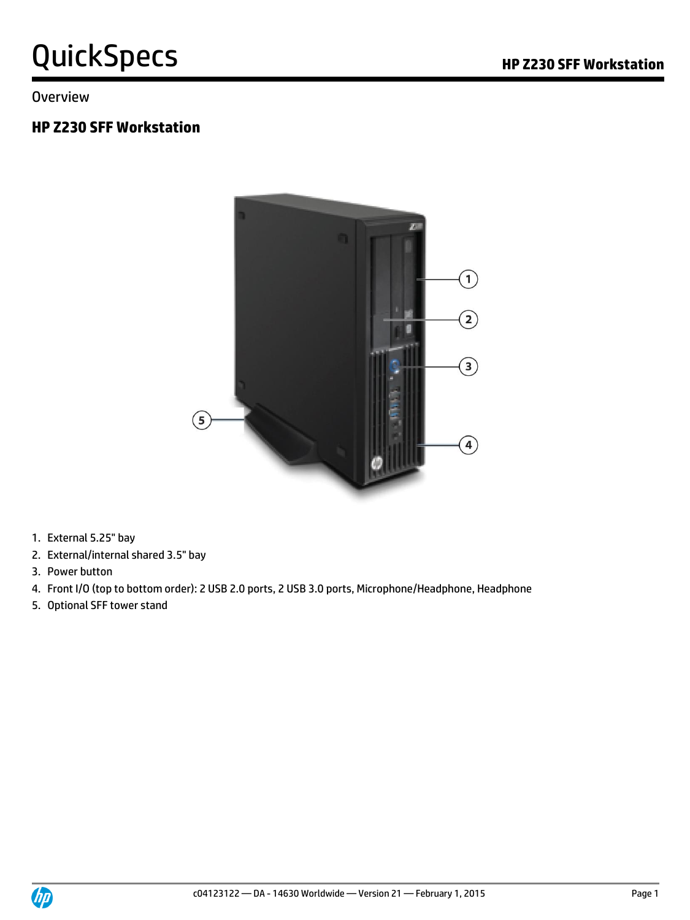**Overview** 

#### **HP Z230 SFF Workstation**



- 1. External 5.25" bay
- 2. External/internal shared 3.5" bay
- 3. Power button
- 4. Front I/O (top to bottom order): 2 USB 2.0 ports, 2 USB 3.0 ports, Microphone/Headphone, Headphone
- 5. Optional SFF tower stand

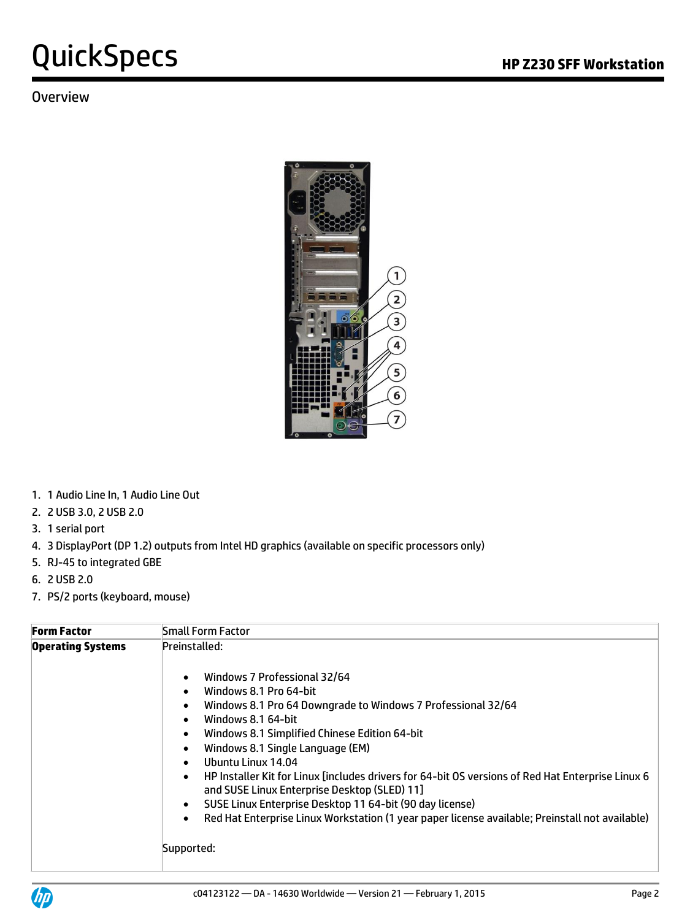#### **Overview**



- 1. 1 Audio Line In, 1 Audio Line Out
- 2. 2 USB 3.0, 2 USB 2.0
- 3. 1 serial port
- 4. 3 DisplayPort (DP 1.2) outputs from Intel HD graphics (available on specific processors only)
- 5. RJ-45 to integrated GBE
- 6. 2 USB 2.0
- 7. PS/2 ports (keyboard, mouse)

| <b>Form Factor</b>       | Small Form Factor                                                                                                                                              |
|--------------------------|----------------------------------------------------------------------------------------------------------------------------------------------------------------|
| <b>Operating Systems</b> | Preinstalled:                                                                                                                                                  |
|                          | Windows 7 Professional 32/64<br>$\bullet$                                                                                                                      |
|                          | Windows 8.1 Pro 64-bit<br>$\bullet$                                                                                                                            |
|                          | Windows 8.1 Pro 64 Downgrade to Windows 7 Professional 32/64<br>$\bullet$                                                                                      |
|                          | Windows 8.1 64-bit<br>$\bullet$                                                                                                                                |
|                          | Windows 8.1 Simplified Chinese Edition 64-bit<br>$\bullet$                                                                                                     |
|                          | Windows 8.1 Single Language (EM)<br>$\bullet$                                                                                                                  |
|                          | Ubuntu Linux 14.04<br>$\bullet$                                                                                                                                |
|                          | HP Installer Kit for Linux [includes drivers for 64-bit OS versions of Red Hat Enterprise Linux 6<br>$\bullet$<br>and SUSE Linux Enterprise Desktop (SLED) 11] |
|                          | SUSE Linux Enterprise Desktop 11 64-bit (90 day license)<br>$\bullet$                                                                                          |
|                          | Red Hat Enterprise Linux Workstation (1 year paper license available; Preinstall not available)<br>$\bullet$                                                   |
|                          | Supported:                                                                                                                                                     |

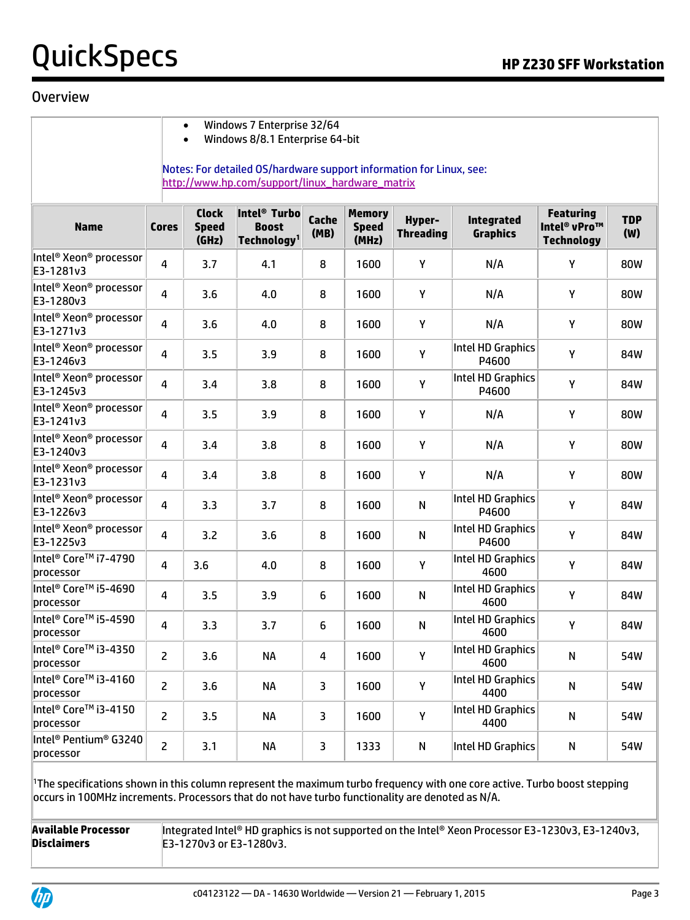#### Overview

| Windows 7 Enterprise 32/64<br>$\bullet$<br>Windows 8/8.1 Enterprise 64-bit<br>$\bullet$<br>Notes: For detailed OS/hardware support information for Linux, see:<br>http://www.hp.com/support/linux_hardware_matrix |                |                                       |                                                                     |                      |                                        |                            |                                      |                                                                   |                   |
|-------------------------------------------------------------------------------------------------------------------------------------------------------------------------------------------------------------------|----------------|---------------------------------------|---------------------------------------------------------------------|----------------------|----------------------------------------|----------------------------|--------------------------------------|-------------------------------------------------------------------|-------------------|
| <b>Name</b>                                                                                                                                                                                                       | <b>Cores</b>   | <b>Clock</b><br><b>Speed</b><br>(GHz) | Intel <sup>®</sup> Turbo<br><b>Boost</b><br>Technology <sup>1</sup> | <b>Cache</b><br>(MB) | <b>Memory</b><br><b>Speed</b><br>(MHz) | Hyper-<br><b>Threading</b> | <b>Integrated</b><br><b>Graphics</b> | <b>Featuring</b><br>Intel <sup>®</sup> vPro™<br><b>Technology</b> | <b>TDP</b><br>(W) |
| Intel® Xeon® processor<br>E3-1281v3                                                                                                                                                                               | $\overline{4}$ | 3.7                                   | 4.1                                                                 | 8                    | 1600                                   | Y                          | N/A                                  | Υ                                                                 | 80W               |
| Intel <sup>®</sup> Xeon® processor<br>E3-1280v3                                                                                                                                                                   | $\overline{4}$ | 3.6                                   | 4.0                                                                 | 8                    | 1600                                   | Y                          | N/A                                  | Υ                                                                 | 80W               |
| Intel® Xeon® processor<br>E3-1271v3                                                                                                                                                                               | 4              | 3.6                                   | 4.0                                                                 | 8                    | 1600                                   | Y                          | N/A                                  | Υ                                                                 | 80W               |
| Intel® Xeon® processor<br>E3-1246v3                                                                                                                                                                               | 4              | 3.5                                   | 3.9                                                                 | 8                    | 1600                                   | Y                          | Intel HD Graphics<br>P4600           | Υ                                                                 | 84W               |
| Intel <sup>®</sup> Xeon® processor<br>E3-1245v3                                                                                                                                                                   | $\overline{4}$ | 3.4                                   | 3.8                                                                 | 8                    | 1600                                   | Y                          | Intel HD Graphics<br>P4600           | Υ                                                                 | 84W               |
| Intel® Xeon® processor<br>E3-1241v3                                                                                                                                                                               | 4              | 3.5                                   | 3.9                                                                 | 8                    | 1600                                   | Y                          | N/A                                  | Y                                                                 | 80W               |
| Intel <sup>®</sup> Xeon® processor<br>E3-1240v3                                                                                                                                                                   | 4              | 3.4                                   | 3.8                                                                 | 8                    | 1600                                   | Y                          | N/A                                  | Υ                                                                 | 80W               |
| Intel <sup>®</sup> Xeon® processor<br>E3-1231v3                                                                                                                                                                   | $\overline{4}$ | 3.4                                   | 3.8                                                                 | 8                    | 1600                                   | Y                          | N/A                                  | Υ                                                                 | 80W               |
| Intel® Xeon® processor<br>E3-1226v3                                                                                                                                                                               | 4              | 3.3                                   | 3.7                                                                 | 8                    | 1600                                   | $\mathsf{N}$               | Intel HD Graphics<br>P4600           | Y                                                                 | 84W               |
| Intel® Xeon® processor<br>E3-1225v3                                                                                                                                                                               | 4              | 3.2                                   | 3.6                                                                 | 8                    | 1600                                   | ${\sf N}$                  | Intel HD Graphics<br>P4600           | Υ                                                                 | 84W               |
| Intel® Core™ i7-4790<br>processor                                                                                                                                                                                 | 4              | 3.6                                   | 4.0                                                                 | 8                    | 1600                                   | Y                          | Intel HD Graphics<br>4600            | Υ                                                                 | 84W               |
| Intel® Core™ i5-4690<br>processor                                                                                                                                                                                 | 4              | 3.5                                   | 3.9                                                                 | 6                    | 1600                                   | $\mathsf{N}$               | Intel HD Graphics<br>4600            | Υ                                                                 | 84W               |
| Intel® Core™ i5-4590<br>processor                                                                                                                                                                                 | $\overline{4}$ | 3.3                                   | 3.7                                                                 | 6                    | 1600                                   | ${\sf N}$                  | Intel HD Graphics<br>4600            | Υ                                                                 | 84W               |
| Intel® Core™ i3-4350<br>processor                                                                                                                                                                                 | 2              | 3.6                                   | <b>NA</b>                                                           | 4                    | 1600                                   | Y                          | Intel HD Graphics<br>4600            | N                                                                 | 54W               |
| Intel® Core™ i3-4160<br>processor                                                                                                                                                                                 | $\mathsf{Z}$   | 3.6                                   | <b>NA</b>                                                           | 3                    | 1600                                   | Y                          | Intel HD Graphics<br>4400            | N                                                                 | 54W               |
| ∥ntel® Core™ i3-4150<br>processor                                                                                                                                                                                 | 2              | 3.5                                   | <b>NA</b>                                                           | 3                    | 1600                                   | Y                          | Intel HD Graphics<br>4400            | ${\sf N}$                                                         | 54W               |
| Intel® Pentium® G3240<br>processor                                                                                                                                                                                | $\mathsf{Z}$   | 3.1                                   | ΝA                                                                  | 3                    | 1333                                   | N                          | Intel HD Graphics                    | N                                                                 | 54W               |

 $1$ The specifications shown in this column represent the maximum turbo frequency with one core active. Turbo boost stepping occurs in 100MHz increments. Processors that do not have turbo functionality are denoted as N/A.

**Available Processor Disclaimers**

Integrated Intel® HD graphics is not supported on the Intel® Xeon Processor E3-1230v3, E3-1240v3, E3-1270v3 or E3-1280v3.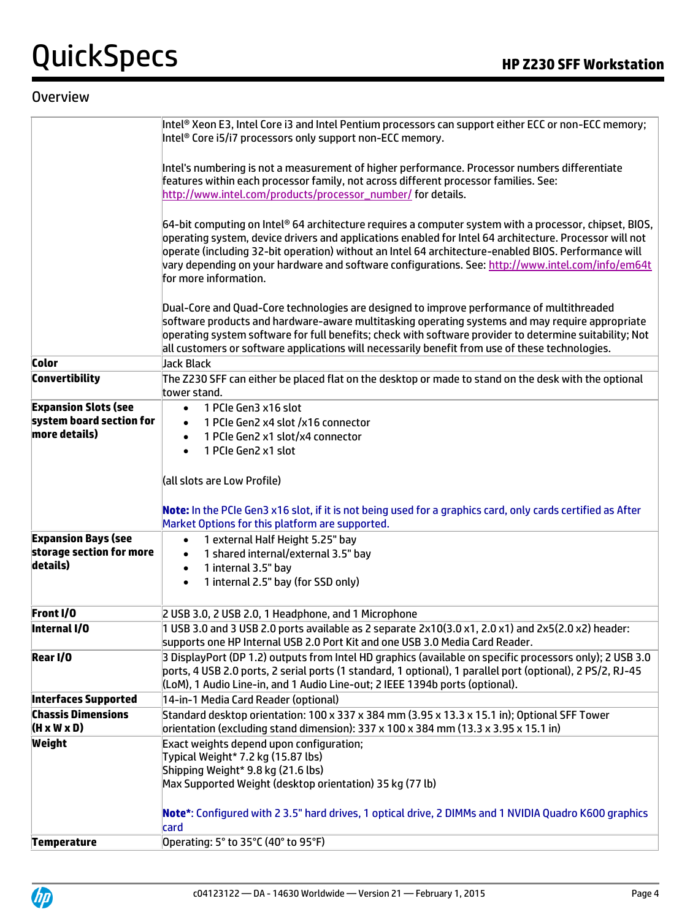# QuickSpecs **Manufature Contract Contract Contract Contract Contract Contract Contract Contract Contract Contract Contract Contract Contract Contract Contract Contract Contract Contract Contract Contract Contract Contract C**

#### **Overview**

|                             | Intel® Xeon E3, Intel Core i3 and Intel Pentium processors can support either ECC or non-ECC memory;<br>Intel® Core i5/i7 processors only support non-ECC memory.                                                                                                                                                                                                                                                                                                 |
|-----------------------------|-------------------------------------------------------------------------------------------------------------------------------------------------------------------------------------------------------------------------------------------------------------------------------------------------------------------------------------------------------------------------------------------------------------------------------------------------------------------|
|                             | Intel's numbering is not a measurement of higher performance. Processor numbers differentiate<br>features within each processor family, not across different processor families. See:<br>http://www.intel.com/products/processor_number/ for details.                                                                                                                                                                                                             |
|                             | $64$ -bit computing on Intel® 64 architecture requires a computer system with a processor, chipset, BIOS,<br>operating system, device drivers and applications enabled for Intel 64 architecture. Processor will not<br>operate (including 32-bit operation) without an Intel 64 architecture-enabled BIOS. Performance will<br>vary depending on your hardware and software configurations. See: <u>http://www.intel.com/info/em64t</u><br>for more information. |
|                             | Dual-Core and Quad-Core technologies are designed to improve performance of multithreaded<br>software products and hardware-aware multitasking operating systems and may require appropriate<br>operating system software for full benefits; check with software provider to determine suitability; Not<br>all customers or software applications will necessarily benefit from use of these technologies.                                                        |
| Color                       | Jack Black                                                                                                                                                                                                                                                                                                                                                                                                                                                        |
| <b>Convertibility</b>       | The Z230 SFF can either be placed flat on the desktop or made to stand on the desk with the optional<br>tower stand.                                                                                                                                                                                                                                                                                                                                              |
| <b>Expansion Slots (see</b> | 1 PCIe Gen3 x16 slot<br>$\bullet$                                                                                                                                                                                                                                                                                                                                                                                                                                 |
| system board section for    | 1 PCIe Gen2 x4 slot /x16 connector<br>$\bullet$                                                                                                                                                                                                                                                                                                                                                                                                                   |
| more details)               | 1 PCIe Gen2 x1 slot/x4 connector<br>$\bullet$                                                                                                                                                                                                                                                                                                                                                                                                                     |
|                             | 1 PCIe Gen2 x1 slot<br>$\bullet$                                                                                                                                                                                                                                                                                                                                                                                                                                  |
|                             |                                                                                                                                                                                                                                                                                                                                                                                                                                                                   |
|                             | (all slots are Low Profile)                                                                                                                                                                                                                                                                                                                                                                                                                                       |
|                             |                                                                                                                                                                                                                                                                                                                                                                                                                                                                   |
|                             | Note: In the PCIe Gen3 x16 slot, if it is not being used for a graphics card, only cards certified as After                                                                                                                                                                                                                                                                                                                                                       |
|                             | Market Options for this platform are supported.                                                                                                                                                                                                                                                                                                                                                                                                                   |
| <b>Expansion Bays (see</b>  | 1 external Half Height 5.25" bay<br>$\bullet$                                                                                                                                                                                                                                                                                                                                                                                                                     |
| storage section for more    | 1 shared internal/external 3.5" bay<br>$\bullet$                                                                                                                                                                                                                                                                                                                                                                                                                  |
| details)                    | 1 internal 3.5" bay<br>$\bullet$                                                                                                                                                                                                                                                                                                                                                                                                                                  |
|                             | 1 internal 2.5" bay (for SSD only)<br>$\bullet$                                                                                                                                                                                                                                                                                                                                                                                                                   |
|                             |                                                                                                                                                                                                                                                                                                                                                                                                                                                                   |
| Front I/O                   | 2 USB 3.0, 2 USB 2.0, 1 Headphone, and 1 Microphone                                                                                                                                                                                                                                                                                                                                                                                                               |
| Internal I/O                | 1 USB 3.0 and 3 USB 2.0 ports available as 2 separate 2x10(3.0 x1, 2.0 x1) and 2x5(2.0 x2) header:<br>supports one HP Internal USB 2.0 Port Kit and one USB 3.0 Media Card Reader.                                                                                                                                                                                                                                                                                |
| Rear I/O                    | 3 DisplayPort (DP 1.2) outputs from Intel HD graphics (available on specific processors only); 2 USB 3.0<br>ports, 4 USB 2.0 ports, 2 serial ports (1 standard, 1 optional), 1 parallel port (optional), 2 PS/2, RJ-45                                                                                                                                                                                                                                            |
|                             | (LoM), 1 Audio Line-in, and 1 Audio Line-out; 2 IEEE 1394b ports (optional).                                                                                                                                                                                                                                                                                                                                                                                      |
| <b>Interfaces Supported</b> | 14-in-1 Media Card Reader (optional)                                                                                                                                                                                                                                                                                                                                                                                                                              |
| <b>Chassis Dimensions</b>   | Standard desktop orientation: 100 x 337 x 384 mm (3.95 x 13.3 x 15.1 in); Optional SFF Tower                                                                                                                                                                                                                                                                                                                                                                      |
| $(H \times W \times D)$     | orientation (excluding stand dimension): 337 x 100 x 384 mm (13.3 x 3.95 x 15.1 in)                                                                                                                                                                                                                                                                                                                                                                               |
| Weight                      | Exact weights depend upon configuration;                                                                                                                                                                                                                                                                                                                                                                                                                          |
|                             | Typical Weight* 7.2 kg (15.87 lbs)                                                                                                                                                                                                                                                                                                                                                                                                                                |
|                             | Shipping Weight* 9.8 kg (21.6 lbs)                                                                                                                                                                                                                                                                                                                                                                                                                                |
|                             | Max Supported Weight (desktop orientation) 35 kg (77 lb)                                                                                                                                                                                                                                                                                                                                                                                                          |
|                             |                                                                                                                                                                                                                                                                                                                                                                                                                                                                   |
|                             | Note*: Configured with 2 3.5" hard drives, 1 optical drive, 2 DIMMs and 1 NVIDIA Quadro K600 graphics<br>card                                                                                                                                                                                                                                                                                                                                                     |
| <b>Temperature</b>          | Operating: 5° to 35°C (40° to 95°F)                                                                                                                                                                                                                                                                                                                                                                                                                               |
|                             |                                                                                                                                                                                                                                                                                                                                                                                                                                                                   |

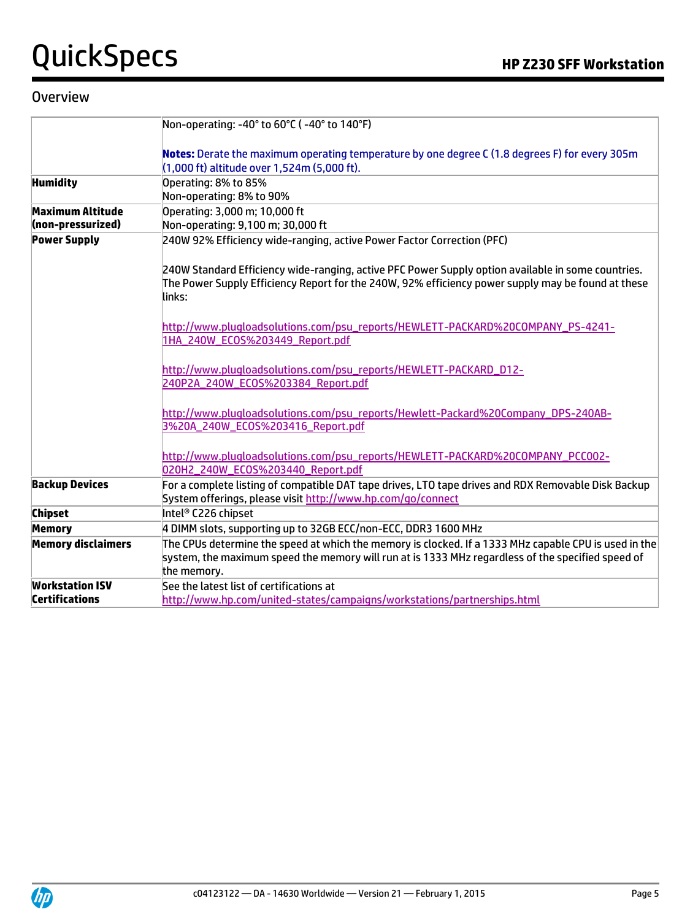#### **Overview**

|                                                 | Non-operating: -40° to 60°C (-40° to 140°F)                                                                                                                                                                               |
|-------------------------------------------------|---------------------------------------------------------------------------------------------------------------------------------------------------------------------------------------------------------------------------|
|                                                 | Notes: Derate the maximum operating temperature by one degree C (1.8 degrees F) for every 305m<br>(1,000 ft) altitude over 1,524m (5,000 ft).                                                                             |
| <b>Humidity</b>                                 | Operating: 8% to 85%<br>Non-operating: 8% to 90%                                                                                                                                                                          |
| <b>Maximum Altitude</b><br>(non-pressurized)    | Operating: 3,000 m; 10,000 ft<br>Non-operating: 9,100 m; 30,000 ft                                                                                                                                                        |
| <b>Power Supply</b>                             | 240W 92% Efficiency wide-ranging, active Power Factor Correction (PFC)                                                                                                                                                    |
|                                                 | 240W Standard Efficiency wide-ranging, active PFC Power Supply option available in some countries.<br>The Power Supply Efficiency Report for the 240W, 92% efficiency power supply may be found at these<br>links:        |
|                                                 | http://www.plugloadsolutions.com/psu_reports/HEWLETT-PACKARD%20COMPANY_PS-4241-<br>1HA_240W_ECOS%203449_Report.pdf                                                                                                        |
|                                                 | http://www.plugloadsolutions.com/psu_reports/HEWLETT-PACKARD_D12-<br>240P2A_240W_EC0S%203384_Report.pdf                                                                                                                   |
|                                                 | http://www.plugloadsolutions.com/psu_reports/Hewlett-Packard%20Company_DPS-240AB-<br>3%20A_240W_ECOS%203416_Report.pdf                                                                                                    |
|                                                 | http://www.plugloadsolutions.com/psu_reports/HEWLETT-PACKARD%20COMPANY_PCC002-<br>020H2_240W_ECOS%203440_Report.pdf                                                                                                       |
| <b>Backup Devices</b>                           | For a complete listing of compatible DAT tape drives, LTO tape drives and RDX Removable Disk Backup<br>System offerings, please visit http://www.hp.com/go/connect                                                        |
| <b>Chipset</b>                                  | Intel® C226 chipset                                                                                                                                                                                                       |
| <b>Memory</b>                                   | 4 DIMM slots, supporting up to 32GB ECC/non-ECC, DDR3 1600 MHz                                                                                                                                                            |
| <b>Memory disclaimers</b>                       | The CPUs determine the speed at which the memory is clocked. If a 1333 MHz capable CPU is used in the<br>system, the maximum speed the memory will run at is 1333 MHz regardless of the specified speed of<br>the memory. |
| <b>Workstation ISV</b><br><b>Certifications</b> | See the latest list of certifications at $\,$<br>http://www.hp.com/united-states/campaigns/workstations/partnerships.html                                                                                                 |

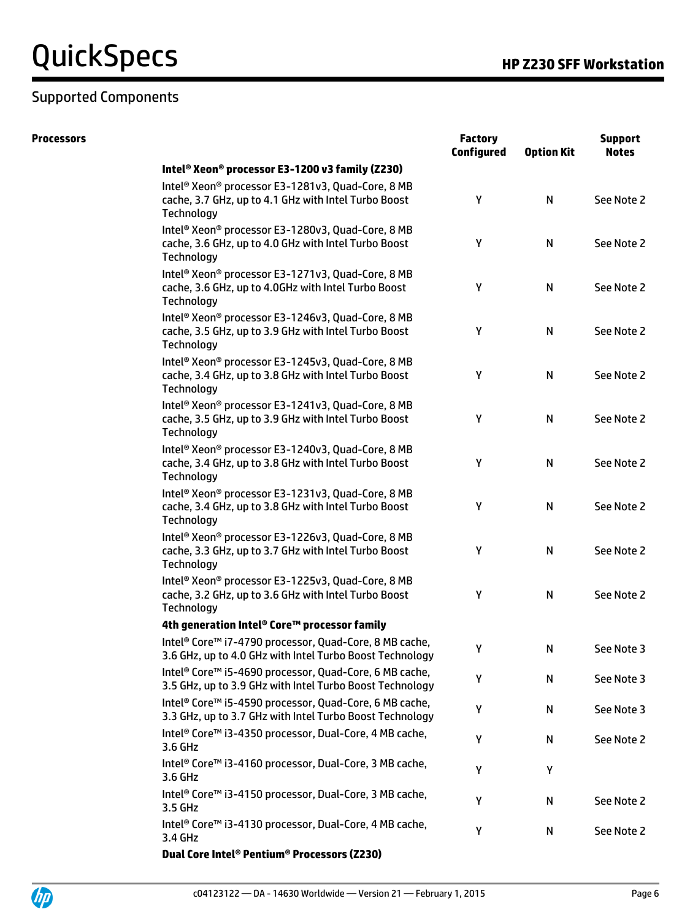### Supported Components

| Processors |                                                                                                                                                 | <b>Factory</b><br><b>Configured</b> | <b>Option Kit</b> | <b>Support</b><br><b>Notes</b> |
|------------|-------------------------------------------------------------------------------------------------------------------------------------------------|-------------------------------------|-------------------|--------------------------------|
|            | Intel® Xeon® processor E3-1200 v3 family (Z230)                                                                                                 |                                     |                   |                                |
|            | Intel <sup>®</sup> Xeon <sup>®</sup> processor E3-1281v3, Quad-Core, 8 MB<br>cache, 3.7 GHz, up to 4.1 GHz with Intel Turbo Boost<br>Technology | Υ                                   | N                 | See Note 2                     |
|            | Intel <sup>®</sup> Xeon <sup>®</sup> processor E3-1280v3, Quad-Core, 8 MB<br>cache, 3.6 GHz, up to 4.0 GHz with Intel Turbo Boost<br>Technology | Υ                                   | ${\sf N}$         | See Note 2                     |
|            | Intel <sup>®</sup> Xeon <sup>®</sup> processor E3-1271v3, Quad-Core, 8 MB<br>cache, 3.6 GHz, up to 4.0GHz with Intel Turbo Boost<br>Technology  | Υ                                   | ${\sf N}$         | See Note 2                     |
|            | Intel <sup>®</sup> Xeon <sup>®</sup> processor E3-1246v3, Quad-Core, 8 MB<br>cache, 3.5 GHz, up to 3.9 GHz with Intel Turbo Boost<br>Technology | Υ                                   | N                 | See Note 2                     |
|            | Intel <sup>®</sup> Xeon <sup>®</sup> processor E3-1245v3, Quad-Core, 8 MB<br>cache, 3.4 GHz, up to 3.8 GHz with Intel Turbo Boost<br>Technology | Υ                                   | N                 | See Note 2                     |
|            | Intel <sup>®</sup> Xeon <sup>®</sup> processor E3-1241v3, Quad-Core, 8 MB<br>cache, 3.5 GHz, up to 3.9 GHz with Intel Turbo Boost<br>Technology | Υ                                   | ${\sf N}$         | See Note 2                     |
|            | Intel <sup>®</sup> Xeon <sup>®</sup> processor E3-1240v3, Quad-Core, 8 MB<br>cache, 3.4 GHz, up to 3.8 GHz with Intel Turbo Boost<br>Technology | Υ                                   | ${\sf N}$         | See Note 2                     |
|            | Intel <sup>®</sup> Xeon <sup>®</sup> processor E3-1231v3, Quad-Core, 8 MB<br>cache, 3.4 GHz, up to 3.8 GHz with Intel Turbo Boost<br>Technology | Υ                                   | N                 | See Note 2                     |
|            | Intel® Xeon® processor E3-1226v3, Quad-Core, 8 MB<br>cache, 3.3 GHz, up to 3.7 GHz with Intel Turbo Boost<br>Technology                         | Υ                                   | N                 | See Note 2                     |
|            | Intel <sup>®</sup> Xeon <sup>®</sup> processor E3-1225v3, Quad-Core, 8 MB<br>cache, 3.2 GHz, up to 3.6 GHz with Intel Turbo Boost<br>Technology | Υ                                   | ${\sf N}$         | See Note 2                     |
|            | 4th generation Intel® Core™ processor family                                                                                                    |                                     |                   |                                |
|            | Intel <sup>®</sup> Core <sup>™</sup> i7-4790 processor, Quad-Core, 8 MB cache,<br>3.6 GHz, up to 4.0 GHz with Intel Turbo Boost Technology      | Y                                   | N                 | See Note 3                     |
|            | Intel <sup>®</sup> Core <sup>™</sup> i5-4690 processor, Quad-Core, 6 MB cache,<br>3.5 GHz, up to 3.9 GHz with Intel Turbo Boost Technology      | Υ                                   | N                 | See Note 3                     |
|            | Intel® Core™ i5-4590 processor, Quad-Core, 6 MB cache,<br>3.3 GHz, up to 3.7 GHz with Intel Turbo Boost Technology                              | Υ                                   | N                 | See Note 3                     |
|            | Intel <sup>®</sup> Core <sup>™</sup> i3-4350 processor, Dual-Core, 4 MB cache,<br>3.6 GHz                                                       | Υ                                   | N                 | See Note 2                     |
|            | Intel <sup>®</sup> Core™ i3-4160 processor, Dual-Core, 3 MB cache,<br>3.6 GHz                                                                   | Υ                                   | Υ                 |                                |
|            | Intel <sup>®</sup> Core <sup>™</sup> i3-4150 processor, Dual-Core, 3 MB cache,<br>3.5 GHz                                                       | Υ                                   | N                 | See Note 2                     |
|            | Intel <sup>®</sup> Core™ i3-4130 processor, Dual-Core, 4 MB cache,<br>3.4 GHz                                                                   | Υ                                   | N                 | See Note 2                     |
|            | Dual Core Intel® Pentium® Processors (Z230)                                                                                                     |                                     |                   |                                |



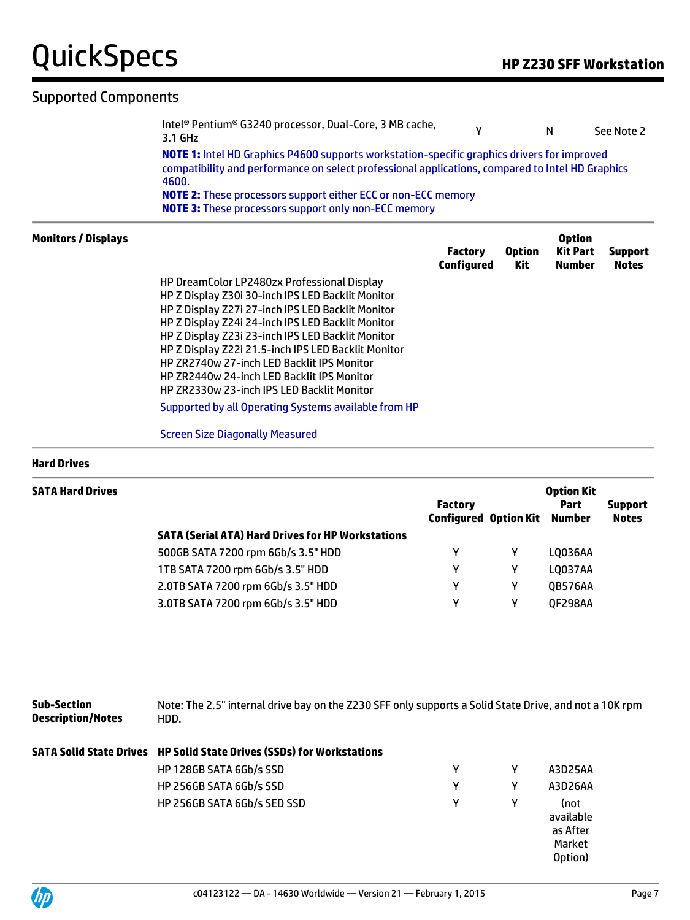# QuickSpecs and the control of the Control of the Control of the Control of the Control of the Control of the Control of the Control of the Control of the Control of the Control of the Control of the Control of the Control

#### Supported Components

|                                                                                                                                                                                                                                                                                                                                                        | Intel <sup>®</sup> Pentium <sup>®</sup> G3240 processor, Dual-Core, 3 MB cache,<br>3.1 GHz                                                                                                                        | γ                            |                      | N                                   | See Note 2                     |
|--------------------------------------------------------------------------------------------------------------------------------------------------------------------------------------------------------------------------------------------------------------------------------------------------------------------------------------------------------|-------------------------------------------------------------------------------------------------------------------------------------------------------------------------------------------------------------------|------------------------------|----------------------|-------------------------------------|--------------------------------|
| <b>NOTE 1:</b> Intel HD Graphics P4600 supports workstation-specific graphics drivers for improved<br>compatibility and performance on select professional applications, compared to Intel HD Graphics<br>4600.<br><b>NOTE 2:</b> These processors support either ECC or non-ECC memory<br><b>NOTE 3:</b> These processors support only non-ECC memory |                                                                                                                                                                                                                   |                              |                      |                                     |                                |
| <b>Monitors / Displays</b>                                                                                                                                                                                                                                                                                                                             |                                                                                                                                                                                                                   | <b>Factory</b><br>Configured | <b>Option</b><br>Kit | <b>Option</b><br>Kit Part<br>Number | <b>Support</b><br><b>Notes</b> |
|                                                                                                                                                                                                                                                                                                                                                        | <b>HP DreamColor LP2480zx Professional Display</b><br>HP Z Display Z30i 30-inch IPS LED Backlit Monitor<br>HP Z Display Z27i 27-inch IPS LED Backlit Monitor<br>HP Z Display Z24i 24-inch IPS LED Backlit Monitor |                              |                      |                                     |                                |

HP Z Display Z23i 23-inch IPS LED Backlit Monitor HP Z Display Z22i 21.5-inch IPS LED Backlit Monitor HP ZR2740w 27-inch LED Backlit IPS Monitor HP ZR2440w 24-inch LED Backlit IPS Monitor HP ZR2330w 23-inch IPS LED Backlit Monitor

Supported by all Operating Systems available from HP

Screen Size Diagonally Measured

#### **Hard Drives**

| SATA Hard Drives |                                                          |                                                |   | <b>Option Kit</b>     |                                |  |
|------------------|----------------------------------------------------------|------------------------------------------------|---|-----------------------|--------------------------------|--|
|                  |                                                          | <b>Factory</b><br><b>Configured Option Kit</b> |   | <b>Part</b><br>Number | <b>Support</b><br><b>Notes</b> |  |
|                  | <b>SATA (Serial ATA) Hard Drives for HP Workstations</b> |                                                |   |                       |                                |  |
|                  | 500GB SATA 7200 rpm 6Gb/s 3.5" HDD                       |                                                | Υ | L0036AA               |                                |  |
|                  | 1TB SATA 7200 rpm 6Gb/s 3.5" HDD                         | Y                                              | Υ | L0037AA               |                                |  |
|                  | 2.0TB SATA 7200 rpm 6Gb/s 3.5" HDD                       | γ                                              | γ | <b>OB576AA</b>        |                                |  |
|                  | 3.0TB SATA 7200 rpm 6Gb/s 3.5" HDD                       | v                                              | Υ | QF298AA               |                                |  |
|                  |                                                          |                                                |   |                       |                                |  |

**Sub-Section Description/Notes** Note: The 2.5" internal drive bay on the Z230 SFF only supports a Solid State Drive, and not a 10K rpm HDD.

|  | SATA Solid State Drives HP Solid State Drives (SSDs) for Workstations |   |   |                                                    |
|--|-----------------------------------------------------------------------|---|---|----------------------------------------------------|
|  | HP 128GB SATA 6Gb/s SSD                                               |   |   | A3D25AA                                            |
|  | HP 256GB SATA 6Gb/s SSD                                               | ν | γ | A3D26AA                                            |
|  | HP 256GB SATA 6Gb/s SED SSD                                           | ν |   | (not<br>available<br>as After<br>Market<br>Option) |

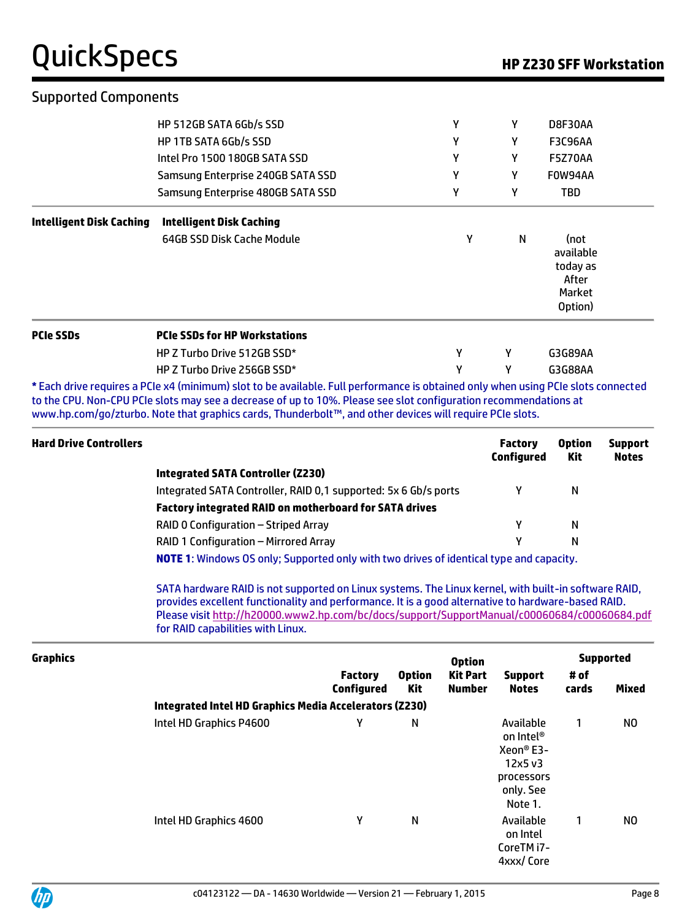# QuickSpecs and the control of the Control of the Control of the Control of the Control of the Control of the Control of the Control of the Control of the Control of the Control of the Control of the Control of the Control

#### Supported Components

|                                 | HP 512GB SATA 6Gb/s SSD              | ٧ | γ | D8F30AA                                                     |  |
|---------------------------------|--------------------------------------|---|---|-------------------------------------------------------------|--|
|                                 | HP 1TB SATA 6Gb/s SSD                | γ | γ | <b>F3C96AA</b>                                              |  |
|                                 | Intel Pro 1500 180GB SATA SSD        | γ | γ | F5Z70AA                                                     |  |
|                                 | Samsung Enterprise 240GB SATA SSD    | γ | γ | FOW94AA                                                     |  |
|                                 | Samsung Enterprise 480GB SATA SSD    | Υ | γ | TBD                                                         |  |
| <b>Intelligent Disk Caching</b> | <b>Intelligent Disk Caching</b>      |   |   |                                                             |  |
|                                 | 64GB SSD Disk Cache Module           | γ | N | (not<br>available<br>today as<br>After<br>Market<br>Option) |  |
| <b>PCIe SSDs</b>                | <b>PCIe SSDs for HP Workstations</b> |   |   |                                                             |  |
|                                 | HP Z Turbo Drive 512GB SSD*          | γ | γ | G3G89AA                                                     |  |
|                                 | HP Z Turbo Drive 256GB SSD*          | γ | γ | G3G88AA                                                     |  |
|                                 |                                      |   |   |                                                             |  |

**\*** Each drive requires a PCIe x4 (minimum) slot to be available. Full performance is obtained only when using PCIe slots connected to the CPU. Non-CPU PCIe slots may see a decrease of up to 10%. Please see slot configuration recommendations at www.hp.com/go/zturbo. Note that graphics cards, Thunderbolt™, and other devices will require PCIe slots.

| <b>Hard Drive Controllers</b> |                                                                                                | <b>Factory</b><br>Configured | <b>Option</b><br>Kit | <b>Support</b><br><b>Notes</b> |
|-------------------------------|------------------------------------------------------------------------------------------------|------------------------------|----------------------|--------------------------------|
|                               | <b>Integrated SATA Controller (Z230)</b>                                                       |                              |                      |                                |
|                               | Integrated SATA Controller, RAID 0,1 supported: 5x 6 Gb/s ports                                |                              | N                    |                                |
|                               | <b>Factory integrated RAID on motherboard for SATA drives</b>                                  |                              |                      |                                |
|                               | RAID 0 Configuration – Striped Array                                                           |                              | N                    |                                |
|                               | RAID 1 Configuration – Mirrored Array                                                          | ν                            | N                    |                                |
|                               | <b>NOTE 1:</b> Windows OS only; Supported only with two drives of identical type and capacity. |                              |                      |                                |

SATA hardware RAID is not supported on Linux systems. The Linux kernel, with built-in software RAID, provides excellent functionality and performance. It is a good alternative to hardware-based RAID. Please visi[t http://h20000.www2.hp.com/bc/docs/support/SupportManual/c00060684/c00060684.pdf](http://h20000.www2.hp.com/bc/docs/support/SupportManual/c00060684/c00060684.pdf) for RAID capabilities with Linux.

| <b>Graphics</b> |                                                        |                              | <b>Option</b>        |                                  |                                                                                                              | <b>Supported</b> |       |
|-----------------|--------------------------------------------------------|------------------------------|----------------------|----------------------------------|--------------------------------------------------------------------------------------------------------------|------------------|-------|
|                 |                                                        | <b>Factory</b><br>Configured | <b>Option</b><br>Kit | <b>Kit Part</b><br><b>Number</b> | <b>Support</b><br><b>Notes</b>                                                                               | # of<br>cards    | Mixed |
|                 | Integrated Intel HD Graphics Media Accelerators (Z230) |                              |                      |                                  |                                                                                                              |                  |       |
|                 | Intel HD Graphics P4600                                | Y                            | N                    |                                  | Available<br>on Intel <sup>®</sup><br>Xeon <sup>®</sup> E3-<br>12x5 v3<br>processors<br>only. See<br>Note 1. | 1                | NO.   |
|                 | Intel HD Graphics 4600                                 | Υ                            | N                    |                                  | Available<br>on Intel<br>CoreTM i7-<br>4xxx/Core                                                             | 1                | NO.   |

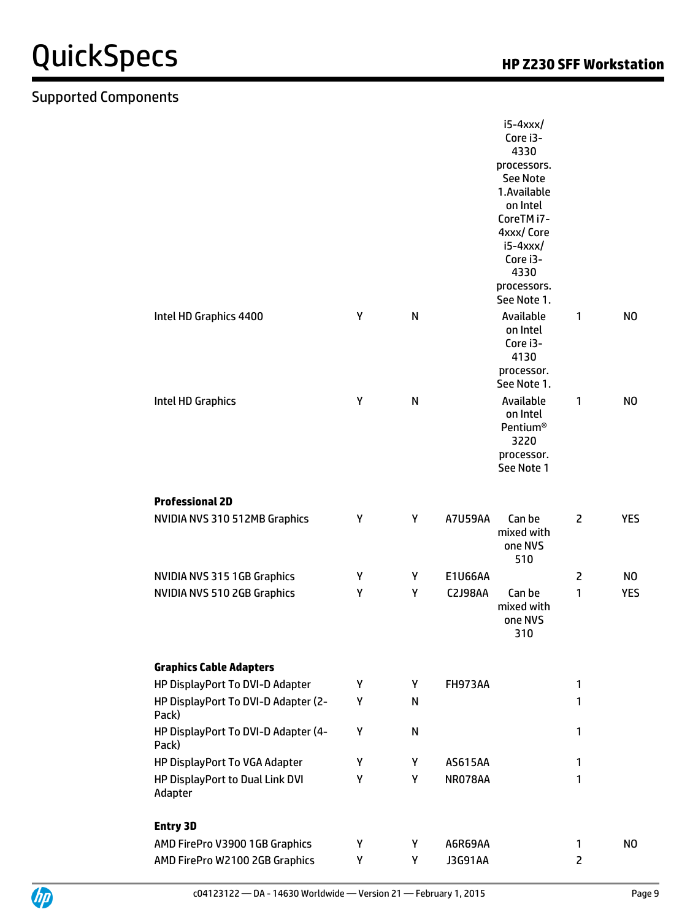### Supported Components

|                                     |   |   |                | $i5-4$ xxx/              |                |                |
|-------------------------------------|---|---|----------------|--------------------------|----------------|----------------|
|                                     |   |   |                | Core i3-                 |                |                |
|                                     |   |   |                | 4330                     |                |                |
|                                     |   |   |                | processors.              |                |                |
|                                     |   |   |                | <b>See Note</b>          |                |                |
|                                     |   |   |                | 1.Available<br>on Intel  |                |                |
|                                     |   |   |                | CoreTM i7-               |                |                |
|                                     |   |   |                | 4xxx/Core                |                |                |
|                                     |   |   |                | $i5-4xxx/$               |                |                |
|                                     |   |   |                | Core i3-                 |                |                |
|                                     |   |   |                | 4330                     |                |                |
|                                     |   |   |                | processors.              |                |                |
|                                     |   |   |                | See Note 1.              |                |                |
| Intel HD Graphics 4400              | Υ | N |                | Available                | 1              | N <sub>0</sub> |
|                                     |   |   |                | on Intel<br>Core i3-     |                |                |
|                                     |   |   |                | 4130                     |                |                |
|                                     |   |   |                | processor.               |                |                |
|                                     |   |   |                | See Note 1.              |                |                |
| Intel HD Graphics                   | Υ | N |                | Available                | 1              | N <sub>0</sub> |
|                                     |   |   |                | on Intel                 |                |                |
|                                     |   |   |                | Pentium <sup>®</sup>     |                |                |
|                                     |   |   |                | 3220                     |                |                |
|                                     |   |   |                | processor.<br>See Note 1 |                |                |
|                                     |   |   |                |                          |                |                |
| <b>Professional 2D</b>              |   |   |                |                          |                |                |
| NVIDIA NVS 310 512MB Graphics       | Υ | Υ | <b>A7U59AA</b> | Can be                   | $\overline{c}$ | <b>YES</b>     |
|                                     |   |   |                | mixed with               |                |                |
|                                     |   |   |                | one NVS                  |                |                |
|                                     |   |   |                | 510                      |                |                |
| NVIDIA NVS 315 1GB Graphics         | Υ | Υ | E1U66AA        |                          | 2              | N <sub>0</sub> |
| NVIDIA NVS 510 2GB Graphics         | Υ | Υ | <b>C2J98AA</b> | Can be                   | 1              | <b>YES</b>     |
|                                     |   |   |                | mixed with               |                |                |
|                                     |   |   |                | one NVS<br>310           |                |                |
|                                     |   |   |                |                          |                |                |
| <b>Graphics Cable Adapters</b>      |   |   |                |                          |                |                |
| HP DisplayPort To DVI-D Adapter     | Υ | Υ | FH973AA        |                          | 1              |                |
| HP DisplayPort To DVI-D Adapter (2- | Υ | N |                |                          | $\mathbf{1}$   |                |
| Pack)                               |   |   |                |                          |                |                |
| HP DisplayPort To DVI-D Adapter (4- | Y | N |                |                          | 1              |                |
| Pack)                               |   |   |                |                          |                |                |
| HP DisplayPort To VGA Adapter       | Y | Y | AS615AA        |                          | 1              |                |
| HP DisplayPort to Dual Link DVI     | Υ | Υ | NR078AA        |                          | 1              |                |
| Adapter                             |   |   |                |                          |                |                |
|                                     |   |   |                |                          |                |                |
| <b>Entry 3D</b>                     |   |   |                |                          |                |                |
| AMD FirePro V3900 1GB Graphics      | Υ | Υ | A6R69AA        |                          | $\mathbf{1}$   | NO.            |
| AMD FirePro W2100 2GB Graphics      | Υ | Υ | J3G91AA        |                          | $\overline{2}$ |                |

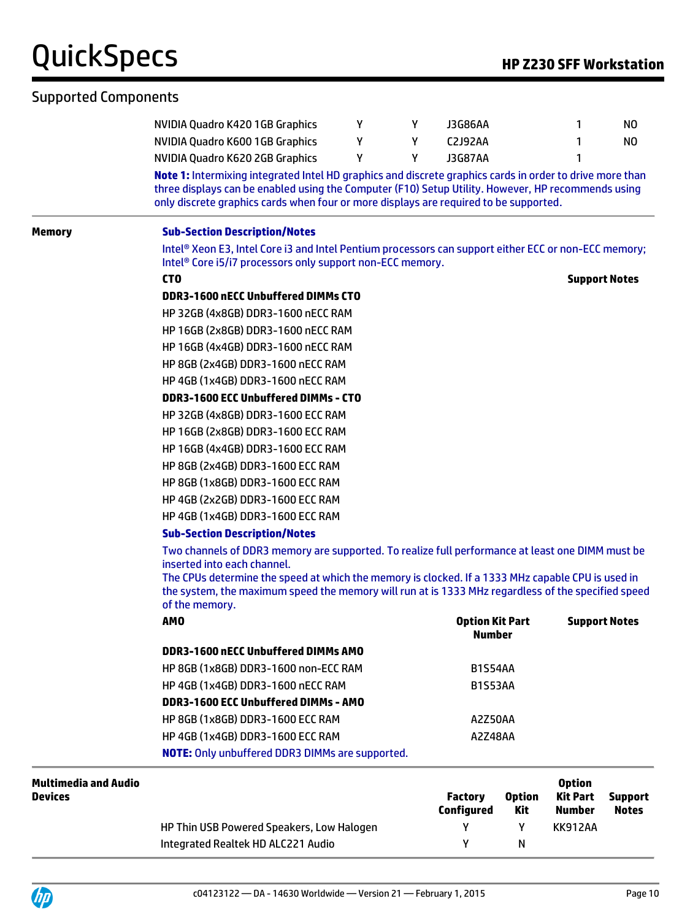### Supported Components

|                                               | NVIDIA Quadro K420 1GB Graphics                                                                                                                                                                                                                                                                                                                              | Y | Υ | <b>J3G86AA</b>                   |                      | 1                                | NO                             |
|-----------------------------------------------|--------------------------------------------------------------------------------------------------------------------------------------------------------------------------------------------------------------------------------------------------------------------------------------------------------------------------------------------------------------|---|---|----------------------------------|----------------------|----------------------------------|--------------------------------|
|                                               | NVIDIA Quadro K600 1GB Graphics                                                                                                                                                                                                                                                                                                                              | Y | Y | <b>C2J92AA</b>                   |                      | 1                                | N <sub>0</sub>                 |
|                                               | NVIDIA Quadro K620 2GB Graphics                                                                                                                                                                                                                                                                                                                              | Y | Y | <b>J3G87AA</b>                   |                      | 1                                |                                |
|                                               | Note 1: Intermixing integrated Intel HD graphics and discrete graphics cards in order to drive more than<br>three displays can be enabled using the Computer (F10) Setup Utility. However, HP recommends using<br>only discrete graphics cards when four or more displays are required to be supported.                                                      |   |   |                                  |                      |                                  |                                |
| <b>Memory</b>                                 | <b>Sub-Section Description/Notes</b>                                                                                                                                                                                                                                                                                                                         |   |   |                                  |                      |                                  |                                |
|                                               | Intel® Xeon E3, Intel Core i3 and Intel Pentium processors can support either ECC or non-ECC memory;<br>Intel <sup>®</sup> Core i5/i7 processors only support non-ECC memory.                                                                                                                                                                                |   |   |                                  |                      |                                  |                                |
|                                               | CT <sub>0</sub>                                                                                                                                                                                                                                                                                                                                              |   |   |                                  |                      |                                  | <b>Support Notes</b>           |
|                                               | DDR3-1600 nECC Unbuffered DIMMs CTO                                                                                                                                                                                                                                                                                                                          |   |   |                                  |                      |                                  |                                |
|                                               | HP 32GB (4x8GB) DDR3-1600 nECC RAM                                                                                                                                                                                                                                                                                                                           |   |   |                                  |                      |                                  |                                |
|                                               | HP 16GB (2x8GB) DDR3-1600 nECC RAM                                                                                                                                                                                                                                                                                                                           |   |   |                                  |                      |                                  |                                |
|                                               | HP 16GB (4x4GB) DDR3-1600 nECC RAM                                                                                                                                                                                                                                                                                                                           |   |   |                                  |                      |                                  |                                |
|                                               | HP 8GB (2x4GB) DDR3-1600 nECC RAM                                                                                                                                                                                                                                                                                                                            |   |   |                                  |                      |                                  |                                |
|                                               | HP 4GB (1x4GB) DDR3-1600 nECC RAM                                                                                                                                                                                                                                                                                                                            |   |   |                                  |                      |                                  |                                |
|                                               | <b>DDR3-1600 ECC Unbuffered DIMMs - CTO</b>                                                                                                                                                                                                                                                                                                                  |   |   |                                  |                      |                                  |                                |
|                                               | HP 32GB (4x8GB) DDR3-1600 ECC RAM                                                                                                                                                                                                                                                                                                                            |   |   |                                  |                      |                                  |                                |
|                                               | HP 16GB (2x8GB) DDR3-1600 ECC RAM                                                                                                                                                                                                                                                                                                                            |   |   |                                  |                      |                                  |                                |
|                                               | HP 16GB (4x4GB) DDR3-1600 ECC RAM                                                                                                                                                                                                                                                                                                                            |   |   |                                  |                      |                                  |                                |
|                                               | HP 8GB (2x4GB) DDR3-1600 ECC RAM                                                                                                                                                                                                                                                                                                                             |   |   |                                  |                      |                                  |                                |
|                                               | HP 8GB (1x8GB) DDR3-1600 ECC RAM                                                                                                                                                                                                                                                                                                                             |   |   |                                  |                      |                                  |                                |
|                                               | HP 4GB (2x2GB) DDR3-1600 ECC RAM                                                                                                                                                                                                                                                                                                                             |   |   |                                  |                      |                                  |                                |
|                                               | HP 4GB (1x4GB) DDR3-1600 ECC RAM                                                                                                                                                                                                                                                                                                                             |   |   |                                  |                      |                                  |                                |
|                                               | <b>Sub-Section Description/Notes</b>                                                                                                                                                                                                                                                                                                                         |   |   |                                  |                      |                                  |                                |
|                                               | Two channels of DDR3 memory are supported. To realize full performance at least one DIMM must be<br>inserted into each channel.<br>The CPUs determine the speed at which the memory is clocked. If a 1333 MHz capable CPU is used in<br>the system, the maximum speed the memory will run at is 1333 MHz regardless of the specified speed<br>of the memory. |   |   |                                  |                      |                                  |                                |
|                                               | <b>AMO</b>                                                                                                                                                                                                                                                                                                                                                   |   |   | <b>Option Kit Part</b><br>Number |                      |                                  | <b>Support Notes</b>           |
|                                               | <b>DDR3-1600 nECC Unbuffered DIMMs AMO</b>                                                                                                                                                                                                                                                                                                                   |   |   |                                  |                      |                                  |                                |
|                                               | HP 8GB (1x8GB) DDR3-1600 non-ECC RAM                                                                                                                                                                                                                                                                                                                         |   |   | <b>B1S54AA</b>                   |                      |                                  |                                |
|                                               | HP 4GB (1x4GB) DDR3-1600 nECC RAM                                                                                                                                                                                                                                                                                                                            |   |   | <b>B1S53AA</b>                   |                      |                                  |                                |
|                                               | DDR3-1600 ECC Unbuffered DIMMs - AMO                                                                                                                                                                                                                                                                                                                         |   |   |                                  |                      |                                  |                                |
|                                               | HP 8GB (1x8GB) DDR3-1600 ECC RAM                                                                                                                                                                                                                                                                                                                             |   |   | A2Z50AA                          |                      |                                  |                                |
|                                               | HP 4GB (1x4GB) DDR3-1600 ECC RAM                                                                                                                                                                                                                                                                                                                             |   |   | A2Z48AA                          |                      |                                  |                                |
|                                               | <b>NOTE:</b> Only unbuffered DDR3 DIMMs are supported.                                                                                                                                                                                                                                                                                                       |   |   |                                  |                      |                                  |                                |
| <b>Multimedia and Audio</b><br><b>Devices</b> |                                                                                                                                                                                                                                                                                                                                                              |   |   |                                  |                      | <b>Option</b><br><b>Kit Part</b> |                                |
|                                               |                                                                                                                                                                                                                                                                                                                                                              |   |   | <b>Factory</b><br>Configured     | <b>Option</b><br>Kit | <b>Number</b>                    | <b>Support</b><br><b>Notes</b> |
|                                               | HP Thin USB Powered Speakers, Low Halogen                                                                                                                                                                                                                                                                                                                    |   |   | Υ                                | Y                    | <b>KK912AA</b>                   |                                |



Integrated Realtek HD ALC221 Audio Y N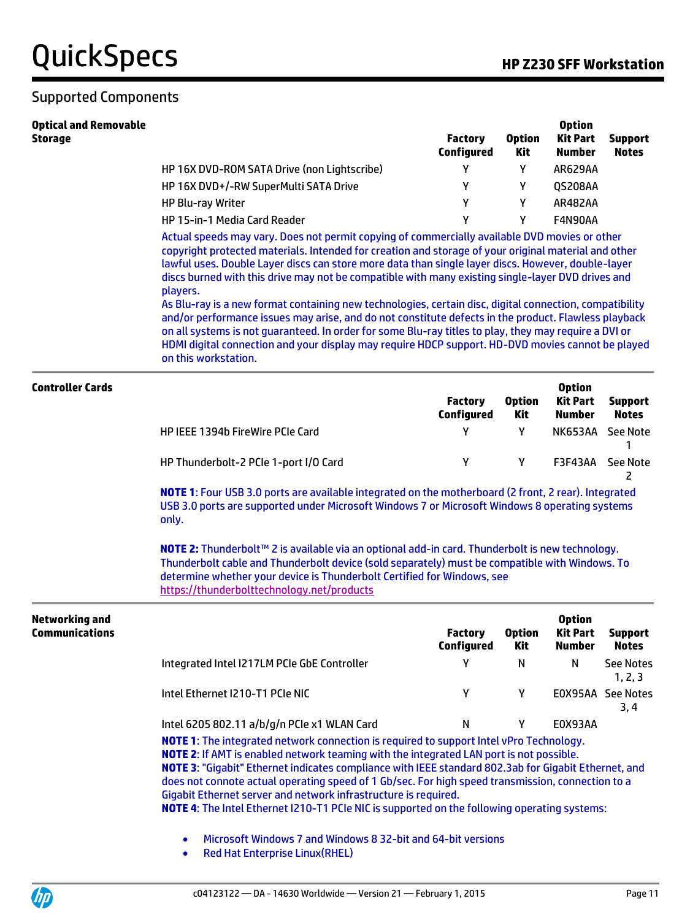#### Supported Components

| <b>Optical and Removable</b><br><b>Storage</b> |                                                                                                                                                                                                                                                                                                                                            | <b>Factory</b><br>Configured | <b>Option</b><br>Kit | <b>Option</b><br><b>Kit Part</b><br><b>Number</b> | <b>Support</b><br><b>Notes</b> |
|------------------------------------------------|--------------------------------------------------------------------------------------------------------------------------------------------------------------------------------------------------------------------------------------------------------------------------------------------------------------------------------------------|------------------------------|----------------------|---------------------------------------------------|--------------------------------|
|                                                | HP 16X DVD-ROM SATA Drive (non Lightscribe)                                                                                                                                                                                                                                                                                                | γ                            | Υ                    | <b>AR629AA</b>                                    |                                |
|                                                | HP 16X DVD+/-RW SuperMulti SATA Drive                                                                                                                                                                                                                                                                                                      | γ                            | Y                    | <b>QS208AA</b>                                    |                                |
|                                                | HP Blu-ray Writer                                                                                                                                                                                                                                                                                                                          | Υ                            | Υ                    | <b>AR482AA</b>                                    |                                |
|                                                | HP 15-in-1 Media Card Reader                                                                                                                                                                                                                                                                                                               | γ                            | Υ                    | F4N90AA                                           |                                |
|                                                | As Blu-ray is a new format containing new technologies, certain disc, digital connection, compatibility                                                                                                                                                                                                                                    |                              |                      |                                                   |                                |
|                                                | and/or performance issues may arise, and do not constitute defects in the product. Flawless playback<br>on all systems is not guaranteed. In order for some Blu-ray titles to play, they may require a DVI or<br>HDMI digital connection and your display may require HDCP support. HD-DVD movies cannot be played<br>on this workstation. |                              |                      |                                                   |                                |
| <b>Controller Cards</b>                        |                                                                                                                                                                                                                                                                                                                                            | <b>Factory</b>               | <b>Option</b><br>Kit | <b>Option</b><br><b>Kit Part</b><br><b>Number</b> | <b>Support</b><br><b>Notes</b> |
|                                                | HP IEEE 1394b FireWire PCIe Card                                                                                                                                                                                                                                                                                                           | <b>Configured</b><br>γ       | Υ                    | NK653AA                                           | <b>See Note</b>                |
|                                                | HP Thunderbolt-2 PCIe 1-port I/O Card                                                                                                                                                                                                                                                                                                      | Υ                            | Υ                    | <b>F3F43AA</b>                                    | <b>See Note</b><br>2           |

Thunderbolt cable and Thunderbolt device (sold separately) must be compatible with Windows. To determine whether your device is Thunderbolt Certified for Windows, see <https://thunderbolttechnology.net/products>

| Networking and<br>Communications |                                                                                                                                                                                                                                                                                                                                                                                                                                                                                                                                                                                         | <b>Factory</b><br>Configured | <b>Option</b><br>Kit | <b>Option</b><br><b>Kit Part</b><br><b>Number</b> | <b>Support</b><br><b>Notes</b> |
|----------------------------------|-----------------------------------------------------------------------------------------------------------------------------------------------------------------------------------------------------------------------------------------------------------------------------------------------------------------------------------------------------------------------------------------------------------------------------------------------------------------------------------------------------------------------------------------------------------------------------------------|------------------------------|----------------------|---------------------------------------------------|--------------------------------|
|                                  | Integrated Intel I217LM PCIe GbE Controller                                                                                                                                                                                                                                                                                                                                                                                                                                                                                                                                             | γ                            | N                    | N                                                 | See Notes<br>1, 2, 3           |
|                                  | Intel Ethernet I210-T1 PCIe NIC                                                                                                                                                                                                                                                                                                                                                                                                                                                                                                                                                         | Υ                            | Y                    |                                                   | E0X95AA See Notes<br>3, 4      |
|                                  | Intel 6205 802.11 a/b/g/n PCIe x1 WLAN Card                                                                                                                                                                                                                                                                                                                                                                                                                                                                                                                                             | N                            | Υ                    | E0X93AA                                           |                                |
|                                  | <b>NOTE 1:</b> The integrated network connection is required to support Intel vPro Technology.<br><b>NOTE 2:</b> If AMT is enabled network teaming with the integrated LAN port is not possible.<br>NOTE 3: "Gigabit" Ethernet indicates compliance with IEEE standard 802.3ab for Gigabit Ethernet, and<br>does not connote actual operating speed of 1 Gb/sec. For high speed transmission, connection to a<br>Gigabit Ethernet server and network infrastructure is required.<br><b>NOTE 4:</b> The Intel Ethernet I210-T1 PCIe NIC is supported on the following operating systems: |                              |                      |                                                   |                                |

- Microsoft Windows 7 and Windows 8 32-bit and 64-bit versions
- Red Hat Enterprise Linux (RHEL)

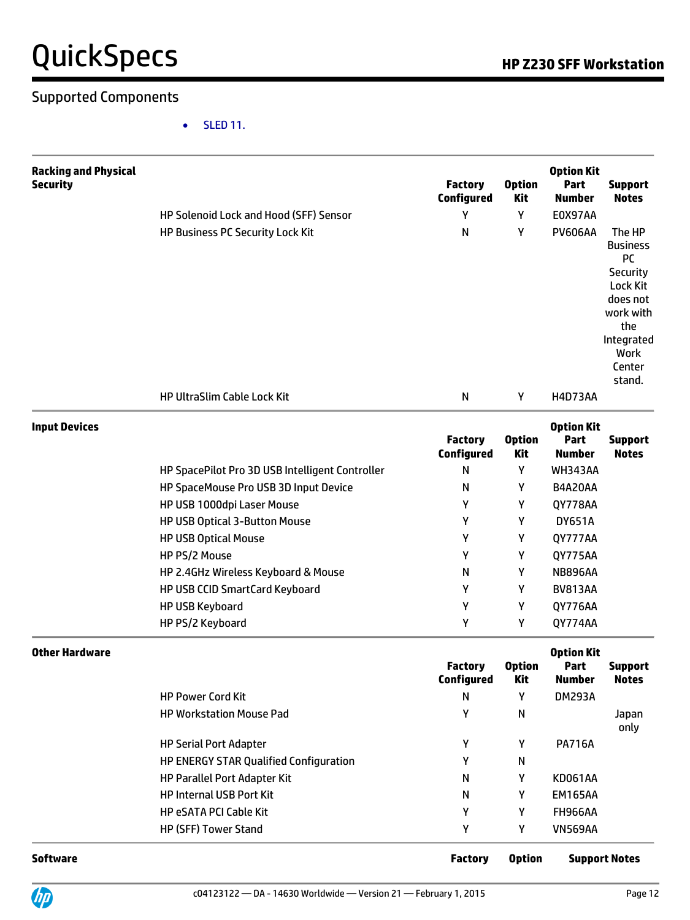#### Supported Components

SLED 11.

| <b>Racking and Physical</b><br><b>Security</b> |                                               | Factory<br><b>Configured</b> | <b>Option</b><br>Kit | <b>Option Kit</b><br>Part<br><b>Number</b> | <b>Support</b><br><b>Notes</b>                                                                                                                         |
|------------------------------------------------|-----------------------------------------------|------------------------------|----------------------|--------------------------------------------|--------------------------------------------------------------------------------------------------------------------------------------------------------|
|                                                | <b>HP Solenoid Lock and Hood (SFF) Sensor</b> | Y                            | Υ                    | E0X97AA                                    |                                                                                                                                                        |
|                                                | <b>HP Business PC Security Lock Kit</b>       | N                            | Υ                    | <b>PV606AA</b>                             | The HP<br><b>Business</b><br><b>PC</b><br><b>Security</b><br><b>Lock Kit</b><br>does not<br>work with<br>the<br>Integrated<br>Work<br>Center<br>stand. |
|                                                | <b>HP UltraSlim Cable Lock Kit</b>            | N                            | γ                    | <b>H4D73AA</b>                             |                                                                                                                                                        |

| <b>Input Devices</b> |                                                 | <b>Factory</b><br><b>Configured</b> | <b>Option</b><br>Kit | <b>Option Kit</b><br><b>Part</b><br>Number | <b>Support</b><br><b>Notes</b> |
|----------------------|-------------------------------------------------|-------------------------------------|----------------------|--------------------------------------------|--------------------------------|
|                      | HP SpacePilot Pro 3D USB Intelligent Controller | N                                   | γ                    | <b>WH343AA</b>                             |                                |
|                      | HP SpaceMouse Pro USB 3D Input Device           | N                                   | γ                    | B4A20AA                                    |                                |
|                      | HP USB 1000dpi Laser Mouse                      | Υ                                   | γ                    | QY778AA                                    |                                |
|                      | <b>HP USB Optical 3-Button Mouse</b>            | Υ                                   | γ                    | <b>DY651A</b>                              |                                |
|                      | <b>HP USB Optical Mouse</b>                     | γ                                   | γ                    | 0Y777AA                                    |                                |
|                      | HP PS/2 Mouse                                   | γ                                   | γ                    | 0Y775AA                                    |                                |
|                      | HP 2.4GHz Wireless Keyboard & Mouse             | Ν                                   | γ                    | <b>NB896AA</b>                             |                                |
|                      | <b>HP USB CCID SmartCard Keyboard</b>           | Υ                                   | γ                    | <b>BV813AA</b>                             |                                |
|                      | <b>HP USB Keyboard</b>                          | γ                                   | γ                    | 0Y776AA                                    |                                |
|                      | HP PS/2 Keyboard                                | γ                                   | γ                    | 0Y774AA                                    |                                |

| <b>Other Hardware</b> |                                        |                                     |                      | <b>Option Kit</b>     |                                |  |
|-----------------------|----------------------------------------|-------------------------------------|----------------------|-----------------------|--------------------------------|--|
|                       |                                        | <b>Factory</b><br><b>Configured</b> | <b>Option</b><br>Kit | <b>Part</b><br>Number | <b>Support</b><br><b>Notes</b> |  |
|                       | <b>HP Power Cord Kit</b>               | N                                   | γ                    | <b>DM293A</b>         |                                |  |
|                       | <b>HP Workstation Mouse Pad</b>        | Υ                                   | N                    |                       | Japan<br>only                  |  |
|                       | <b>HP Serial Port Adapter</b>          | Υ                                   | γ                    | <b>PA716A</b>         |                                |  |
|                       | HP ENERGY STAR Qualified Configuration | γ                                   | N                    |                       |                                |  |
|                       | <b>HP Parallel Port Adapter Kit</b>    | Ν                                   | γ                    | KD061AA               |                                |  |
|                       | <b>HP Internal USB Port Kit</b>        | Ν                                   | Υ                    | <b>EM165AA</b>        |                                |  |
|                       | <b>HP eSATA PCI Cable Kit</b>          | Υ                                   | γ                    | <b>FH966AA</b>        |                                |  |
|                       | HP (SFF) Tower Stand                   | γ                                   | γ                    | <b>VN569AA</b>        |                                |  |
| Software              |                                        | <b>Factory</b>                      | <b>Option</b>        |                       | <b>Support Notes</b>           |  |

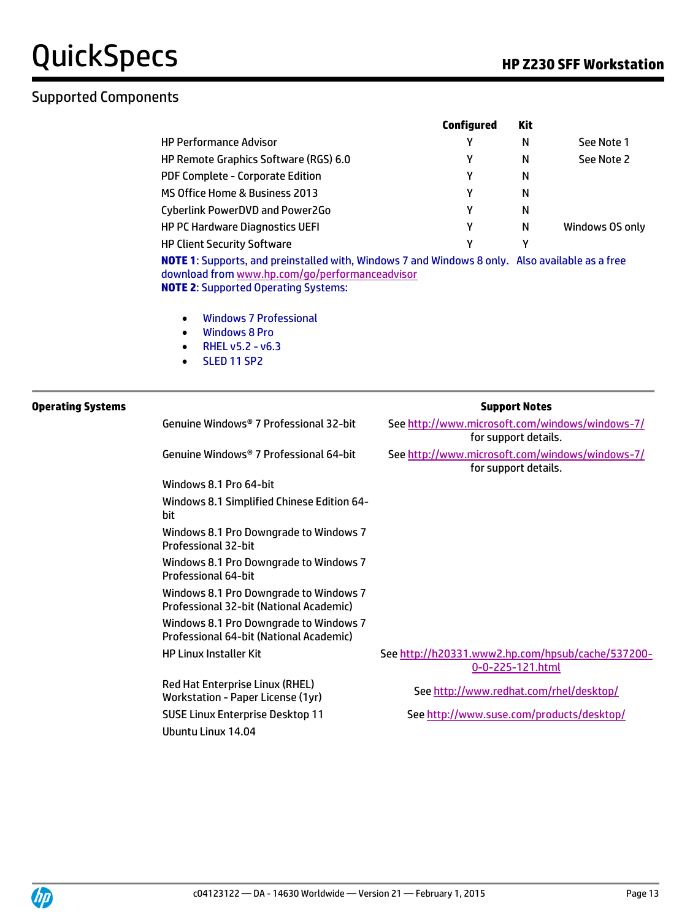# QuickSpecs and the control of the Control of the Case of the Control of the Case of the Control of the Control o

### Supported Components

|                                                                                                | Configured | Kit |                 |
|------------------------------------------------------------------------------------------------|------------|-----|-----------------|
| <b>HP Performance Advisor</b>                                                                  | γ          | N   | See Note 1      |
| HP Remote Graphics Software (RGS) 6.0                                                          | γ          | N   | See Note 2      |
| PDF Complete - Corporate Edition                                                               | γ          | N   |                 |
| MS Office Home & Business 2013                                                                 | γ          | N   |                 |
| Cyberlink PowerDVD and Power2Go                                                                | ٧          | N   |                 |
| <b>HP PC Hardware Diagnostics UEFI</b>                                                         | γ          | N   | Windows OS only |
| <b>HP Client Security Software</b>                                                             | v          | v   |                 |
| MOTE 1. Cupperts, and projectalled with Windows 7 and Windows 8 aply. Also available as a free |            |     |                 |

**NOTE 1**: Supports, and preinstalled with, Windows 7 and Windows 8 only. Also available as a free download from [www.hp.com/go/performanceadvisor](http://www.hp.com/go/performanceadvisor) **NOTE 2**: Supported Operating Systems:

- Windows 7 Professional
- Windows 8 Pro
- RHEL v5.2 v6.3
- SLED 11 SP2

Ubuntu Linux 14.04

#### **Operating Systems Support Notes** Genuine Windows® 7 Professional 32-bit Se[e http://www.microsoft.com/windows/windows-7/](http://www.microsoft.com/windows/windows-7/) for support details. Genuine Windows® 7 Professional 64-bit Se[e http://www.microsoft.com/windows/windows-7/](http://www.microsoft.com/windows/windows-7/) for support details. Windows 8.1 Pro 64-bit Windows 8.1 Simplified Chinese Edition 64 bit Windows 8.1 Pro Downgrade to Windows 7 Professional 32-bit Windows 8.1 Pro Downgrade to Windows 7 Professional 64-bit Windows 8.1 Pro Downgrade to Windows 7 Professional 32-bit (National Academic) Windows 8.1 Pro Downgrade to Windows 7 Professional 64-bit (National Academic) HP Linux Installer Kit Se[e http://h20331.www2.hp.com/hpsub/cache/537200-](http://h20331.www2.hp.com/hpsub/cache/537200-0-0-225-121.html) [0-0-225-121.html](http://h20331.www2.hp.com/hpsub/cache/537200-0-0-225-121.html) Red Hat Enterprise Linux (RHEL) Red Hat Enterprise Linux (RHEL)<br>Workstation - Paper License (1yr) See <u>http://www.redhat.com/rhel/desktop/</u> SUSE Linux Enterprise Desktop 11 Se[e http://www.suse.com/products/desktop/](http://www.suse.com/products/desktop/)

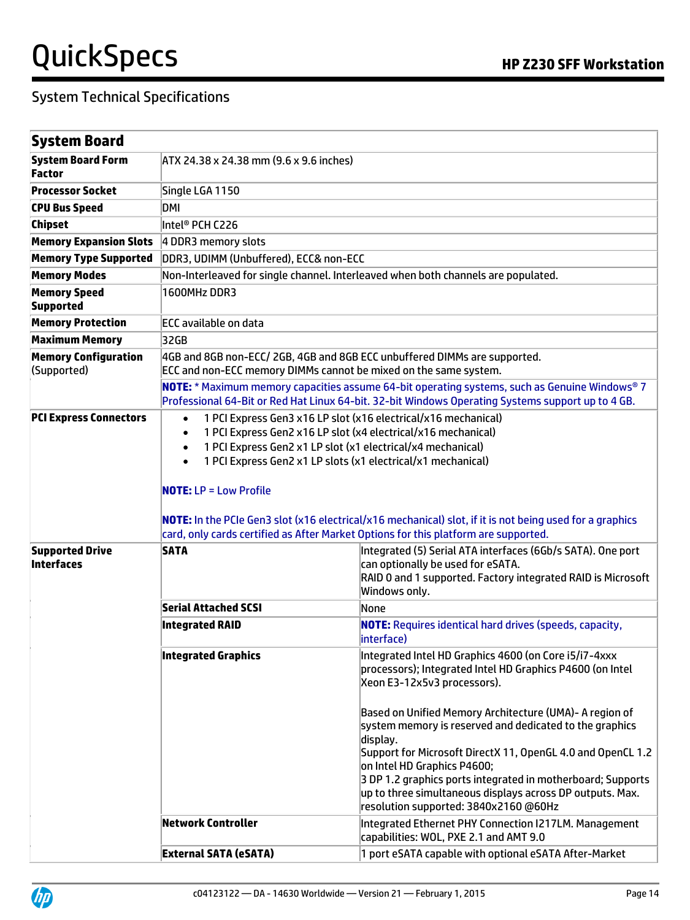| <b>System Board</b>                         |                                                                                                                                                                                                                                                                                                                                                                                                                                                                                                                                                        |                                                                                                                                                                                                                                                                                                                                                                                                   |  |  |
|---------------------------------------------|--------------------------------------------------------------------------------------------------------------------------------------------------------------------------------------------------------------------------------------------------------------------------------------------------------------------------------------------------------------------------------------------------------------------------------------------------------------------------------------------------------------------------------------------------------|---------------------------------------------------------------------------------------------------------------------------------------------------------------------------------------------------------------------------------------------------------------------------------------------------------------------------------------------------------------------------------------------------|--|--|
| <b>System Board Form</b><br><b>Factor</b>   | ATX 24.38 x 24.38 mm (9.6 x 9.6 inches)                                                                                                                                                                                                                                                                                                                                                                                                                                                                                                                |                                                                                                                                                                                                                                                                                                                                                                                                   |  |  |
| <b>Processor Socket</b>                     | Single LGA 1150                                                                                                                                                                                                                                                                                                                                                                                                                                                                                                                                        |                                                                                                                                                                                                                                                                                                                                                                                                   |  |  |
| <b>CPU Bus Speed</b>                        | <b>DMI</b>                                                                                                                                                                                                                                                                                                                                                                                                                                                                                                                                             |                                                                                                                                                                                                                                                                                                                                                                                                   |  |  |
| <b>Chipset</b>                              | Intel® PCH C226                                                                                                                                                                                                                                                                                                                                                                                                                                                                                                                                        |                                                                                                                                                                                                                                                                                                                                                                                                   |  |  |
| <b>Memory Expansion Slots</b>               | 4 DDR3 memory slots                                                                                                                                                                                                                                                                                                                                                                                                                                                                                                                                    |                                                                                                                                                                                                                                                                                                                                                                                                   |  |  |
| <b>Memory Type Supported</b>                | DDR3, UDIMM (Unbuffered), ECC& non-ECC                                                                                                                                                                                                                                                                                                                                                                                                                                                                                                                 |                                                                                                                                                                                                                                                                                                                                                                                                   |  |  |
| <b>Memory Modes</b>                         |                                                                                                                                                                                                                                                                                                                                                                                                                                                                                                                                                        | Non-Interleaved for single channel. Interleaved when both channels are populated.                                                                                                                                                                                                                                                                                                                 |  |  |
| <b>Memory Speed</b><br><b>Supported</b>     | 1600MHz DDR3                                                                                                                                                                                                                                                                                                                                                                                                                                                                                                                                           |                                                                                                                                                                                                                                                                                                                                                                                                   |  |  |
| <b>Memory Protection</b>                    | <b>ECC available on data</b>                                                                                                                                                                                                                                                                                                                                                                                                                                                                                                                           |                                                                                                                                                                                                                                                                                                                                                                                                   |  |  |
| <b>Maximum Memory</b>                       | 32GB                                                                                                                                                                                                                                                                                                                                                                                                                                                                                                                                                   |                                                                                                                                                                                                                                                                                                                                                                                                   |  |  |
| <b>Memory Configuration</b><br>(Supported)  | 4GB and 8GB non-ECC/2GB, 4GB and 8GB ECC unbuffered DIMMs are supported.<br>ECC and non-ECC memory DIMMs cannot be mixed on the same system.                                                                                                                                                                                                                                                                                                                                                                                                           |                                                                                                                                                                                                                                                                                                                                                                                                   |  |  |
|                                             | NOTE: * Maximum memory capacities assume 64-bit operating systems, such as Genuine Windows® 7<br>Professional 64-Bit or Red Hat Linux 64-bit. 32-bit Windows Operating Systems support up to 4 GB.                                                                                                                                                                                                                                                                                                                                                     |                                                                                                                                                                                                                                                                                                                                                                                                   |  |  |
| <b>PCI Express Connectors</b>               | 1 PCI Express Gen3 x16 LP slot (x16 electrical/x16 mechanical)<br>$\bullet$<br>1 PCI Express Gen2 x16 LP slot (x4 electrical/x16 mechanical)<br>$\bullet$<br>1 PCI Express Gen2 x1 LP slot (x1 electrical/x4 mechanical)<br>$\bullet$<br>1 PCI Express Gen2 x1 LP slots (x1 electrical/x1 mechanical)<br>$\bullet$<br><b>NOTE: LP = Low Profile</b><br>NOTE: In the PCIe Gen3 slot (x16 electrical/x16 mechanical) slot, if it is not being used for a graphics<br>card, only cards certified as After Market Options for this platform are supported. |                                                                                                                                                                                                                                                                                                                                                                                                   |  |  |
| <b>Supported Drive</b><br><b>Interfaces</b> | <b>SATA</b>                                                                                                                                                                                                                                                                                                                                                                                                                                                                                                                                            | Integrated (5) Serial ATA interfaces (6Gb/s SATA). One port<br>can optionally be used for eSATA.<br>RAID 0 and 1 supported. Factory integrated RAID is Microsoft<br>Windows only.                                                                                                                                                                                                                 |  |  |
|                                             | <b>Serial Attached SCSI</b>                                                                                                                                                                                                                                                                                                                                                                                                                                                                                                                            | None                                                                                                                                                                                                                                                                                                                                                                                              |  |  |
|                                             | <b>Integrated RAID</b>                                                                                                                                                                                                                                                                                                                                                                                                                                                                                                                                 | <b>NOTE:</b> Requires identical hard drives (speeds, capacity,<br>interface)                                                                                                                                                                                                                                                                                                                      |  |  |
|                                             | <b>Integrated Graphics</b>                                                                                                                                                                                                                                                                                                                                                                                                                                                                                                                             | Integrated Intel HD Graphics 4600 (on Core i5/i7-4xxx<br>processors); Integrated Intel HD Graphics P4600 (on Intel<br>Xeon E3-12x5v3 processors).                                                                                                                                                                                                                                                 |  |  |
|                                             |                                                                                                                                                                                                                                                                                                                                                                                                                                                                                                                                                        | Based on Unified Memory Architecture (UMA)- A region of<br>system memory is reserved and dedicated to the graphics<br>display.<br>Support for Microsoft DirectX 11, OpenGL 4.0 and OpenCL 1.2<br>on Intel HD Graphics P4600;<br>3 DP 1.2 graphics ports integrated in motherboard; Supports<br>up to three simultaneous displays across DP outputs. Max.<br>resolution supported: 3840x2160 @60Hz |  |  |
|                                             | <b>Network Controller</b>                                                                                                                                                                                                                                                                                                                                                                                                                                                                                                                              | Integrated Ethernet PHY Connection I217LM. Management<br>capabilities: WOL, PXE 2.1 and AMT 9.0                                                                                                                                                                                                                                                                                                   |  |  |
|                                             | <b>External SATA (eSATA)</b>                                                                                                                                                                                                                                                                                                                                                                                                                                                                                                                           | 1 port eSATA capable with optional eSATA After-Market                                                                                                                                                                                                                                                                                                                                             |  |  |

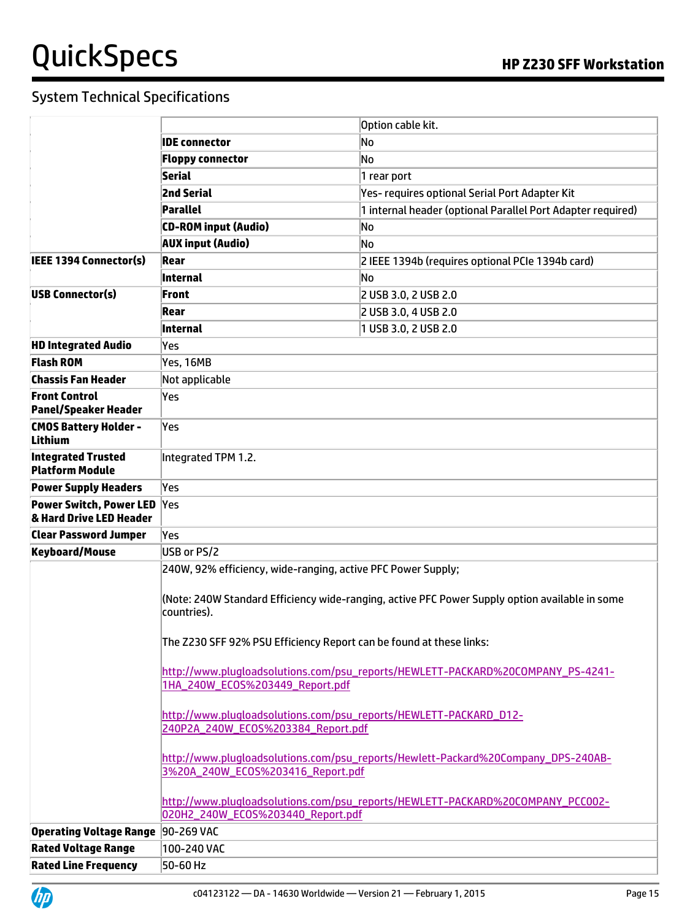|                                                           | Option cable kit.                                                                                                                                                                                                                                                                                                                                                                                                                                                                                                                                                                                                                                                                                 |                                                             |  |  |  |
|-----------------------------------------------------------|---------------------------------------------------------------------------------------------------------------------------------------------------------------------------------------------------------------------------------------------------------------------------------------------------------------------------------------------------------------------------------------------------------------------------------------------------------------------------------------------------------------------------------------------------------------------------------------------------------------------------------------------------------------------------------------------------|-------------------------------------------------------------|--|--|--|
|                                                           | <b>IDE</b> connector                                                                                                                                                                                                                                                                                                                                                                                                                                                                                                                                                                                                                                                                              | No                                                          |  |  |  |
|                                                           | <b>Floppy connector</b>                                                                                                                                                                                                                                                                                                                                                                                                                                                                                                                                                                                                                                                                           | No                                                          |  |  |  |
|                                                           | Serial                                                                                                                                                                                                                                                                                                                                                                                                                                                                                                                                                                                                                                                                                            | 1 rear port                                                 |  |  |  |
|                                                           | <b>2nd Serial</b>                                                                                                                                                                                                                                                                                                                                                                                                                                                                                                                                                                                                                                                                                 | Yes- requires optional Serial Port Adapter Kit              |  |  |  |
|                                                           | Parallel                                                                                                                                                                                                                                                                                                                                                                                                                                                                                                                                                                                                                                                                                          | 1 internal header (optional Parallel Port Adapter required) |  |  |  |
|                                                           | <b>CD-ROM input (Audio)</b>                                                                                                                                                                                                                                                                                                                                                                                                                                                                                                                                                                                                                                                                       | No                                                          |  |  |  |
|                                                           | <b>AUX input (Audio)</b>                                                                                                                                                                                                                                                                                                                                                                                                                                                                                                                                                                                                                                                                          | No                                                          |  |  |  |
| <b>IEEE 1394 Connector(s)</b>                             | Rear                                                                                                                                                                                                                                                                                                                                                                                                                                                                                                                                                                                                                                                                                              | 2 IEEE 1394b (requires optional PCIe 1394b card)            |  |  |  |
|                                                           | Internal                                                                                                                                                                                                                                                                                                                                                                                                                                                                                                                                                                                                                                                                                          | No                                                          |  |  |  |
| <b>USB Connector(s)</b>                                   | Front                                                                                                                                                                                                                                                                                                                                                                                                                                                                                                                                                                                                                                                                                             | 2 USB 3.0, 2 USB 2.0                                        |  |  |  |
|                                                           | Rear                                                                                                                                                                                                                                                                                                                                                                                                                                                                                                                                                                                                                                                                                              | 2 USB 3.0, 4 USB 2.0                                        |  |  |  |
|                                                           | Internal                                                                                                                                                                                                                                                                                                                                                                                                                                                                                                                                                                                                                                                                                          | 1 USB 3.0, 2 USB 2.0                                        |  |  |  |
| <b>HD Integrated Audio</b>                                | Yes                                                                                                                                                                                                                                                                                                                                                                                                                                                                                                                                                                                                                                                                                               |                                                             |  |  |  |
| <b>Flash ROM</b>                                          | Yes, 16MB                                                                                                                                                                                                                                                                                                                                                                                                                                                                                                                                                                                                                                                                                         |                                                             |  |  |  |
| <b>Chassis Fan Header</b>                                 | Not applicable                                                                                                                                                                                                                                                                                                                                                                                                                                                                                                                                                                                                                                                                                    |                                                             |  |  |  |
| <b>Front Control</b><br><b>Panel/Speaker Header</b>       | Yes                                                                                                                                                                                                                                                                                                                                                                                                                                                                                                                                                                                                                                                                                               |                                                             |  |  |  |
| <b>CMOS Battery Holder -</b><br><b>Lithium</b>            | Yes                                                                                                                                                                                                                                                                                                                                                                                                                                                                                                                                                                                                                                                                                               |                                                             |  |  |  |
| <b>Integrated Trusted</b><br><b>Platform Module</b>       | Integrated TPM 1.2.                                                                                                                                                                                                                                                                                                                                                                                                                                                                                                                                                                                                                                                                               |                                                             |  |  |  |
| <b>Power Supply Headers</b>                               | Yes                                                                                                                                                                                                                                                                                                                                                                                                                                                                                                                                                                                                                                                                                               |                                                             |  |  |  |
| <b>Power Switch, Power LED</b><br>& Hard Drive LED Header | Yes                                                                                                                                                                                                                                                                                                                                                                                                                                                                                                                                                                                                                                                                                               |                                                             |  |  |  |
| <b>Clear Password Jumper</b>                              | Yes                                                                                                                                                                                                                                                                                                                                                                                                                                                                                                                                                                                                                                                                                               |                                                             |  |  |  |
| <b>Keyboard/Mouse</b>                                     | USB or PS/2                                                                                                                                                                                                                                                                                                                                                                                                                                                                                                                                                                                                                                                                                       |                                                             |  |  |  |
|                                                           | 240W, 92% efficiency, wide-ranging, active PFC Power Supply;<br>(Note: 240W Standard Efficiency wide-ranging, active PFC Power Supply option available in some<br>countries).<br>The Z230 SFF 92% PSU Efficiency Report can be found at these links:<br>http://www.plugloadsolutions.com/psu_reports/HEWLETT-PACKARD%20COMPANY_PS-4241-<br>1HA_240W_ECOS%203449_Report.pdf<br>http://www.plugloadsolutions.com/psu_reports/HEWLETT-PACKARD_D12-<br>240P2A_240W_EC0S%203384_Report.pdf<br>http://www.plugloadsolutions.com/psu_reports/Hewlett-Packard%20Company_DPS-240AB-<br>3%20A_240W_ECOS%203416_Report.pdf<br>http://www.plugloadsolutions.com/psu_reports/HEWLETT-PACKARD%20COMPANY_PCC002- |                                                             |  |  |  |
| Operating Voltage Range 90-269 VAC                        | 020H2_240W_EC0S%203440_Report.pdf                                                                                                                                                                                                                                                                                                                                                                                                                                                                                                                                                                                                                                                                 |                                                             |  |  |  |
| <b>Rated Voltage Range</b>                                | 100-240 VAC                                                                                                                                                                                                                                                                                                                                                                                                                                                                                                                                                                                                                                                                                       |                                                             |  |  |  |
| <b>Rated Line Frequency</b>                               | 50-60 Hz                                                                                                                                                                                                                                                                                                                                                                                                                                                                                                                                                                                                                                                                                          |                                                             |  |  |  |
|                                                           |                                                                                                                                                                                                                                                                                                                                                                                                                                                                                                                                                                                                                                                                                                   |                                                             |  |  |  |

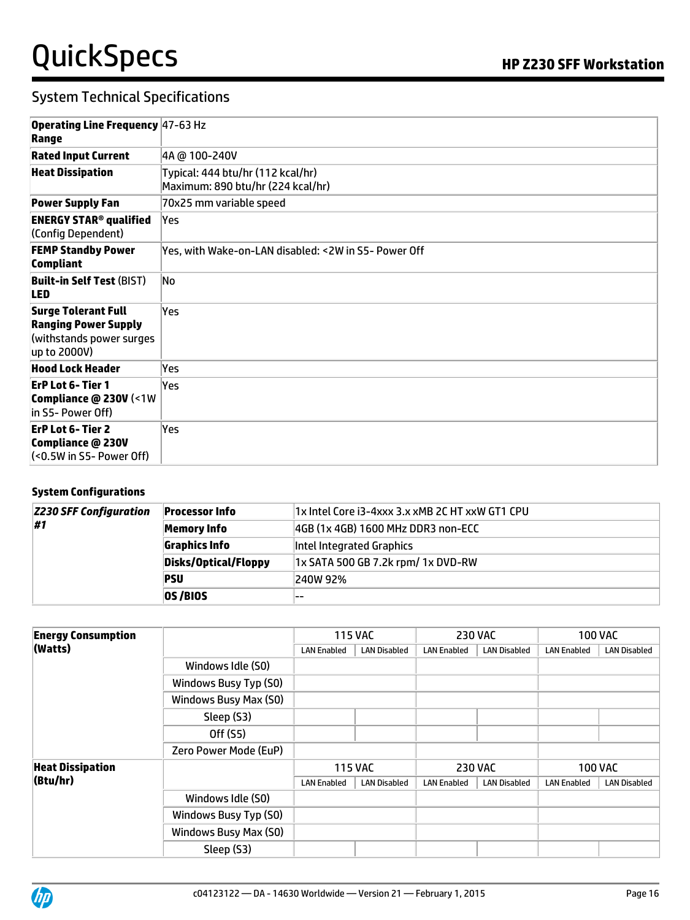### System Technical Specifications

| <b>Operating Line Frequency 47-63 Hz</b><br>Range                                                     |                                                                        |
|-------------------------------------------------------------------------------------------------------|------------------------------------------------------------------------|
| <b>Rated Input Current</b>                                                                            | 4A @ 100-240V                                                          |
| <b>Heat Dissipation</b>                                                                               | Typical: 444 btu/hr (112 kcal/hr)<br>Maximum: 890 btu/hr (224 kcal/hr) |
| <b>Power Supply Fan</b>                                                                               | 70x25 mm variable speed                                                |
| <b>ENERGY STAR<sup>®</sup> qualified</b><br>(Config Dependent)                                        | Yes                                                                    |
| <b>FEMP Standby Power</b><br><b>Compliant</b>                                                         | Yes, with Wake-on-LAN disabled: < 2W in S5- Power Off                  |
| <b>Built-in Self Test (BIST)</b><br><b>LED</b>                                                        | No.                                                                    |
| <b>Surge Tolerant Full</b><br><b>Ranging Power Supply</b><br>(withstands power surges<br>up to 2000V) | Yes                                                                    |
| <b>Hood Lock Header</b>                                                                               | Yes                                                                    |
| <b>ErP Lot 6- Tier 1</b><br>Compliance @ 230V (<1W<br>in S5- Power Off)                               | Yes                                                                    |
| <b>ErP Lot 6- Tier 2</b><br>Compliance @ 230V<br>(<0.5W in S5- Power Off)                             | Yes                                                                    |

#### **System Configurations**

| <b>Z230 SFF Configuration</b><br>#1 | <b>Processor Info</b> | 1x Intel Core i3-4xxx 3.x xMB 2C HT xxW GT1 CPU |
|-------------------------------------|-----------------------|-------------------------------------------------|
|                                     | Memory Info           | 4GB (1x 4GB) 1600 MHz DDR3 non-ECC              |
|                                     | <b>Graphics Info</b>  | Intel Integrated Graphics                       |
|                                     | Disks/Optical/Floppy  | 1x SATA 500 GB 7.2k rpm/ 1x DVD-RW              |
|                                     | <b>PSU</b>            | 240W 92%                                        |
|                                     | <b>OS /BIOS</b>       | --                                              |

| <b>Energy Consumption</b> |                       | <b>115 VAC</b>     |                     | <b>230 VAC</b>     |                     | <b>100 VAC</b>     |                     |
|---------------------------|-----------------------|--------------------|---------------------|--------------------|---------------------|--------------------|---------------------|
| (Watts)                   |                       | <b>LAN Enabled</b> | <b>LAN Disabled</b> | <b>LAN Enabled</b> | <b>LAN Disabled</b> | <b>LAN Enabled</b> | <b>LAN Disabled</b> |
|                           | Windows Idle (S0)     |                    |                     |                    |                     |                    |                     |
|                           | Windows Busy Typ (S0) |                    |                     |                    |                     |                    |                     |
|                           | Windows Busy Max (S0) |                    |                     |                    |                     |                    |                     |
|                           | Sleep (S3)            |                    |                     |                    |                     |                    |                     |
|                           | Off (S5)              |                    |                     |                    |                     |                    |                     |
|                           | Zero Power Mode (EuP) |                    |                     |                    |                     |                    |                     |
| <b>Heat Dissipation</b>   |                       | <b>115 VAC</b>     |                     | <b>230 VAC</b>     |                     | <b>100 VAC</b>     |                     |
| (Btu/hr)                  |                       | <b>LAN Enabled</b> | <b>LAN Disabled</b> | <b>LAN Enabled</b> | <b>LAN Disabled</b> | <b>LAN Enabled</b> | <b>LAN Disabled</b> |
|                           | Windows Idle (S0)     |                    |                     |                    |                     |                    |                     |
|                           | Windows Busy Typ (S0) |                    |                     |                    |                     |                    |                     |
|                           | Windows Busy Max (S0) |                    |                     |                    |                     |                    |                     |
|                           | Sleep (S3)            |                    |                     |                    |                     |                    |                     |

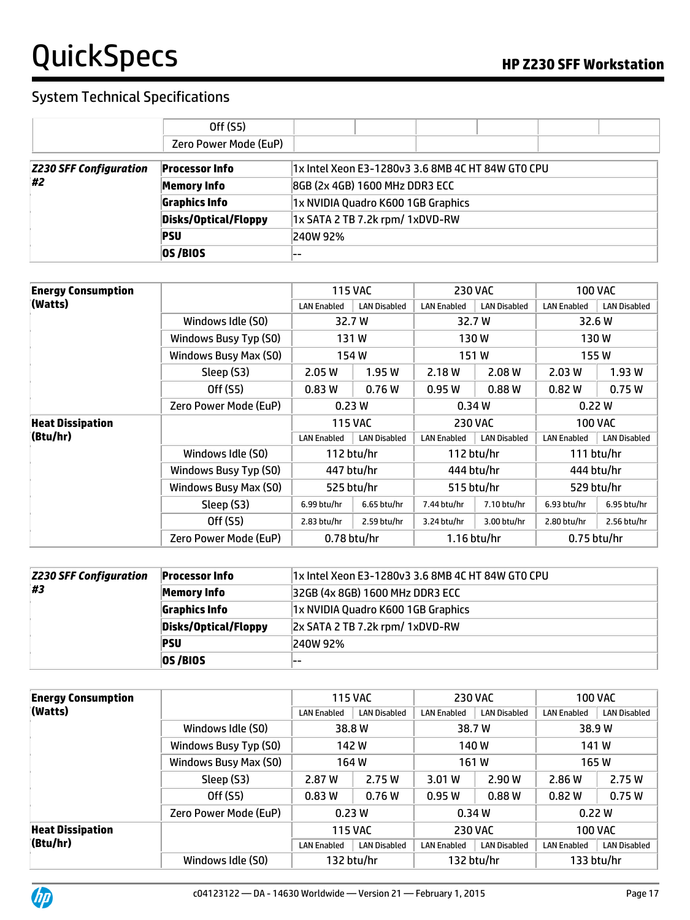|                               | Off (S5)              |                                                   |  |  |  |  |  |
|-------------------------------|-----------------------|---------------------------------------------------|--|--|--|--|--|
|                               | Zero Power Mode (EuP) |                                                   |  |  |  |  |  |
| <b>Z230 SFF Configuration</b> | <b>Processor Info</b> | 1x Intel Xeon E3-1280v3 3.6 8MB 4C HT 84W GT0 CPU |  |  |  |  |  |
| #2                            | Memory Info           | 8GB (2x 4GB) 1600 MHz DDR3 ECC                    |  |  |  |  |  |
|                               | <b>Graphics Info</b>  | 1x NVIDIA Quadro K600 1GB Graphics                |  |  |  |  |  |
|                               | Disks/Optical/Floppy  | 1x SATA 2 TB 7.2k rpm/ 1xDVD-RW                   |  |  |  |  |  |
|                               | PSU                   | 240W 92%                                          |  |  |  |  |  |
|                               | <b>OS/BIOS</b>        |                                                   |  |  |  |  |  |

| <b>Energy Consumption</b> |                       |                    | <b>115 VAC</b>      | <b>230 VAC</b>     |                     | <b>100 VAC</b>     |                     |
|---------------------------|-----------------------|--------------------|---------------------|--------------------|---------------------|--------------------|---------------------|
| (Watts)                   |                       | <b>LAN Enabled</b> | <b>LAN Disabled</b> | <b>LAN Enabled</b> | <b>LAN Disabled</b> | <b>LAN Enabled</b> | <b>LAN Disabled</b> |
|                           | Windows Idle (SO)     | 32.7 W             |                     | 32.7 W             |                     | 32.6 W             |                     |
|                           | Windows Busy Typ (S0) |                    | 131W                |                    | 130W                |                    | 130W                |
|                           | Windows Busy Max (S0) |                    | 154W                |                    | 151W                |                    | 155W                |
|                           | Sleep (S3)            | 2.05 W             | 1.95W               | 2.18 W             | 2.08W               | 2.03 W             | 1.93W               |
|                           | Off (S5)              | 0.83W              | 0.76W               | 0.95W              | 0.88W               | 0.82W              | 0.75 W              |
|                           | Zero Power Mode (EuP) | 0.23W              |                     | 0.34W              |                     |                    | 0.22W               |
| <b>Heat Dissipation</b>   |                       | 115 VAC            |                     | <b>230 VAC</b>     |                     | <b>100 VAC</b>     |                     |
| (Btu/hr)                  |                       | <b>LAN Enabled</b> | <b>LAN Disabled</b> | <b>LAN Enabled</b> | <b>LAN Disabled</b> | <b>LAN Enabled</b> | <b>LAN Disabled</b> |
|                           | Windows Idle (S0)     | 112 btu/hr         |                     | 112 btu/hr         |                     | 111 btu/hr         |                     |
|                           | Windows Busy Typ (S0) | 447 btu/hr         |                     | 444 btu/hr         |                     | 444 btu/hr         |                     |
|                           | Windows Busy Max (S0) |                    | 525 btu/hr          | 515 btu/hr         |                     | 529 btu/hr         |                     |
|                           | Sleep (S3)            | $6.99$ btu/hr      | 6.65 btu/hr         | 7.44 btu/hr        | 7.10 btu/hr         | 6.93 btu/hr        | 6.95 btu/hr         |
|                           | Off (S5)              | 2.83 btu/hr        | 2.59 btu/hr         | 3.24 btu/hr        | 3.00 btu/hr         | 2.80 btu/hr        | 2.56 btu/hr         |
|                           | Zero Power Mode (EuP) | $0.78$ btu/hr      |                     |                    | $1.16$ btu/hr       |                    | $0.75$ btu/hr       |

| <b>Z230 SFF Configuration</b><br>#3 | <b>Processor Info</b> | 1x Intel Xeon E3-1280v3 3.6 8MB 4C HT 84W GT0 CPU |
|-------------------------------------|-----------------------|---------------------------------------------------|
|                                     | Memory Info           | 32GB (4x 8GB) 1600 MHz DDR3 ECC                   |
|                                     | Graphics Info         | 1x NVIDIA Quadro K600 1GB Graphics                |
|                                     | Disks/Optical/Floppy  | 2x SATA 2 TB 7.2k rpm/ 1xDVD-RW                   |
|                                     | <b>PSU</b>            | 240W 92%                                          |
|                                     | <b>OS/BIOS</b>        | --                                                |

| <b>Energy Consumption</b> |                       |                    | <b>115 VAC</b>      | <b>230 VAC</b>     |                     | <b>100 VAC</b>     |                     |
|---------------------------|-----------------------|--------------------|---------------------|--------------------|---------------------|--------------------|---------------------|
| (Watts)                   |                       | <b>LAN Enabled</b> | <b>LAN Disabled</b> | <b>LAN Enabled</b> | <b>LAN Disabled</b> | <b>LAN Enabled</b> | <b>LAN Disabled</b> |
|                           | Windows Idle (S0)     |                    | 38.8 W              | 38.7 W             |                     | 38.9W              |                     |
|                           | Windows Busy Typ (S0) | 142 W              |                     | 140W               |                     | 141 W              |                     |
|                           | Windows Busy Max (S0) | 164W               |                     | 161W               |                     | 165W               |                     |
|                           | Sleep (S3)            | 2.87 W             | 2.75 W              | 3.01 W             | 2.90W               | 2.86 W             | 2.75 W              |
|                           | Off (S5)              | 0.83W              | 0.76W               | 0.95W              | 0.88W               | 0.82 W             | 0.75W               |
|                           | Zero Power Mode (EuP) | 0.23W              |                     | 0.34W              |                     | 0.22W              |                     |
| <b>Heat Dissipation</b>   |                       |                    | <b>115 VAC</b>      |                    | <b>230 VAC</b>      |                    | <b>100 VAC</b>      |
| (Btu/hr)                  |                       | <b>LAN Enabled</b> | <b>LAN Disabled</b> | <b>LAN Enabled</b> | <b>LAN Disabled</b> | <b>LAN Enabled</b> | <b>LAN Disabled</b> |
|                           | Windows Idle (S0)     |                    | 132 btu/hr          |                    | 132 btu/hr          |                    | 133 btu/hr          |

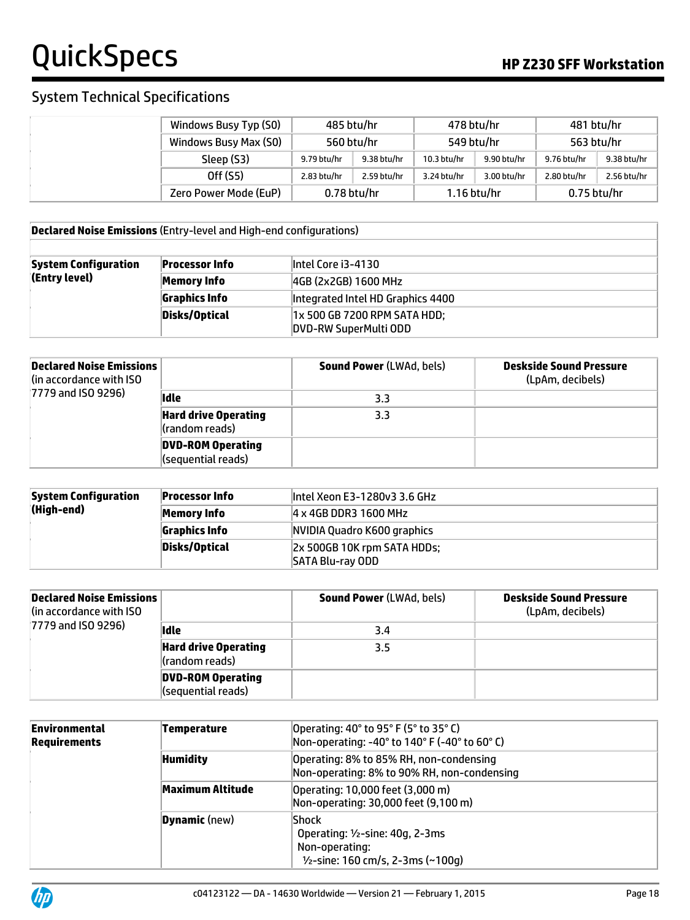# **QuickSpecs HP Z230 SFF Workstation**

### System Technical Specifications

| Windows Busy Typ (S0) | 485 btu/hr<br>560 btu/hr |             |               | 478 btu/hr  |               | 481 btu/hr    |
|-----------------------|--------------------------|-------------|---------------|-------------|---------------|---------------|
| Windows Busy Max (S0) |                          |             | 549 btu/hr    |             | 563 btu/hr    |               |
| Sleep (S3)            | 9.79 btu/hr              | 9.38 btu/hr | 10.3 btu/hr   | 9.90 btu/hr | 9.76 btu/hr   | 9.38 btu/hr   |
| Off (S5)              | 2.83 btu/hr              | 2.59 btu/hr | 3.24 btu/hr   | 3.00 btu/hr | 2.80 btu/hr   | $2.56$ btu/hr |
| Zero Power Mode (EuP) | $0.78$ btu/hr            |             | $1.16$ btu/hr |             | $0.75$ btu/hr |               |

**Declared Noise Emissions** (Entry-level and High-end configurations)

| <b>System Configuration</b><br>(Entry level) | <b>Processor Info</b> | lIntel Core i3-4130                                   |  |  |  |  |
|----------------------------------------------|-----------------------|-------------------------------------------------------|--|--|--|--|
|                                              | Memory Info           | 4GB (2x2GB) 1600 MHz                                  |  |  |  |  |
|                                              | <b>Graphics Info</b>  | Integrated Intel HD Graphics 4400                     |  |  |  |  |
|                                              | Disks/Optical         | 1x 500 GB 7200 RPM SATA HDD;<br>DVD-RW SuperMulti ODD |  |  |  |  |

| <b>Declared Noise Emissions</b><br>(in accordance with ISO |                                                | <b>Sound Power (LWAd, bels)</b> | <b>Deskside Sound Pressure</b><br>(LpAm, decibels) |
|------------------------------------------------------------|------------------------------------------------|---------------------------------|----------------------------------------------------|
| 7779 and ISO 9296)                                         | Idle                                           | 3.3                             |                                                    |
|                                                            | <b>Hard drive Operating</b><br>(random reads)  | 3.3                             |                                                    |
|                                                            | <b>DVD-ROM Operating</b><br>(sequential reads) |                                 |                                                    |

| <b>System Configuration</b><br>(High-end) | <b>Processor Info</b> | lintel Xeon E3-1280v3 3.6 GHz                   |
|-------------------------------------------|-----------------------|-------------------------------------------------|
|                                           | Memory Info           | 4 x 4GB DDR3 1600 MHz                           |
|                                           | <b>Graphics Info</b>  | NVIDIA Quadro K600 graphics                     |
|                                           | Disks/Optical         | 2x 500GB 10K rpm SATA HDDs;<br>SATA Blu-ray ODD |

| <b>Declared Noise Emissions</b><br>(in accordance with ISO |                                                | <b>Sound Power (LWAd, bels)</b> | <b>Deskside Sound Pressure</b><br>(LpAm, decibels) |
|------------------------------------------------------------|------------------------------------------------|---------------------------------|----------------------------------------------------|
| $ 7779$ and ISO 9296)                                      | Idle                                           | 3.4                             |                                                    |
|                                                            | <b>Hard drive Operating</b><br>(random reads)  | 3.5                             |                                                    |
|                                                            | <b>DVD-ROM Operating</b><br>(sequential reads) |                                 |                                                    |

| <b>Environmental</b><br><b>Requirements</b> | <b>Temperature</b>   | Operating: 40° to 95° F (5° to 35° C)<br>Non-operating: -40 $^{\circ}$ to 140 $^{\circ}$ F (-40 $^{\circ}$ to 60 $^{\circ}$ C) |
|---------------------------------------------|----------------------|--------------------------------------------------------------------------------------------------------------------------------|
|                                             | Humidity             | Operating: 8% to 85% RH, non-condensing<br>Non-operating: 8% to 90% RH, non-condensing                                         |
|                                             | Maximum Altitude     | Operating: 10,000 feet (3,000 m)<br>Non-operating: 30,000 feet (9,100 m)                                                       |
|                                             | <b>Dynamic</b> (new) | Shock <br>Operating: 1/2-sine: 40g, 2-3ms<br>Non-operating:<br>$1/2$ -sine: 160 cm/s, 2-3ms (~100q)                            |

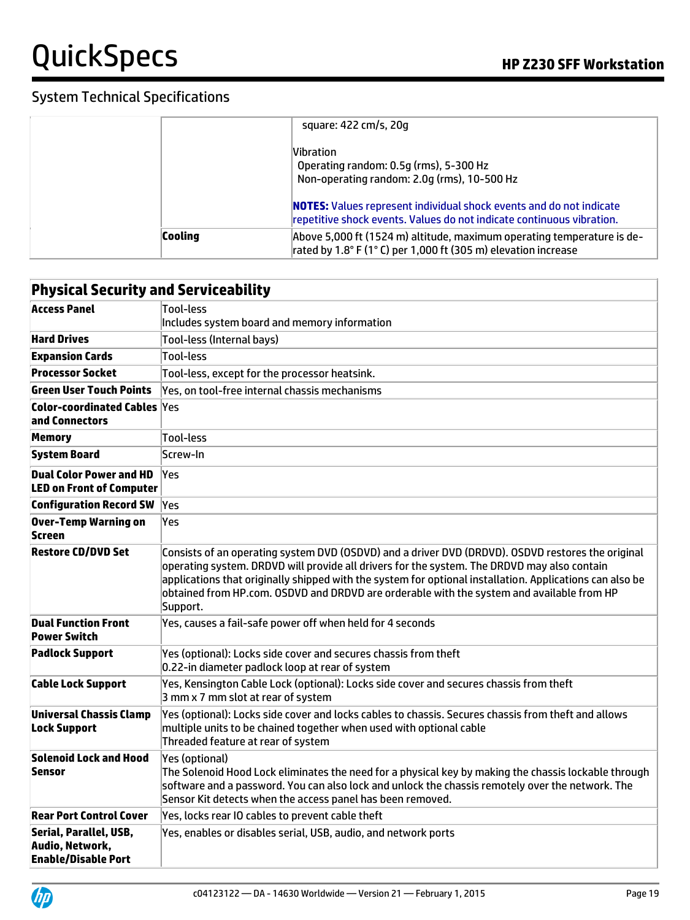|         | square: 422 cm/s, 20g                                                                                                                               |
|---------|-----------------------------------------------------------------------------------------------------------------------------------------------------|
|         | Vibration<br>Operating random: 0.5g (rms), 5-300 Hz<br>Non-operating random: 2.0g (rms), 10-500 Hz                                                  |
|         | <b>NOTES:</b> Values represent individual shock events and do not indicate<br>repetitive shock events. Values do not indicate continuous vibration. |
| Cooling | Above 5,000 ft (1524 m) altitude, maximum operating temperature is de-<br>rated by 1.8° F (1° C) per 1,000 ft (305 m) elevation increase            |

| <b>Physical Security and Serviceability</b>                             |                                                                                                                                                                                                                                                                                                                                                                                                                       |
|-------------------------------------------------------------------------|-----------------------------------------------------------------------------------------------------------------------------------------------------------------------------------------------------------------------------------------------------------------------------------------------------------------------------------------------------------------------------------------------------------------------|
| <b>Access Panel</b>                                                     | Tool-less<br>Includes system board and memory information                                                                                                                                                                                                                                                                                                                                                             |
| <b>Hard Drives</b>                                                      | Tool-less (Internal bays)                                                                                                                                                                                                                                                                                                                                                                                             |
| <b>Expansion Cards</b>                                                  | Tool-less                                                                                                                                                                                                                                                                                                                                                                                                             |
| <b>Processor Socket</b>                                                 | Tool-less, except for the processor heatsink.                                                                                                                                                                                                                                                                                                                                                                         |
| <b>Green User Touch Points</b>                                          | Yes, on tool-free internal chassis mechanisms                                                                                                                                                                                                                                                                                                                                                                         |
| <b>Color-coordinated Cables  Yes</b><br>and Connectors                  |                                                                                                                                                                                                                                                                                                                                                                                                                       |
| <b>Memory</b>                                                           | Tool-less                                                                                                                                                                                                                                                                                                                                                                                                             |
| <b>System Board</b>                                                     | Screw-In                                                                                                                                                                                                                                                                                                                                                                                                              |
| <b>Dual Color Power and HD</b><br><b>LED on Front of Computer</b>       | <b>Yes</b>                                                                                                                                                                                                                                                                                                                                                                                                            |
| <b>Configuration Record SW</b>                                          | lYes                                                                                                                                                                                                                                                                                                                                                                                                                  |
| <b>Over-Temp Warning on</b><br><b>Screen</b>                            | Yes                                                                                                                                                                                                                                                                                                                                                                                                                   |
| <b>Restore CD/DVD Set</b>                                               | Consists of an operating system DVD (OSDVD) and a driver DVD (DRDVD). OSDVD restores the original<br>operating system. DRDVD will provide all drivers for the system. The DRDVD may also contain<br>applications that originally shipped with the system for optional installation. Applications can also be<br>obtained from HP.com. OSDVD and DRDVD are orderable with the system and available from HP<br>Support. |
| <b>Dual Function Front</b><br><b>Power Switch</b>                       | Yes, causes a fail-safe power off when held for 4 seconds                                                                                                                                                                                                                                                                                                                                                             |
| <b>Padlock Support</b>                                                  | Yes (optional): Locks side cover and secures chassis from theft<br>0.22-in diameter padlock loop at rear of system                                                                                                                                                                                                                                                                                                    |
| <b>Cable Lock Support</b>                                               | Yes, Kensington Cable Lock (optional): Locks side cover and secures chassis from theft<br>3 mm x 7 mm slot at rear of system                                                                                                                                                                                                                                                                                          |
| <b>Universal Chassis Clamp</b><br><b>Lock Support</b>                   | Yes (optional): Locks side cover and locks cables to chassis. Secures chassis from theft and allows<br>multiple units to be chained together when used with optional cable<br>Threaded feature at rear of system                                                                                                                                                                                                      |
| <b>Solenoid Lock and Hood</b><br><b>Sensor</b>                          | Yes (optional)<br>The Solenoid Hood Lock eliminates the need for a physical key by making the chassis lockable through<br>software and a password. You can also lock and unlock the chassis remotely over the network. The<br>Sensor Kit detects when the access panel has been removed.                                                                                                                              |
| <b>Rear Port Control Cover</b>                                          | Yes, locks rear IO cables to prevent cable theft                                                                                                                                                                                                                                                                                                                                                                      |
| Serial, Parallel, USB,<br>Audio, Network,<br><b>Enable/Disable Port</b> | Yes, enables or disables serial, USB, audio, and network ports                                                                                                                                                                                                                                                                                                                                                        |

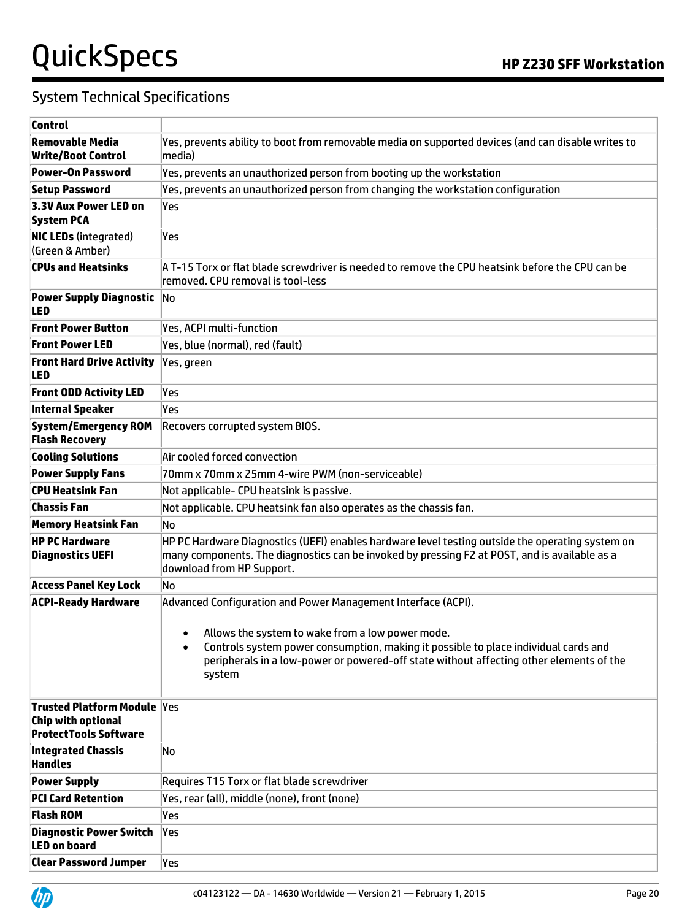| <b>Control</b>                                                                           |                                                                                                                                                                                                                                                                                                                                         |  |  |  |  |
|------------------------------------------------------------------------------------------|-----------------------------------------------------------------------------------------------------------------------------------------------------------------------------------------------------------------------------------------------------------------------------------------------------------------------------------------|--|--|--|--|
| <b>Removable Media</b><br><b>Write/Boot Control</b>                                      | Yes, prevents ability to boot from removable media on supported devices (and can disable writes to<br>media)                                                                                                                                                                                                                            |  |  |  |  |
| <b>Power-On Password</b>                                                                 | Yes, prevents an unauthorized person from booting up the workstation                                                                                                                                                                                                                                                                    |  |  |  |  |
| <b>Setup Password</b>                                                                    | Yes, prevents an unauthorized person from changing the workstation configuration                                                                                                                                                                                                                                                        |  |  |  |  |
| 3.3V Aux Power LED on                                                                    | Yes                                                                                                                                                                                                                                                                                                                                     |  |  |  |  |
| <b>System PCA</b>                                                                        |                                                                                                                                                                                                                                                                                                                                         |  |  |  |  |
| <b>NIC LEDs (integrated)</b><br>(Green & Amber)                                          | Yes                                                                                                                                                                                                                                                                                                                                     |  |  |  |  |
| <b>CPUs and Heatsinks</b>                                                                | A T-15 Torx or flat blade screwdriver is needed to remove the CPU heatsink before the CPU can be<br>removed. CPU removal is tool-less                                                                                                                                                                                                   |  |  |  |  |
| <b>Power Supply Diagnostic No</b><br><b>LED</b>                                          |                                                                                                                                                                                                                                                                                                                                         |  |  |  |  |
| <b>Front Power Button</b>                                                                | Yes, ACPI multi-function                                                                                                                                                                                                                                                                                                                |  |  |  |  |
| <b>Front Power LED</b>                                                                   | Yes, blue (normal), red (fault)                                                                                                                                                                                                                                                                                                         |  |  |  |  |
| <b>Front Hard Drive Activity</b><br><b>LED</b>                                           | Yes, green                                                                                                                                                                                                                                                                                                                              |  |  |  |  |
| <b>Front ODD Activity LED</b>                                                            | Yes                                                                                                                                                                                                                                                                                                                                     |  |  |  |  |
| <b>Internal Speaker</b>                                                                  | Yes                                                                                                                                                                                                                                                                                                                                     |  |  |  |  |
| <b>System/Emergency ROM</b><br><b>Flash Recovery</b>                                     | Recovers corrupted system BIOS.                                                                                                                                                                                                                                                                                                         |  |  |  |  |
| <b>Cooling Solutions</b>                                                                 | Air cooled forced convection                                                                                                                                                                                                                                                                                                            |  |  |  |  |
| <b>Power Supply Fans</b>                                                                 | 70mm x 70mm x 25mm 4-wire PWM (non-serviceable)                                                                                                                                                                                                                                                                                         |  |  |  |  |
| <b>CPU Heatsink Fan</b>                                                                  | Not applicable- CPU heatsink is passive.                                                                                                                                                                                                                                                                                                |  |  |  |  |
| <b>Chassis Fan</b>                                                                       | Not applicable. CPU heatsink fan also operates as the chassis fan.                                                                                                                                                                                                                                                                      |  |  |  |  |
| <b>Memory Heatsink Fan</b>                                                               | No                                                                                                                                                                                                                                                                                                                                      |  |  |  |  |
| <b>HP PC Hardware</b><br><b>Diagnostics UEFI</b>                                         | HP PC Hardware Diagnostics (UEFI) enables hardware level testing outside the operating system on<br>many components. The diagnostics can be invoked by pressing F2 at POST, and is available as a<br>download from HP Support.                                                                                                          |  |  |  |  |
| <b>Access Panel Key Lock</b>                                                             | No                                                                                                                                                                                                                                                                                                                                      |  |  |  |  |
| <b>ACPI-Ready Hardware</b>                                                               | Advanced Configuration and Power Management Interface (ACPI).<br>Allows the system to wake from a low power mode.<br>$\bullet$<br>Controls system power consumption, making it possible to place individual cards and<br>$\bullet$<br>peripherals in a low-power or powered-off state without affecting other elements of the<br>system |  |  |  |  |
| <b>Trusted Platform Module Yes</b><br>Chip with optional<br><b>ProtectTools Software</b> |                                                                                                                                                                                                                                                                                                                                         |  |  |  |  |
| <b>Integrated Chassis</b><br><b>Handles</b>                                              | No                                                                                                                                                                                                                                                                                                                                      |  |  |  |  |
| <b>Power Supply</b>                                                                      | Requires T15 Torx or flat blade screwdriver                                                                                                                                                                                                                                                                                             |  |  |  |  |
| <b>PCI Card Retention</b>                                                                | Yes, rear (all), middle (none), front (none)                                                                                                                                                                                                                                                                                            |  |  |  |  |
| <b>Flash ROM</b>                                                                         | Yes                                                                                                                                                                                                                                                                                                                                     |  |  |  |  |
| <b>Diagnostic Power Switch</b><br><b>LED on board</b>                                    | Yes                                                                                                                                                                                                                                                                                                                                     |  |  |  |  |
| <b>Clear Password Jumper</b>                                                             | Yes                                                                                                                                                                                                                                                                                                                                     |  |  |  |  |

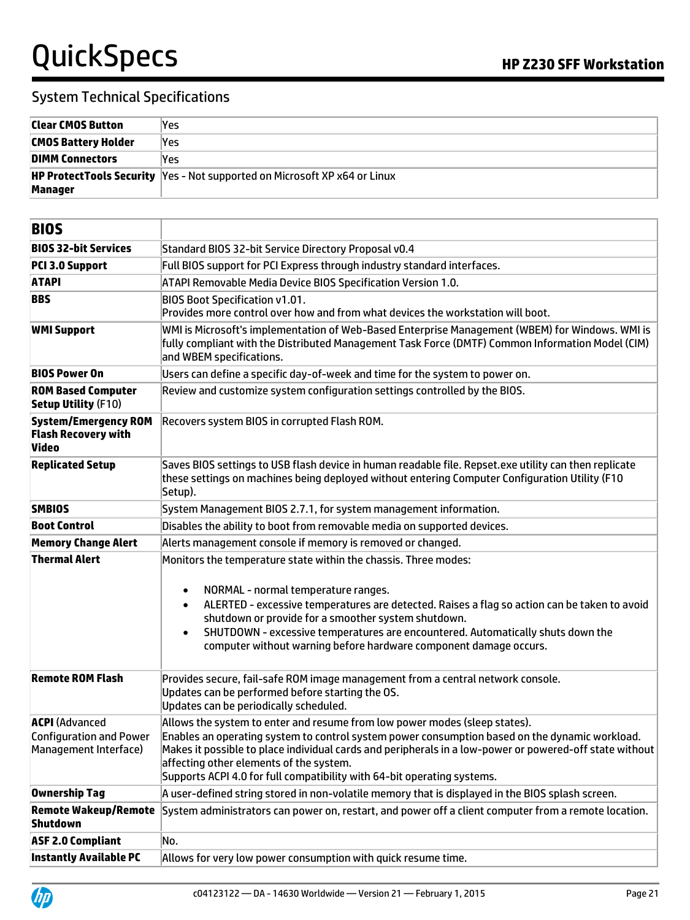| <b>Clear CMOS Button</b>   | Yes                                                                               |
|----------------------------|-----------------------------------------------------------------------------------|
| <b>CMOS Battery Holder</b> | Yes                                                                               |
| <b>DIMM Connectors</b>     | Yes                                                                               |
|                            | <b>HP ProtectTools Security</b>  Yes - Not supported on Microsoft XP x64 or Linux |
| Manager                    |                                                                                   |

| <b>BIOS</b>                                                               |                                                                                                                                                                                                                                                                                                                                                                                                                                                 |  |  |  |  |
|---------------------------------------------------------------------------|-------------------------------------------------------------------------------------------------------------------------------------------------------------------------------------------------------------------------------------------------------------------------------------------------------------------------------------------------------------------------------------------------------------------------------------------------|--|--|--|--|
| <b>BIOS 32-bit Services</b>                                               | Standard BIOS 32-bit Service Directory Proposal v0.4                                                                                                                                                                                                                                                                                                                                                                                            |  |  |  |  |
| PCI 3.0 Support                                                           | Full BIOS support for PCI Express through industry standard interfaces.                                                                                                                                                                                                                                                                                                                                                                         |  |  |  |  |
| <b>ATAPI</b>                                                              | ATAPI Removable Media Device BIOS Specification Version 1.0.                                                                                                                                                                                                                                                                                                                                                                                    |  |  |  |  |
| <b>BBS</b>                                                                | <b>BIOS Boot Specification v1.01.</b><br>Provides more control over how and from what devices the workstation will boot.                                                                                                                                                                                                                                                                                                                        |  |  |  |  |
| <b>WMI Support</b>                                                        | WMI is Microsoft's implementation of Web-Based Enterprise Management (WBEM) for Windows. WMI is<br>fully compliant with the Distributed Management Task Force (DMTF) Common Information Model (CIM)<br>and WBEM specifications.                                                                                                                                                                                                                 |  |  |  |  |
| <b>BIOS Power On</b>                                                      | Users can define a specific day-of-week and time for the system to power on.                                                                                                                                                                                                                                                                                                                                                                    |  |  |  |  |
| <b>ROM Based Computer</b><br><b>Setup Utility (F10)</b>                   | Review and customize system configuration settings controlled by the BIOS.                                                                                                                                                                                                                                                                                                                                                                      |  |  |  |  |
| <b>System/Emergency ROM</b><br><b>Flash Recovery with</b><br>Video        | Recovers system BIOS in corrupted Flash ROM.                                                                                                                                                                                                                                                                                                                                                                                                    |  |  |  |  |
| <b>Replicated Setup</b>                                                   | Saves BIOS settings to USB flash device in human readable file. Repset.exe utility can then replicate<br>these settings on machines being deployed without entering Computer Configuration Utility (F10<br>Setup).                                                                                                                                                                                                                              |  |  |  |  |
| <b>SMBIOS</b>                                                             | System Management BIOS 2.7.1, for system management information.                                                                                                                                                                                                                                                                                                                                                                                |  |  |  |  |
| <b>Boot Control</b>                                                       | Disables the ability to boot from removable media on supported devices.                                                                                                                                                                                                                                                                                                                                                                         |  |  |  |  |
| <b>Memory Change Alert</b>                                                | Alerts management console if memory is removed or changed.                                                                                                                                                                                                                                                                                                                                                                                      |  |  |  |  |
| <b>Thermal Alert</b>                                                      | Monitors the temperature state within the chassis. Three modes:<br>NORMAL - normal temperature ranges.<br>$\bullet$<br>ALERTED - excessive temperatures are detected. Raises a flag so action can be taken to avoid<br>shutdown or provide for a smoother system shutdown.<br>SHUTDOWN - excessive temperatures are encountered. Automatically shuts down the<br>$\bullet$<br>computer without warning before hardware component damage occurs. |  |  |  |  |
| <b>Remote ROM Flash</b>                                                   | Provides secure, fail-safe ROM image management from a central network console.<br>Updates can be performed before starting the OS.<br>Updates can be periodically scheduled.                                                                                                                                                                                                                                                                   |  |  |  |  |
| <b>ACPI</b> (Advanced<br>Configuration and Power<br>Management Interface) | Allows the system to enter and resume from low power modes (sleep states).<br>Enables an operating system to control system power consumption based on the dynamic workload.<br>Makes it possible to place individual cards and peripherals in a low-power or powered-off state without<br>affecting other elements of the system.<br>Supports ACPI 4.0 for full compatibility with 64-bit operating systems.                                   |  |  |  |  |
| <b>Ownership Tag</b>                                                      | A user-defined string stored in non-volatile memory that is displayed in the BIOS splash screen.                                                                                                                                                                                                                                                                                                                                                |  |  |  |  |
| <b>Remote Wakeup/Remote</b><br>Shutdown                                   | System administrators can power on, restart, and power off a client computer from a remote location.                                                                                                                                                                                                                                                                                                                                            |  |  |  |  |
| <b>ASF 2.0 Compliant</b>                                                  | No.                                                                                                                                                                                                                                                                                                                                                                                                                                             |  |  |  |  |
| <b>Instantly Available PC</b>                                             | Allows for very low power consumption with quick resume time.                                                                                                                                                                                                                                                                                                                                                                                   |  |  |  |  |

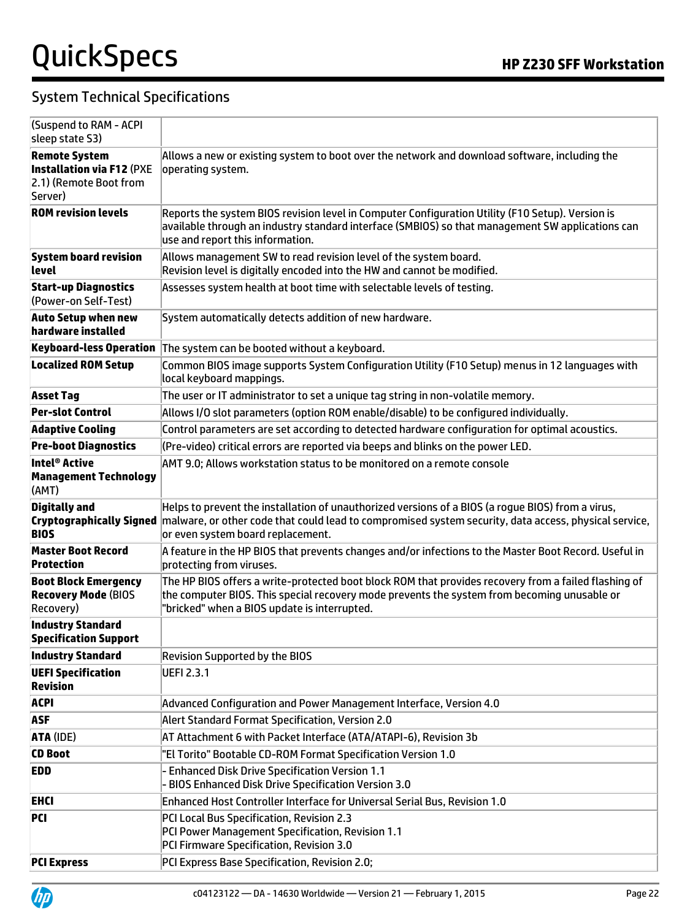| (Suspend to RAM - ACPI<br>sleep state S3)                                                     |                                                                                                                                                                                                                                                                          |  |  |  |
|-----------------------------------------------------------------------------------------------|--------------------------------------------------------------------------------------------------------------------------------------------------------------------------------------------------------------------------------------------------------------------------|--|--|--|
| <b>Remote System</b><br><b>Installation via F12 (PXE</b><br>2.1) (Remote Boot from<br>Server) | Allows a new or existing system to boot over the network and download software, including the<br>operating system.                                                                                                                                                       |  |  |  |
| <b>ROM revision levels</b>                                                                    | Reports the system BIOS revision level in Computer Configuration Utility (F10 Setup). Version is<br>available through an industry standard interface (SMBIOS) so that management SW applications can<br>use and report this information.                                 |  |  |  |
| <b>System board revision</b><br>level                                                         | Allows management SW to read revision level of the system board.<br>Revision level is digitally encoded into the HW and cannot be modified.                                                                                                                              |  |  |  |
| <b>Start-up Diagnostics</b><br>(Power-on Self-Test)                                           | Assesses system health at boot time with selectable levels of testing.                                                                                                                                                                                                   |  |  |  |
| <b>Auto Setup when new</b><br>hardware installed                                              | System automatically detects addition of new hardware.                                                                                                                                                                                                                   |  |  |  |
| <b>Keyboard-less Operation</b>                                                                | The system can be booted without a keyboard.                                                                                                                                                                                                                             |  |  |  |
| <b>Localized ROM Setup</b>                                                                    | Common BIOS image supports System Configuration Utility (F10 Setup) menus in 12 languages with<br>local keyboard mappings.                                                                                                                                               |  |  |  |
| <b>Asset Tag</b>                                                                              | The user or IT administrator to set a unique tag string in non-volatile memory.                                                                                                                                                                                          |  |  |  |
| <b>Per-slot Control</b>                                                                       | Allows I/O slot parameters (option ROM enable/disable) to be configured individually.                                                                                                                                                                                    |  |  |  |
| <b>Adaptive Cooling</b>                                                                       | Control parameters are set according to detected hardware configuration for optimal acoustics.                                                                                                                                                                           |  |  |  |
| <b>Pre-boot Diagnostics</b>                                                                   | (Pre-video) critical errors are reported via beeps and blinks on the power LED.                                                                                                                                                                                          |  |  |  |
| Intel <sup>®</sup> Active<br><b>Management Technology</b><br>(AMT)                            | AMT 9.0; Allows workstation status to be monitored on a remote console                                                                                                                                                                                                   |  |  |  |
| <b>Digitally and</b><br><b>BIOS</b>                                                           | Helps to prevent the installation of unauthorized versions of a BIOS (a rogue BIOS) from a virus,<br>Cryptographically Signed malware, or other code that could lead to compromised system security, data access, physical service,<br>or even system board replacement. |  |  |  |
| <b>Master Boot Record</b><br><b>Protection</b>                                                | A feature in the HP BIOS that prevents changes and/or infections to the Master Boot Record. Useful in<br>protecting from viruses.                                                                                                                                        |  |  |  |
| <b>Boot Block Emergency</b><br><b>Recovery Mode (BIOS</b><br>Recovery)                        | The HP BIOS offers a write-protected boot block ROM that provides recovery from a failed flashing of<br>the computer BIOS. This special recovery mode prevents the system from becoming unusable or<br>"bricked" when a BIOS update is interrupted.                      |  |  |  |
| <b>Industry Standard</b><br><b>Specification Support</b>                                      |                                                                                                                                                                                                                                                                          |  |  |  |
| <b>Industry Standard</b>                                                                      | <b>Revision Supported by the BIOS</b>                                                                                                                                                                                                                                    |  |  |  |
| <b>UEFI Specification</b><br><b>Revision</b>                                                  | <b>UEFI 2.3.1</b>                                                                                                                                                                                                                                                        |  |  |  |
| <b>ACPI</b>                                                                                   | Advanced Configuration and Power Management Interface, Version 4.0                                                                                                                                                                                                       |  |  |  |
| <b>ASF</b>                                                                                    | Alert Standard Format Specification, Version 2.0                                                                                                                                                                                                                         |  |  |  |
| <b>ATA (IDE)</b>                                                                              | AT Attachment 6 with Packet Interface (ATA/ATAPI-6), Revision 3b                                                                                                                                                                                                         |  |  |  |
| <b>CD Boot</b>                                                                                | "El Torito" Bootable CD-ROM Format Specification Version 1.0                                                                                                                                                                                                             |  |  |  |
| <b>EDD</b>                                                                                    | - Enhanced Disk Drive Specification Version 1.1<br>- BIOS Enhanced Disk Drive Specification Version 3.0                                                                                                                                                                  |  |  |  |
| <b>EHCI</b>                                                                                   | Enhanced Host Controller Interface for Universal Serial Bus, Revision 1.0                                                                                                                                                                                                |  |  |  |
| PCI                                                                                           | PCI Local Bus Specification, Revision 2.3<br>PCI Power Management Specification, Revision 1.1<br>PCI Firmware Specification, Revision 3.0                                                                                                                                |  |  |  |
| <b>PCI Express</b>                                                                            | PCI Express Base Specification, Revision 2.0;                                                                                                                                                                                                                            |  |  |  |

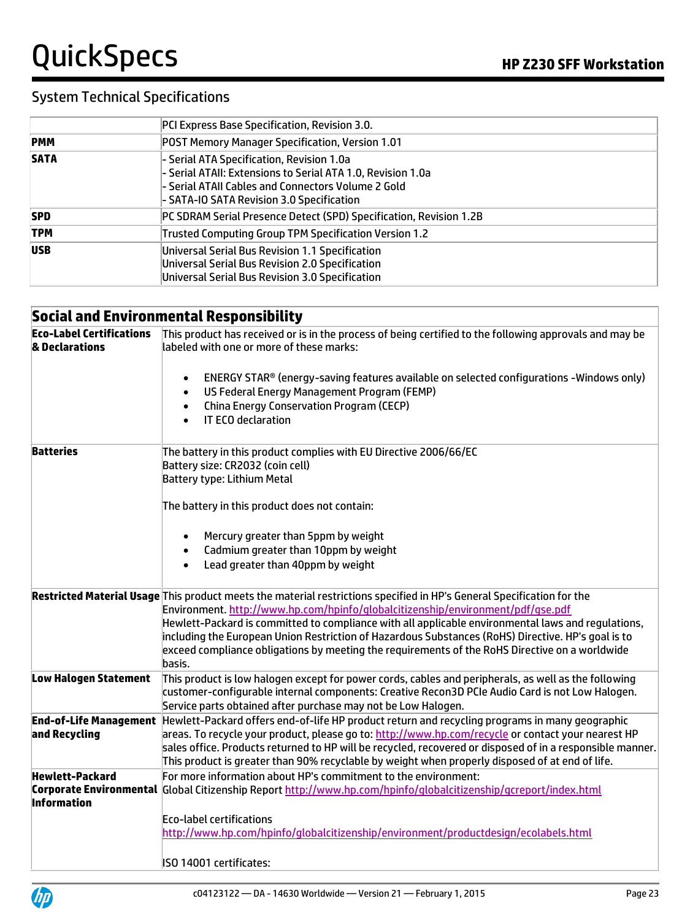### System Technical Specifications

|             | PCI Express Base Specification, Revision 3.0.                                                                                                                                                               |
|-------------|-------------------------------------------------------------------------------------------------------------------------------------------------------------------------------------------------------------|
| <b>PMM</b>  | POST Memory Manager Specification, Version 1.01                                                                                                                                                             |
| <b>SATA</b> | - Serial ATA Specification, Revision 1.0a<br>- Serial ATAII: Extensions to Serial ATA 1.0, Revision 1.0a<br>- Serial ATAII Cables and Connectors Volume 2 Gold<br>- SATA-IO SATA Revision 3.0 Specification |
| <b>SPD</b>  | PC SDRAM Serial Presence Detect (SPD) Specification, Revision 1.2B                                                                                                                                          |
| <b>TPM</b>  | <b>Trusted Computing Group TPM Specification Version 1.2</b>                                                                                                                                                |
| <b>USB</b>  | Universal Serial Bus Revision 1.1 Specification<br>Universal Serial Bus Revision 2.0 Specification<br>Universal Serial Bus Revision 3.0 Specification                                                       |

# **Social and Environmental Responsibility**

| <b>Eco-Label Certifications</b><br>& Declarations | This product has received or is in the process of being certified to the following approvals and may be<br>labeled with one or more of these marks:                                                                                                                                                                                                                                                                                                                                                                               |  |  |  |  |  |
|---------------------------------------------------|-----------------------------------------------------------------------------------------------------------------------------------------------------------------------------------------------------------------------------------------------------------------------------------------------------------------------------------------------------------------------------------------------------------------------------------------------------------------------------------------------------------------------------------|--|--|--|--|--|
|                                                   | ENERGY STAR® (energy-saving features available on selected configurations -Windows only)<br>$\bullet$<br>US Federal Energy Management Program (FEMP)<br>$\bullet$<br><b>China Energy Conservation Program (CECP)</b><br>$\bullet$<br><b>IT ECO declaration</b><br>$\bullet$                                                                                                                                                                                                                                                       |  |  |  |  |  |
| <b>Batteries</b>                                  | The battery in this product complies with EU Directive 2006/66/EC<br>Battery size: CR2032 (coin cell)<br><b>Battery type: Lithium Metal</b>                                                                                                                                                                                                                                                                                                                                                                                       |  |  |  |  |  |
|                                                   | The battery in this product does not contain:                                                                                                                                                                                                                                                                                                                                                                                                                                                                                     |  |  |  |  |  |
|                                                   | Mercury greater than 5ppm by weight<br>$\bullet$<br>Cadmium greater than 10ppm by weight<br>$\bullet$                                                                                                                                                                                                                                                                                                                                                                                                                             |  |  |  |  |  |
|                                                   | Lead greater than 40ppm by weight<br>$\bullet$                                                                                                                                                                                                                                                                                                                                                                                                                                                                                    |  |  |  |  |  |
|                                                   | Restricted Material Usage This product meets the material restrictions specified in HP's General Specification for the<br>Environment. http://www.hp.com/hpinfo/globalcitizenship/environment/pdf/gse.pdf<br>Hewlett-Packard is committed to compliance with all applicable environmental laws and regulations,<br>including the European Union Restriction of Hazardous Substances (RoHS) Directive. HP's goal is to<br>exceed compliance obligations by meeting the requirements of the RoHS Directive on a worldwide<br>basis. |  |  |  |  |  |
| <b>Low Halogen Statement</b>                      | This product is low halogen except for power cords, cables and peripherals, as well as the following<br>customer-configurable internal components: Creative Recon3D PCIe Audio Card is not Low Halogen.<br>Service parts obtained after purchase may not be Low Halogen.                                                                                                                                                                                                                                                          |  |  |  |  |  |
| and Recycling                                     | End-of-Life Management Hewlett-Packard offers end-of-life HP product return and recycling programs in many geographic<br>areas. To recycle your product, please go to: http://www.hp.com/recycle or contact your nearest HP<br>sales office. Products returned to HP will be recycled, recovered or disposed of in a responsible manner.<br>This product is greater than 90% recyclable by weight when properly disposed of at end of life.                                                                                       |  |  |  |  |  |
| <b>Hewlett-Packard</b><br><b>Information</b>      | For more information about HP's commitment to the environment:<br><b>Corporate Environmental Global Citizenship Report http://www.hp.com/hpinfo/globalcitizenship/gcreport/index.html</b>                                                                                                                                                                                                                                                                                                                                         |  |  |  |  |  |
|                                                   | Eco-label certifications<br>http://www.hp.com/hpinfo/qlobalcitizenship/environment/productdesign/ecolabels.html                                                                                                                                                                                                                                                                                                                                                                                                                   |  |  |  |  |  |
|                                                   | ISO 14001 certificates:                                                                                                                                                                                                                                                                                                                                                                                                                                                                                                           |  |  |  |  |  |

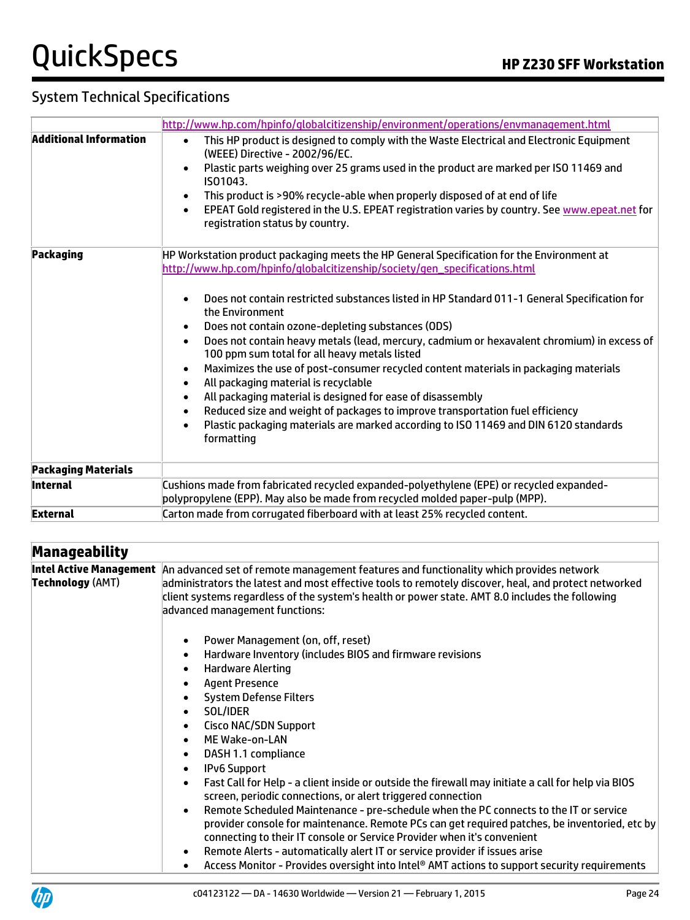### System Technical Specifications

|                               | http://www.hp.com/hpinfo/qlobalcitizenship/environment/operations/envmanagement.html                                                                                                                                                                                                                                                                                                                                                                                                                                                                                                                                                                                                                                                                                                                                                                                                                                                                  |
|-------------------------------|-------------------------------------------------------------------------------------------------------------------------------------------------------------------------------------------------------------------------------------------------------------------------------------------------------------------------------------------------------------------------------------------------------------------------------------------------------------------------------------------------------------------------------------------------------------------------------------------------------------------------------------------------------------------------------------------------------------------------------------------------------------------------------------------------------------------------------------------------------------------------------------------------------------------------------------------------------|
| <b>Additional Information</b> | This HP product is designed to comply with the Waste Electrical and Electronic Equipment<br>$\bullet$<br>(WEEE) Directive - 2002/96/EC.<br>Plastic parts weighing over 25 grams used in the product are marked per ISO 11469 and<br>$\bullet$<br>IS01043.<br>This product is >90% recycle-able when properly disposed of at end of life<br>$\bullet$<br>EPEAT Gold registered in the U.S. EPEAT registration varies by country. See www.epeat.net for<br>$\bullet$<br>registration status by country.                                                                                                                                                                                                                                                                                                                                                                                                                                                 |
| <b>Packaging</b>              | HP Workstation product packaging meets the HP General Specification for the Environment at<br>http://www.hp.com/hpinfo/globalcitizenship/society/gen_specifications.html<br>Does not contain restricted substances listed in HP Standard 011-1 General Specification for<br>the Environment<br>Does not contain ozone-depleting substances (ODS)<br>Does not contain heavy metals (lead, mercury, cadmium or hexavalent chromium) in excess of<br>$\bullet$<br>100 ppm sum total for all heavy metals listed<br>Maximizes the use of post-consumer recycled content materials in packaging materials<br>$\bullet$<br>All packaging material is recyclable<br>$\bullet$<br>All packaging material is designed for ease of disassembly<br>$\bullet$<br>Reduced size and weight of packages to improve transportation fuel efficiency<br>Plastic packaging materials are marked according to ISO 11469 and DIN 6120 standards<br>$\bullet$<br>formatting |
| <b>Packaging Materials</b>    |                                                                                                                                                                                                                                                                                                                                                                                                                                                                                                                                                                                                                                                                                                                                                                                                                                                                                                                                                       |
| <b>Internal</b>               | Cushions made from fabricated recycled expanded-polyethylene (EPE) or recycled expanded-<br>polypropylene (EPP). May also be made from recycled molded paper-pulp (MPP).                                                                                                                                                                                                                                                                                                                                                                                                                                                                                                                                                                                                                                                                                                                                                                              |
| <b>External</b>               | Carton made from corrugated fiberboard with at least 25% recycled content.                                                                                                                                                                                                                                                                                                                                                                                                                                                                                                                                                                                                                                                                                                                                                                                                                                                                            |

# **Manageability**

| <b>Technology (AMT)</b> | Intel Active Management An advanced set of remote management features and functionality which provides network<br>administrators the latest and most effective tools to remotely discover, heal, and protect networked<br>client systems regardless of the system's health or power state. AMT 8.0 includes the following<br>advanced management functions:                                                                                                                                                                                                                                                                                                                                                                                                                                                  |
|-------------------------|--------------------------------------------------------------------------------------------------------------------------------------------------------------------------------------------------------------------------------------------------------------------------------------------------------------------------------------------------------------------------------------------------------------------------------------------------------------------------------------------------------------------------------------------------------------------------------------------------------------------------------------------------------------------------------------------------------------------------------------------------------------------------------------------------------------|
|                         | Power Management (on, off, reset)<br>$\bullet$<br>Hardware Inventory (includes BIOS and firmware revisions<br>$\bullet$<br>Hardware Alerting<br>$\bullet$<br><b>Agent Presence</b><br>$\bullet$<br><b>System Defense Filters</b><br>$\bullet$<br>SOL/IDER<br>$\bullet$<br>Cisco NAC/SDN Support<br>$\bullet$<br>ME Wake-on-LAN<br>$\bullet$<br>DASH 1.1 compliance<br>$\bullet$<br><b>IPv6 Support</b><br>$\bullet$<br>Fast Call for Help - a client inside or outside the firewall may initiate a call for help via BIOS<br>$\bullet$<br>screen, periodic connections, or alert triggered connection<br>Remote Scheduled Maintenance - pre-schedule when the PC connects to the IT or service<br>$\bullet$<br>provider console for maintenance. Remote PCs can get required patches, be inventoried, etc by |
|                         | connecting to their IT console or Service Provider when it's convenient<br>Remote Alerts - automatically alert IT or service provider if issues arise<br>$\bullet$<br>Access Monitor - Provides oversight into Intel® AMT actions to support security requirements                                                                                                                                                                                                                                                                                                                                                                                                                                                                                                                                           |

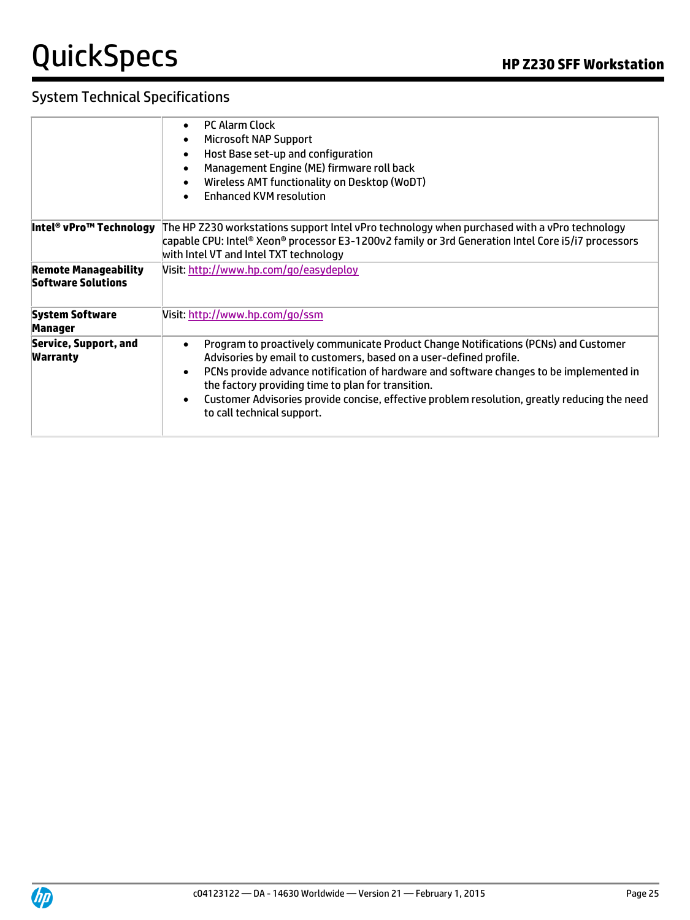|                                                          | <b>PC Alarm Clock</b><br>٠<br>Microsoft NAP Support<br>$\bullet$<br>Host Base set-up and configuration<br>$\bullet$<br>Management Engine (ME) firmware roll back<br>$\bullet$<br>Wireless AMT functionality on Desktop (WoDT)<br>$\bullet$<br><b>Enhanced KVM resolution</b><br>$\bullet$                                                                                                                                                                                       |  |  |  |  |
|----------------------------------------------------------|---------------------------------------------------------------------------------------------------------------------------------------------------------------------------------------------------------------------------------------------------------------------------------------------------------------------------------------------------------------------------------------------------------------------------------------------------------------------------------|--|--|--|--|
| Intel® vPro™ Technology                                  | The HP Z230 workstations support Intel vPro technology when purchased with a vPro technology<br>capable CPU: Intel® Xeon® processor E3-1200v2 family or 3rd Generation Intel Core i5/i7 processors<br>with Intel VT and Intel TXT technology                                                                                                                                                                                                                                    |  |  |  |  |
| <b>Remote Manageability</b><br><b>Software Solutions</b> | Visit: http://www.hp.com/go/easydeploy                                                                                                                                                                                                                                                                                                                                                                                                                                          |  |  |  |  |
| <b>System Software</b><br>Manager                        | Visit: http://www.hp.com/go/ssm                                                                                                                                                                                                                                                                                                                                                                                                                                                 |  |  |  |  |
| <b>Service, Support, and</b><br>Warranty                 | Program to proactively communicate Product Change Notifications (PCNs) and Customer<br>$\bullet$<br>Advisories by email to customers, based on a user-defined profile.<br>PCNs provide advance notification of hardware and software changes to be implemented in<br>$\bullet$<br>the factory providing time to plan for transition.<br>Customer Advisories provide concise, effective problem resolution, greatly reducing the need<br>$\bullet$<br>to call technical support. |  |  |  |  |

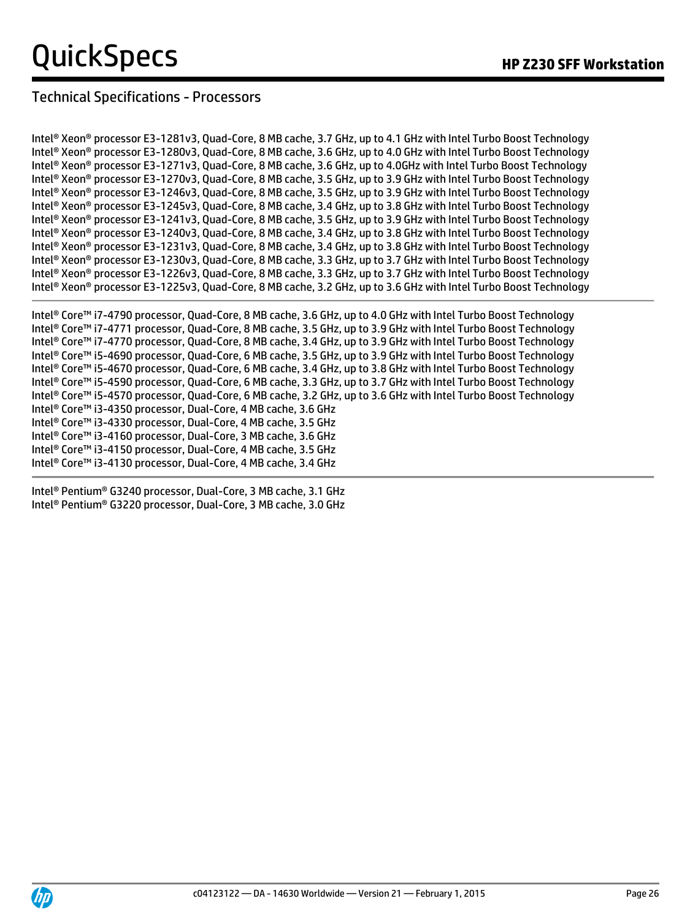### Technical Specifications - Processors

Intel® Xeon® processor E3-1281v3, Quad-Core, 8 MB cache, 3.7 GHz, up to 4.1 GHz with Intel Turbo Boost Technology Intel® Xeon® processor E3-1280v3, Quad-Core, 8 MB cache, 3.6 GHz, up to 4.0 GHz with Intel Turbo Boost Technology Intel® Xeon® processor E3-1271v3, Quad-Core, 8 MB cache, 3.6 GHz, up to 4.0GHz with Intel Turbo Boost Technology Intel® Xeon® processor E3-1270v3, Quad-Core, 8 MB cache, 3.5 GHz, up to 3.9 GHz with Intel Turbo Boost Technology Intel® Xeon® processor E3-1246v3, Quad-Core, 8 MB cache, 3.5 GHz, up to 3.9 GHz with Intel Turbo Boost Technology Intel® Xeon® processor E3-1245v3, Quad-Core, 8 MB cache, 3.4 GHz, up to 3.8 GHz with Intel Turbo Boost Technology Intel® Xeon® processor E3-1241v3, Quad-Core, 8 MB cache, 3.5 GHz, up to 3.9 GHz with Intel Turbo Boost Technology Intel® Xeon® processor E3-1240v3, Quad-Core, 8 MB cache, 3.4 GHz, up to 3.8 GHz with Intel Turbo Boost Technology Intel® Xeon® processor E3-1231v3, Quad-Core, 8 MB cache, 3.4 GHz, up to 3.8 GHz with Intel Turbo Boost Technology Intel® Xeon® processor E3-1230v3, Quad-Core, 8 MB cache, 3.3 GHz, up to 3.7 GHz with Intel Turbo Boost Technology Intel® Xeon® processor E3-1226v3, Quad-Core, 8 MB cache, 3.3 GHz, up to 3.7 GHz with Intel Turbo Boost Technology Intel® Xeon® processor E3-1225v3, Quad-Core, 8 MB cache, 3.2 GHz, up to 3.6 GHz with Intel Turbo Boost Technology

Intel® Core™ i7-4790 processor, Quad-Core, 8 MB cache, 3.6 GHz, up to 4.0 GHz with Intel Turbo Boost Technology Intel® Core™ i7-4771 processor, Quad-Core, 8 MB cache, 3.5 GHz, up to 3.9 GHz with Intel Turbo Boost Technology Intel® Core™ i7-4770 processor, Quad-Core, 8 MB cache, 3.4 GHz, up to 3.9 GHz with Intel Turbo Boost Technology Intel® Core™ i5-4690 processor, Quad-Core, 6 MB cache, 3.5 GHz, up to 3.9 GHz with Intel Turbo Boost Technology Intel® Core™ i5-4670 processor, Quad-Core, 6 MB cache, 3.4 GHz, up to 3.8 GHz with Intel Turbo Boost Technology Intel® Core™ i5-4590 processor, Quad-Core, 6 MB cache, 3.3 GHz, up to 3.7 GHz with Intel Turbo Boost Technology Intel® Core™ i5-4570 processor, Quad-Core, 6 MB cache, 3.2 GHz, up to 3.6 GHz with Intel Turbo Boost Technology Intel® Core™ i3-4350 processor, Dual-Core, 4 MB cache, 3.6 GHz Intel® Core™ i3-4330 processor, Dual-Core, 4 MB cache, 3.5 GHz Intel® Core™ i3-4160 processor, Dual-Core, 3 MB cache, 3.6 GHz Intel® Core™ i3-4150 processor, Dual-Core, 4 MB cache, 3.5 GHz Intel® Core™ i3-4130 processor, Dual-Core, 4 MB cache, 3.4 GHz

Intel® Pentium® G3240 processor, Dual-Core, 3 MB cache, 3.1 GHz Intel® Pentium® G3220 processor, Dual-Core, 3 MB cache, 3.0 GHz

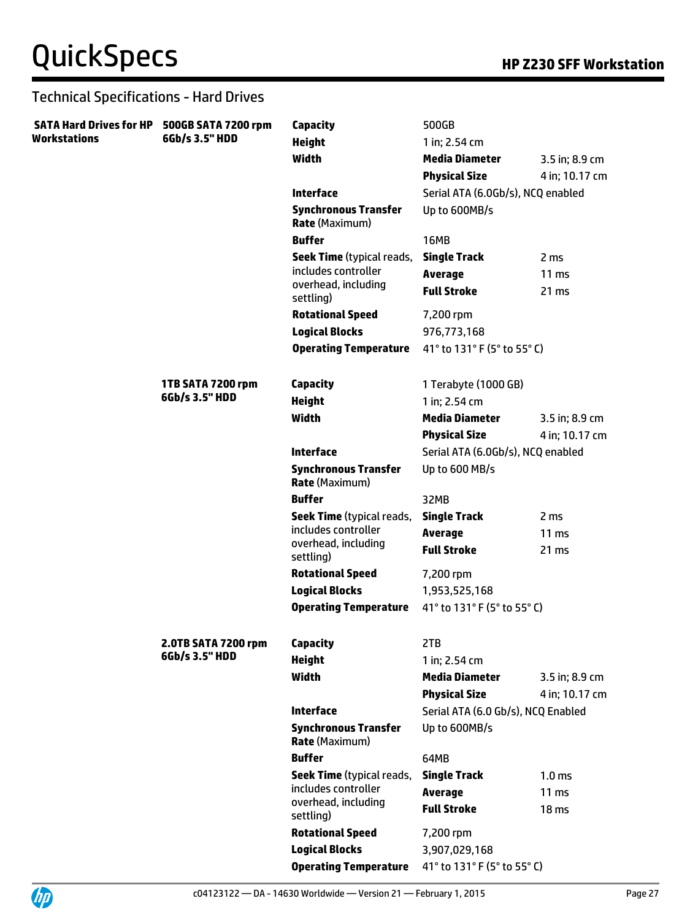### Technical Specifications - Hard Drives

| SATA Hard Drives for HP 500GB SATA 7200 rpm<br>Workstations | 6Gb/s 3.5" HDD      | <b>Capacity</b>                                      | 500GB                                |                          |
|-------------------------------------------------------------|---------------------|------------------------------------------------------|--------------------------------------|--------------------------|
|                                                             |                     | <b>Height</b>                                        | 1 in; 2.54 cm                        |                          |
|                                                             |                     | Width                                                | <b>Media Diameter</b>                | 3.5 in; 8.9 cm           |
|                                                             |                     |                                                      | <b>Physical Size</b>                 | 4 in; 10.17 cm           |
|                                                             |                     | <b>Interface</b>                                     | Serial ATA (6.0Gb/s), NCQ enabled    |                          |
|                                                             |                     | <b>Synchronous Transfer</b><br><b>Rate</b> (Maximum) | Up to 600MB/s                        |                          |
|                                                             |                     | <b>Buffer</b>                                        | <b>16MB</b>                          |                          |
|                                                             |                     | <b>Seek Time</b> (typical reads,                     | <b>Single Track</b>                  | 2 <sub>ms</sub>          |
|                                                             |                     | includes controller<br>overhead, including           | <b>Average</b><br><b>Full Stroke</b> | $11 \text{ ms}$<br>21 ms |
|                                                             |                     | settling)                                            |                                      |                          |
|                                                             |                     | <b>Rotational Speed</b>                              | 7,200 rpm                            |                          |
|                                                             |                     | <b>Logical Blocks</b>                                | 976,773,168                          |                          |
|                                                             |                     | <b>Operating Temperature</b>                         | 41° to 131° F (5° to 55° C)          |                          |
|                                                             | 1TB SATA 7200 rpm   | Capacity                                             | 1 Terabyte (1000 GB)                 |                          |
|                                                             | 6Gb/s 3.5" HDD      | <b>Height</b>                                        | 1 in; 2.54 cm                        |                          |
|                                                             |                     | <b>Width</b>                                         | <b>Media Diameter</b>                | 3.5 in; 8.9 cm           |
|                                                             |                     |                                                      | <b>Physical Size</b>                 | 4 in: 10.17 cm           |
|                                                             |                     | <b>Interface</b>                                     | Serial ATA (6.0Gb/s), NCQ enabled    |                          |
|                                                             |                     | <b>Synchronous Transfer</b><br><b>Rate (Maximum)</b> | Up to 600 MB/s                       |                          |
|                                                             |                     | <b>Buffer</b>                                        | 32MB                                 |                          |
|                                                             |                     | <b>Seek Time</b> (typical reads,                     | <b>Single Track</b>                  | 2 <sub>ms</sub>          |
|                                                             |                     | includes controller<br>overhead, including           | <b>Average</b>                       | 11 <sub>ms</sub>         |
|                                                             |                     | settling)                                            | <b>Full Stroke</b>                   | 21 ms                    |
|                                                             |                     | <b>Rotational Speed</b>                              | 7,200 rpm                            |                          |
|                                                             |                     | <b>Logical Blocks</b>                                | 1,953,525,168                        |                          |
|                                                             |                     | <b>Operating Temperature</b>                         | 41° to 131° F (5° to 55° C)          |                          |
|                                                             | 2.0TB SATA 7200 rpm | Capacity                                             | 2TB                                  |                          |
|                                                             | 6Gb/s 3.5" HDD      | <b>Height</b>                                        | 1 in; 2.54 cm                        |                          |
|                                                             |                     | <b>Width</b>                                         | <b>Media Diameter</b>                | 3.5 in; 8.9 cm           |
|                                                             |                     |                                                      | <b>Physical Size</b>                 | 4 in; 10.17 cm           |
|                                                             |                     | <b>Interface</b>                                     | Serial ATA (6.0 Gb/s), NCQ Enabled   |                          |
|                                                             |                     | <b>Synchronous Transfer</b><br><b>Rate (Maximum)</b> | Up to 600MB/s                        |                          |
|                                                             |                     | <b>Buffer</b>                                        | 64MB                                 |                          |
|                                                             |                     | <b>Seek Time</b> (typical reads,                     | <b>Single Track</b>                  | 1.0 <sub>ms</sub>        |
|                                                             |                     | includes controller                                  | <b>Average</b>                       | 11 <sub>ms</sub>         |
|                                                             |                     | overhead, including<br>settling)                     | <b>Full Stroke</b>                   | 18 <sub>ms</sub>         |
|                                                             |                     | <b>Rotational Speed</b>                              | 7,200 rpm                            |                          |
|                                                             |                     | <b>Logical Blocks</b>                                | 3,907,029,168                        |                          |
|                                                             |                     | <b>Operating Temperature</b>                         | 41° to 131° F (5° to 55° C)          |                          |

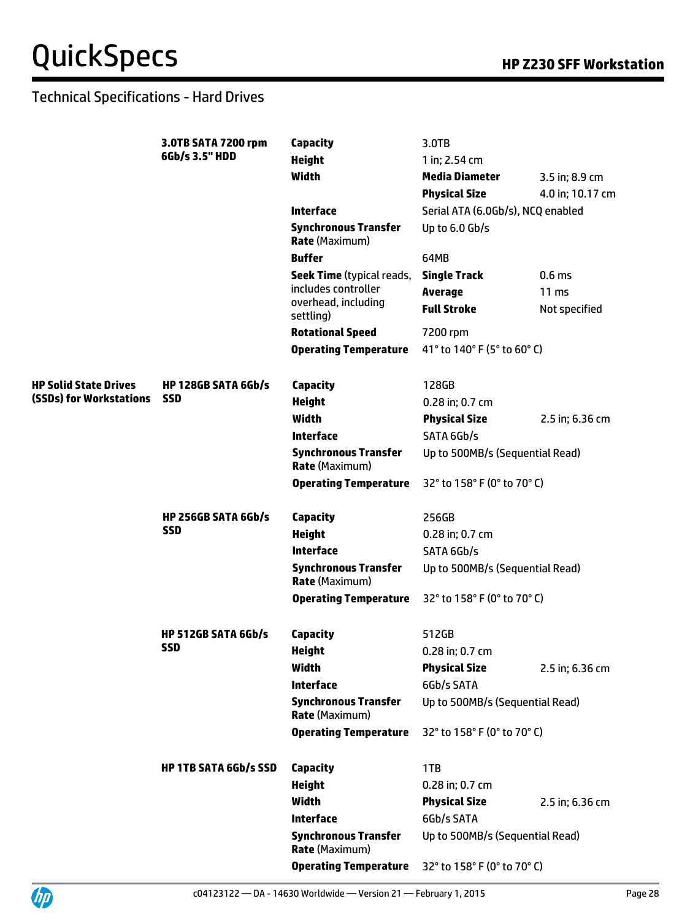### Technical Specifications - Hard Drives

|                              | 3.0TB SATA 7200 rpm<br>6Gb/s 3.5" HDD    | <b>Capacity</b>                                      | 3.0TB                              |                   |
|------------------------------|------------------------------------------|------------------------------------------------------|------------------------------------|-------------------|
|                              |                                          | <b>Height</b>                                        | 1 in; 2.54 cm                      |                   |
|                              |                                          | <b>Width</b>                                         | <b>Media Diameter</b>              | 3.5 in; 8.9 cm    |
|                              |                                          |                                                      | <b>Physical Size</b>               | 4.0 in; 10.17 cm  |
|                              |                                          | <b>Interface</b>                                     | Serial ATA (6.0Gb/s), NCQ enabled  |                   |
|                              |                                          | <b>Synchronous Transfer</b><br><b>Rate (Maximum)</b> | Up to 6.0 Gb/s                     |                   |
|                              |                                          | <b>Buffer</b>                                        | 64MB                               |                   |
|                              |                                          | <b>Seek Time</b> (typical reads,                     | <b>Single Track</b>                | 0.6 <sub>ms</sub> |
|                              |                                          | includes controller                                  | <b>Average</b>                     | 11 ms             |
|                              |                                          | overhead, including<br>settling)                     | <b>Full Stroke</b>                 | Not specified     |
|                              |                                          | <b>Rotational Speed</b>                              | 7200 rpm                           |                   |
|                              |                                          | <b>Operating Temperature</b>                         | 41° to 140° F (5° to 60° C)        |                   |
|                              |                                          |                                                      |                                    |                   |
| <b>HP Solid State Drives</b> | HP 128GB SATA 6Gb/s                      | <b>Capacity</b>                                      | 128GB                              |                   |
| (SSDs) for Workstations      | <b>SSD</b>                               | <b>Height</b>                                        | 0.28 in; 0.7 cm                    |                   |
|                              |                                          | <b>Width</b>                                         | <b>Physical Size</b>               | 2.5 in; 6.36 cm   |
|                              |                                          | <b>Interface</b>                                     | SATA 6Gb/s                         |                   |
|                              |                                          | <b>Synchronous Transfer</b><br><b>Rate (Maximum)</b> | Up to 500MB/s (Sequential Read)    |                   |
|                              |                                          | <b>Operating Temperature</b>                         | 32° to 158° F (0° to 70° C)        |                   |
|                              | <b>HP 256GB SATA 6Gb/s</b><br><b>SSD</b> | <b>Capacity</b>                                      | 256GB                              |                   |
|                              |                                          | <b>Height</b>                                        | 0.28 in; 0.7 cm                    |                   |
|                              |                                          | <b>Interface</b>                                     | SATA 6Gb/s                         |                   |
|                              |                                          | <b>Synchronous Transfer</b><br><b>Rate (Maximum)</b> | Up to 500MB/s (Sequential Read)    |                   |
|                              |                                          | <b>Operating Temperature</b>                         | 32° to 158° F (0° to 70° C)        |                   |
|                              |                                          |                                                      |                                    |                   |
|                              | HP 512GB SATA 6Gb/s<br><b>SSD</b>        | <b>Capacity</b>                                      | 512GB                              |                   |
|                              |                                          | <b>Height</b><br>Width                               | 0.28 in; 0.7 cm                    |                   |
|                              |                                          | <b>Interface</b>                                     | <b>Physical Size</b><br>6Gb/s SATA | 2.5 in; 6.36 cm   |
|                              |                                          | <b>Synchronous Transfer</b>                          |                                    |                   |
|                              |                                          | <b>Rate (Maximum)</b>                                | Up to 500MB/s (Sequential Read)    |                   |
|                              |                                          | <b>Operating Temperature</b>                         | 32° to 158° F (0° to 70° C)        |                   |
|                              | <b>HP 1TB SATA 6Gb/s SSD</b>             | <b>Capacity</b>                                      | 1TB                                |                   |
|                              |                                          | <b>Height</b>                                        | 0.28 in; 0.7 cm                    |                   |
|                              |                                          | <b>Width</b>                                         | <b>Physical Size</b>               | 2.5 in; 6.36 cm   |
|                              |                                          | <b>Interface</b>                                     | 6Gb/s SATA                         |                   |
|                              |                                          | <b>Synchronous Transfer</b><br><b>Rate (Maximum)</b> | Up to 500MB/s (Sequential Read)    |                   |
|                              |                                          | <b>Operating Temperature</b>                         | 32° to 158° F (0° to 70° C)        |                   |
|                              |                                          |                                                      |                                    |                   |



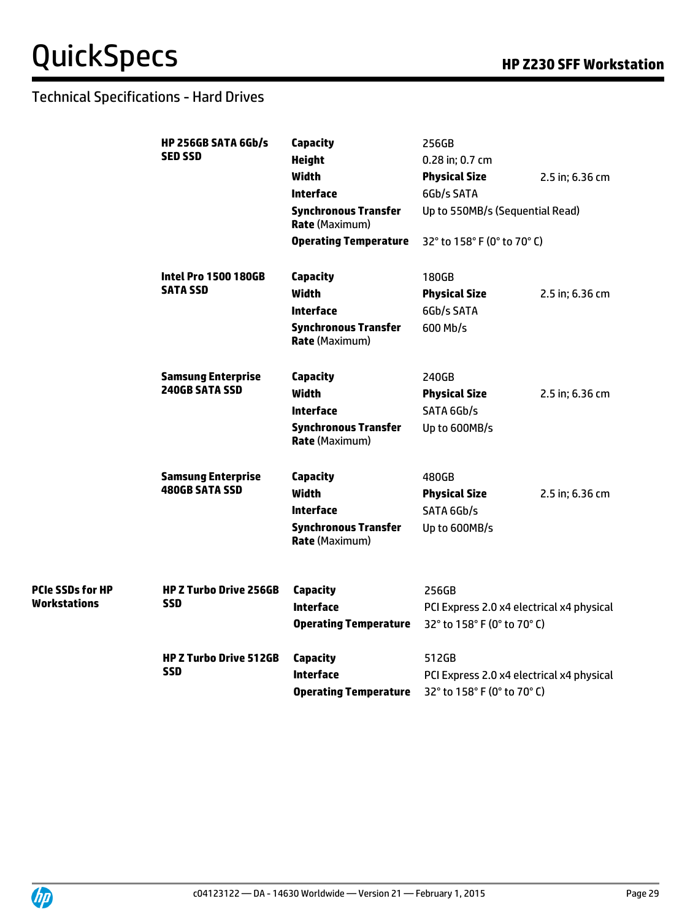#### Technical Specifications - Hard Drives

|                         | HP 256GB SATA 6Gb/s           | <b>Capacity</b>                                      | 256GB                                     |                 |
|-------------------------|-------------------------------|------------------------------------------------------|-------------------------------------------|-----------------|
|                         | <b>SED SSD</b>                | <b>Height</b>                                        | 0.28 in; 0.7 cm                           |                 |
|                         |                               | <b>Width</b>                                         | <b>Physical Size</b>                      | 2.5 in; 6.36 cm |
|                         |                               | <b>Interface</b>                                     | 6Gb/s SATA                                |                 |
|                         |                               | <b>Synchronous Transfer</b><br><b>Rate (Maximum)</b> | Up to 550MB/s (Sequential Read)           |                 |
|                         |                               | <b>Operating Temperature</b>                         | 32° to 158° F (0° to 70° C)               |                 |
|                         | <b>Intel Pro 1500 180GB</b>   | <b>Capacity</b>                                      | 180GB                                     |                 |
|                         | <b>SATA SSD</b>               | <b>Width</b>                                         | <b>Physical Size</b>                      | 2.5 in; 6.36 cm |
|                         |                               | <b>Interface</b>                                     | 6Gb/s SATA                                |                 |
|                         |                               | <b>Synchronous Transfer</b><br><b>Rate (Maximum)</b> | 600 Mb/s                                  |                 |
|                         | <b>Samsung Enterprise</b>     | <b>Capacity</b>                                      | 240GB                                     |                 |
|                         | <b>240GB SATA SSD</b>         | Width                                                | <b>Physical Size</b>                      | 2.5 in; 6.36 cm |
|                         |                               | <b>Interface</b>                                     | SATA 6Gb/s                                |                 |
|                         |                               | <b>Synchronous Transfer</b><br><b>Rate (Maximum)</b> | Up to 600MB/s                             |                 |
|                         | <b>Samsung Enterprise</b>     | <b>Capacity</b>                                      | 480GB                                     |                 |
|                         | <b>480GB SATA SSD</b>         | <b>Width</b>                                         | <b>Physical Size</b>                      | 2.5 in; 6.36 cm |
|                         |                               | Interface                                            | SATA 6Gb/s                                |                 |
|                         |                               | <b>Synchronous Transfer</b><br><b>Rate (Maximum)</b> | Up to 600MB/s                             |                 |
| <b>PCIe SSDs for HP</b> | <b>HP Z Turbo Drive 256GB</b> | <b>Capacity</b>                                      | 256GB                                     |                 |
| Workstations            | <b>SSD</b>                    | <b>Interface</b>                                     | PCI Express 2.0 x4 electrical x4 physical |                 |
|                         |                               | <b>Operating Temperature</b>                         | 32° to 158° F (0° to 70° C)               |                 |
|                         | <b>HP Z Turbo Drive 512GB</b> | <b>Capacity</b>                                      | 512GB                                     |                 |
|                         | <b>SSD</b>                    | <b>Interface</b>                                     | PCI Express 2.0 x4 electrical x4 physical |                 |
|                         |                               | <b>Operating Temperature</b>                         | 32° to 158° F (0° to 70° C)               |                 |

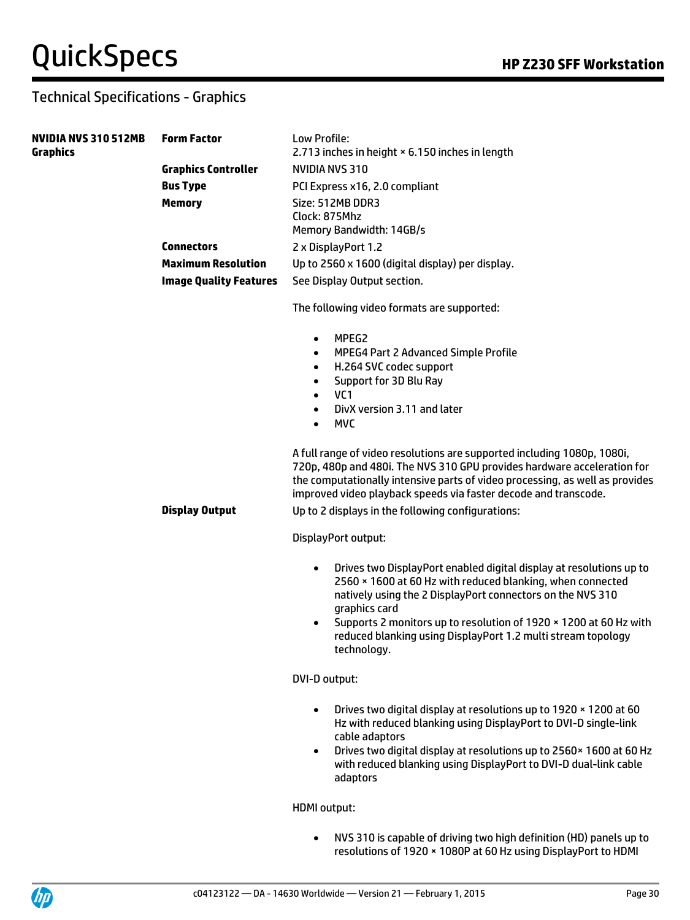| NVIDIA NVS 310 512MB<br>Graphics | <b>Form Factor</b>            | Low Profile:<br>2.713 inches in height × 6.150 inches in length                                                                                                                                                                                                                                                                                                    |  |  |
|----------------------------------|-------------------------------|--------------------------------------------------------------------------------------------------------------------------------------------------------------------------------------------------------------------------------------------------------------------------------------------------------------------------------------------------------------------|--|--|
|                                  | <b>Graphics Controller</b>    | <b>NVIDIA NVS 310</b>                                                                                                                                                                                                                                                                                                                                              |  |  |
|                                  | <b>Bus Type</b>               | PCI Express x16, 2.0 compliant                                                                                                                                                                                                                                                                                                                                     |  |  |
|                                  | <b>Memory</b>                 | Size: 512MB DDR3<br>Clock: 875Mhz<br>Memory Bandwidth: 14GB/s                                                                                                                                                                                                                                                                                                      |  |  |
|                                  | <b>Connectors</b>             | 2 x DisplayPort 1.2                                                                                                                                                                                                                                                                                                                                                |  |  |
|                                  | <b>Maximum Resolution</b>     | Up to 2560 x 1600 (digital display) per display.                                                                                                                                                                                                                                                                                                                   |  |  |
|                                  | <b>Image Quality Features</b> | See Display Output section.                                                                                                                                                                                                                                                                                                                                        |  |  |
|                                  |                               | The following video formats are supported:                                                                                                                                                                                                                                                                                                                         |  |  |
|                                  |                               | MPEG2<br>$\bullet$<br>MPEG4 Part 2 Advanced Simple Profile<br>$\bullet$<br>H.264 SVC codec support<br>$\bullet$<br>Support for 3D Blu Ray<br>$\bullet$<br>VC <sub>1</sub><br>$\bullet$<br>DivX version 3.11 and later<br>$\bullet$<br><b>MVC</b><br>$\bullet$                                                                                                      |  |  |
|                                  |                               | A full range of video resolutions are supported including 1080p, 1080i,<br>720p, 480p and 480i. The NVS 310 GPU provides hardware acceleration for<br>the computationally intensive parts of video processing, as well as provides<br>improved video playback speeds via faster decode and transcode.                                                              |  |  |
|                                  | <b>Display Output</b>         | Up to 2 displays in the following configurations:                                                                                                                                                                                                                                                                                                                  |  |  |
|                                  |                               | DisplayPort output:                                                                                                                                                                                                                                                                                                                                                |  |  |
|                                  |                               | Drives two DisplayPort enabled digital display at resolutions up to<br>$\bullet$<br>2560 × 1600 at 60 Hz with reduced blanking, when connected<br>natively using the 2 DisplayPort connectors on the NVS 310<br>graphics card<br>Supports 2 monitors up to resolution of 1920 × 1200 at 60 Hz with<br>reduced blanking using DisplayPort 1.2 multi stream topology |  |  |
|                                  |                               | technology.                                                                                                                                                                                                                                                                                                                                                        |  |  |
|                                  |                               | DVI-D output:                                                                                                                                                                                                                                                                                                                                                      |  |  |
|                                  |                               | Drives two digital display at resolutions up to 1920 x 1200 at 60<br>Hz with reduced blanking using DisplayPort to DVI-D single-link<br>cable adaptors<br>Drives two digital display at resolutions up to 2560 x 1600 at 60 Hz<br>$\bullet$<br>with reduced blanking using DisplayPort to DVI-D dual-link cable<br>adaptors                                        |  |  |
|                                  |                               | <b>HDMI</b> output:                                                                                                                                                                                                                                                                                                                                                |  |  |
|                                  |                               | NVS 310 is capable of driving two high definition (HD) panels up to<br>resolutions of 1920 × 1080P at 60 Hz using DisplayPort to HDMI                                                                                                                                                                                                                              |  |  |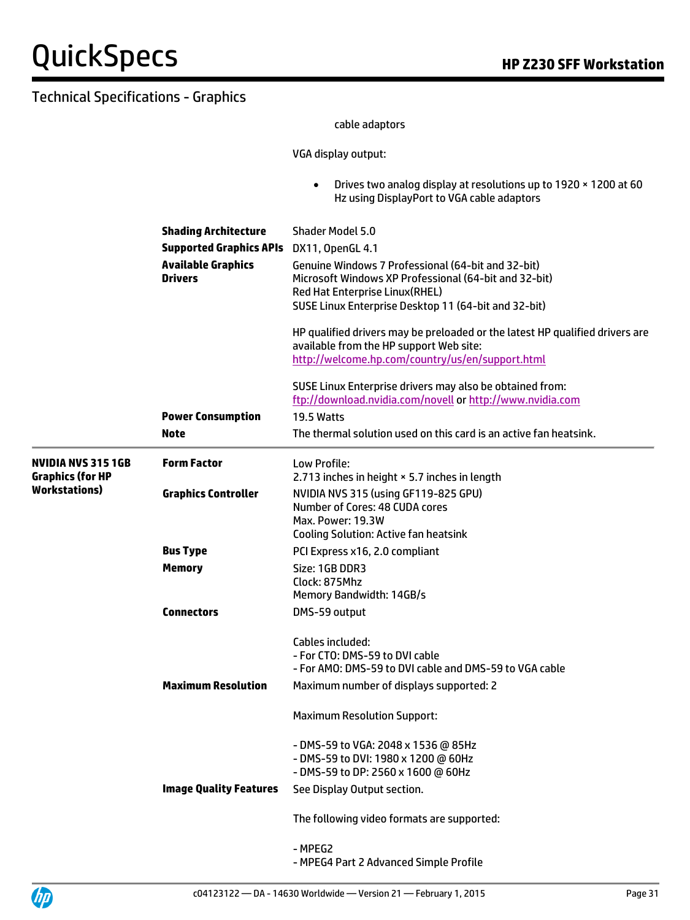|                           |                                                                                                              | cable adaptors                                                                                                                                                                                                                                |
|---------------------------|--------------------------------------------------------------------------------------------------------------|-----------------------------------------------------------------------------------------------------------------------------------------------------------------------------------------------------------------------------------------------|
|                           |                                                                                                              | VGA display output:                                                                                                                                                                                                                           |
|                           |                                                                                                              | Drives two analog display at resolutions up to 1920 x 1200 at 60<br>$\bullet$<br>Hz using DisplayPort to VGA cable adaptors                                                                                                                   |
|                           | <b>Shading Architecture</b><br><b>Supported Graphics APIs</b><br><b>Available Graphics</b><br><b>Drivers</b> | Shader Model 5.0<br>DX11, OpenGL 4.1<br>Genuine Windows 7 Professional (64-bit and 32-bit)<br>Microsoft Windows XP Professional (64-bit and 32-bit)<br>Red Hat Enterprise Linux(RHEL)<br>SUSE Linux Enterprise Desktop 11 (64-bit and 32-bit) |
|                           |                                                                                                              | HP qualified drivers may be preloaded or the latest HP qualified drivers are<br>available from the HP support Web site:<br>http://welcome.hp.com/country/us/en/support.html                                                                   |
|                           | <b>Power Consumption</b><br>Note                                                                             | SUSE Linux Enterprise drivers may also be obtained from:<br>ftp://download.nvidia.com/novell or http://www.nvidia.com<br>19.5 Watts<br>The thermal solution used on this card is an active fan heatsink.                                      |
| <b>NVIDIA NVS 315 1GB</b> | <b>Form Factor</b>                                                                                           | Low Profile:                                                                                                                                                                                                                                  |
| <b>Graphics (for HP</b>   |                                                                                                              | 2.713 inches in height × 5.7 inches in length                                                                                                                                                                                                 |
| <b>Workstations</b> )     | <b>Graphics Controller</b>                                                                                   | NVIDIA NVS 315 (using GF119-825 GPU)<br>Number of Cores: 48 CUDA cores<br>Max. Power: 19.3W<br><b>Cooling Solution: Active fan heatsink</b>                                                                                                   |
|                           | <b>Bus Type</b>                                                                                              | PCI Express x16, 2.0 compliant                                                                                                                                                                                                                |
|                           | <b>Memory</b>                                                                                                | Size: 1GB DDR3<br>Clock: 875Mhz<br>Memory Bandwidth: 14GB/s                                                                                                                                                                                   |
|                           | <b>Connectors</b>                                                                                            | DMS-59 output                                                                                                                                                                                                                                 |
|                           | <b>Maximum Resolution</b>                                                                                    | Cables included:<br>- For CTO: DMS-59 to DVI cable<br>- For AMO: DMS-59 to DVI cable and DMS-59 to VGA cable<br>Maximum number of displays supported: 2                                                                                       |
|                           |                                                                                                              | <b>Maximum Resolution Support:</b>                                                                                                                                                                                                            |
|                           |                                                                                                              | - DMS-59 to VGA: 2048 x 1536 @ 85Hz<br>- DMS-59 to DVI: 1980 x 1200 @ 60Hz<br>- DMS-59 to DP: 2560 x 1600 @ 60Hz                                                                                                                              |
|                           | <b>Image Quality Features</b>                                                                                | See Display Output section.                                                                                                                                                                                                                   |
|                           |                                                                                                              | The following video formats are supported:                                                                                                                                                                                                    |
|                           |                                                                                                              | - MPEG2                                                                                                                                                                                                                                       |

- MPEG4 Part 2 Advanced Simple Profile

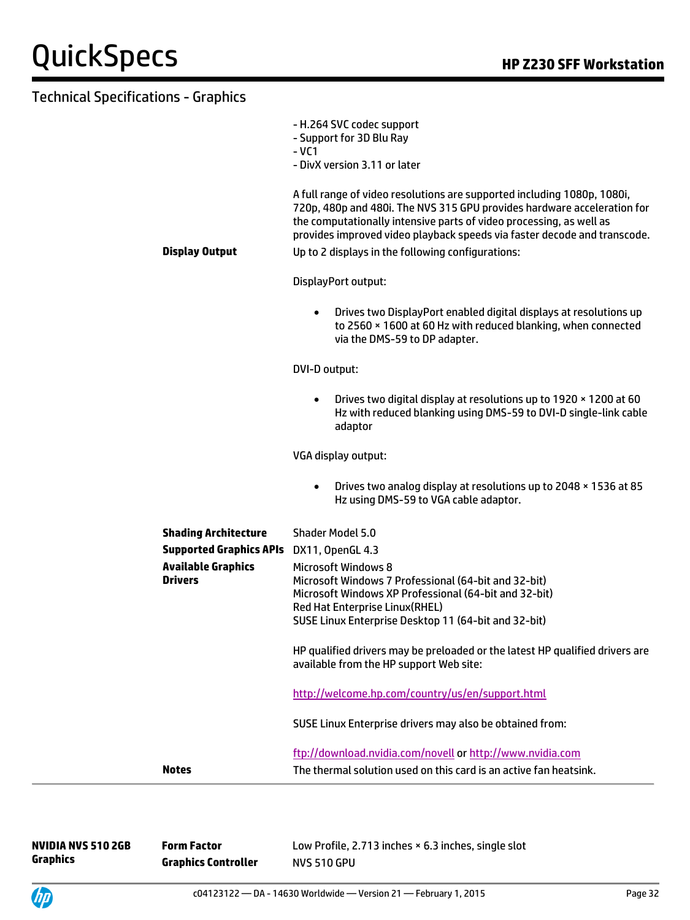| <b>Notes</b>                                | ftp://download.nvidia.com/novell or http://www.nvidia.com<br>The thermal solution used on this card is an active fan heatsink.                                                                                                                                                                                                                             |  |
|---------------------------------------------|------------------------------------------------------------------------------------------------------------------------------------------------------------------------------------------------------------------------------------------------------------------------------------------------------------------------------------------------------------|--|
|                                             | SUSE Linux Enterprise drivers may also be obtained from:                                                                                                                                                                                                                                                                                                   |  |
|                                             | http://welcome.hp.com/country/us/en/support.html                                                                                                                                                                                                                                                                                                           |  |
|                                             | HP qualified drivers may be preloaded or the latest HP qualified drivers are<br>available from the HP support Web site:                                                                                                                                                                                                                                    |  |
|                                             | SUSE Linux Enterprise Desktop 11 (64-bit and 32-bit)                                                                                                                                                                                                                                                                                                       |  |
|                                             | Microsoft Windows XP Professional (64-bit and 32-bit)<br>Red Hat Enterprise Linux(RHEL)                                                                                                                                                                                                                                                                    |  |
| <b>Available Graphics</b><br><b>Drivers</b> | <b>Microsoft Windows 8</b><br>Microsoft Windows 7 Professional (64-bit and 32-bit)                                                                                                                                                                                                                                                                         |  |
| <b>Supported Graphics APIs</b>              | DX11, OpenGL 4.3                                                                                                                                                                                                                                                                                                                                           |  |
| <b>Shading Architecture</b>                 | Shader Model 5.0                                                                                                                                                                                                                                                                                                                                           |  |
|                                             | Drives two analog display at resolutions up to 2048 x 1536 at 85<br>$\bullet$<br>Hz using DMS-59 to VGA cable adaptor.                                                                                                                                                                                                                                     |  |
|                                             | VGA display output:                                                                                                                                                                                                                                                                                                                                        |  |
|                                             | Drives two digital display at resolutions up to 1920 x 1200 at 60<br>$\bullet$<br>Hz with reduced blanking using DMS-59 to DVI-D single-link cable<br>adaptor                                                                                                                                                                                              |  |
|                                             | DVI-D output:                                                                                                                                                                                                                                                                                                                                              |  |
|                                             | Drives two DisplayPort enabled digital displays at resolutions up<br>$\bullet$<br>to 2560 × 1600 at 60 Hz with reduced blanking, when connected<br>via the DMS-59 to DP adapter.                                                                                                                                                                           |  |
|                                             | DisplayPort output:                                                                                                                                                                                                                                                                                                                                        |  |
| <b>Display Output</b>                       | A full range of video resolutions are supported including 1080p, 1080i,<br>720p, 480p and 480i. The NVS 315 GPU provides hardware acceleration for<br>the computationally intensive parts of video processing, as well as<br>provides improved video playback speeds via faster decode and transcode.<br>Up to 2 displays in the following configurations: |  |
|                                             | $-VC1$<br>- DivX version 3.11 or later                                                                                                                                                                                                                                                                                                                     |  |
|                                             | - H.264 SVC codec support<br>- Support for 3D Blu Ray                                                                                                                                                                                                                                                                                                      |  |

**NVIDIA NVS 510 2GB Graphics**

**Form Factor** Low Profile, 2.713 inches × 6.3 inches, single slot **Graphics Controller** NVS 510 GPU

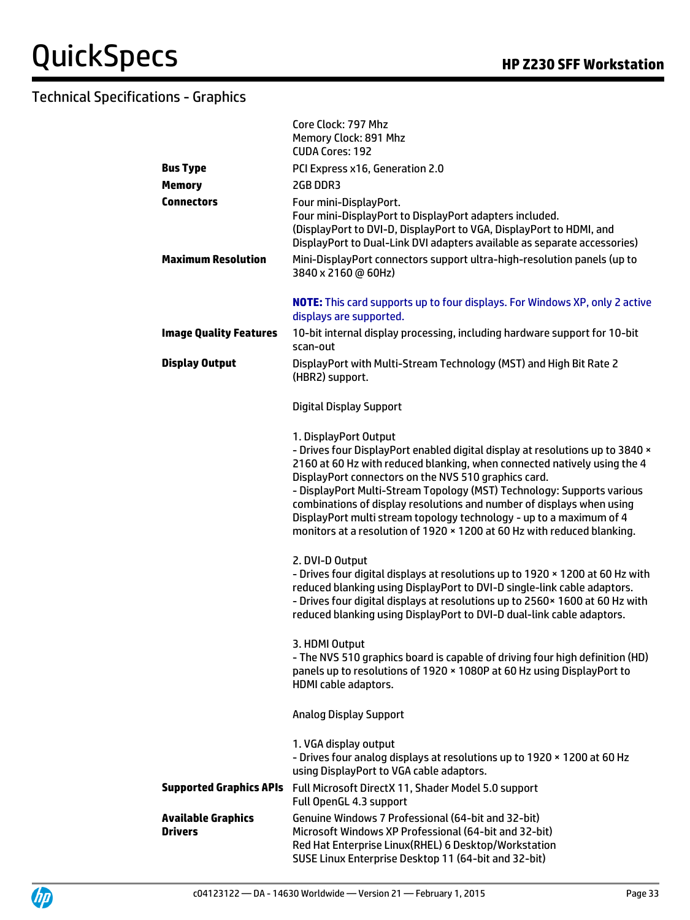|                                             | Core Clock: 797 Mhz<br>Memory Clock: 891 Mhz<br><b>CUDA Cores: 192</b>                                                                                                                                                                                                                                                                                                                                                                                                                                                                          |
|---------------------------------------------|-------------------------------------------------------------------------------------------------------------------------------------------------------------------------------------------------------------------------------------------------------------------------------------------------------------------------------------------------------------------------------------------------------------------------------------------------------------------------------------------------------------------------------------------------|
| <b>Bus Type</b>                             | PCI Express x16, Generation 2.0                                                                                                                                                                                                                                                                                                                                                                                                                                                                                                                 |
| <b>Memory</b>                               | 2GB DDR3                                                                                                                                                                                                                                                                                                                                                                                                                                                                                                                                        |
| <b>Connectors</b>                           | Four mini-DisplayPort.<br>Four mini-DisplayPort to DisplayPort adapters included.<br>(DisplayPort to DVI-D, DisplayPort to VGA, DisplayPort to HDMI, and<br>DisplayPort to Dual-Link DVI adapters available as separate accessories)                                                                                                                                                                                                                                                                                                            |
| <b>Maximum Resolution</b>                   | Mini-DisplayPort connectors support ultra-high-resolution panels (up to<br>3840 x 2160 @ 60Hz)                                                                                                                                                                                                                                                                                                                                                                                                                                                  |
|                                             | <b>NOTE:</b> This card supports up to four displays. For Windows XP, only 2 active<br>displays are supported.                                                                                                                                                                                                                                                                                                                                                                                                                                   |
| <b>Image Quality Features</b>               | 10-bit internal display processing, including hardware support for 10-bit<br>scan-out                                                                                                                                                                                                                                                                                                                                                                                                                                                           |
| <b>Display Output</b>                       | DisplayPort with Multi-Stream Technology (MST) and High Bit Rate 2<br>(HBR2) support.                                                                                                                                                                                                                                                                                                                                                                                                                                                           |
|                                             | <b>Digital Display Support</b>                                                                                                                                                                                                                                                                                                                                                                                                                                                                                                                  |
|                                             | 1. DisplayPort Output<br>- Drives four DisplayPort enabled digital display at resolutions up to 3840 x<br>2160 at 60 Hz with reduced blanking, when connected natively using the 4<br>DisplayPort connectors on the NVS 510 graphics card.<br>- DisplayPort Multi-Stream Topology (MST) Technology: Supports various<br>combinations of display resolutions and number of displays when using<br>DisplayPort multi stream topology technology - up to a maximum of 4<br>monitors at a resolution of 1920 × 1200 at 60 Hz with reduced blanking. |
|                                             | 2. DVI-D Output<br>- Drives four digital displays at resolutions up to 1920 x 1200 at 60 Hz with<br>reduced blanking using DisplayPort to DVI-D single-link cable adaptors.<br>- Drives four digital displays at resolutions up to 2560 × 1600 at 60 Hz with<br>reduced blanking using DisplayPort to DVI-D dual-link cable adaptors.                                                                                                                                                                                                           |
|                                             | 3. HDMI Output<br>- The NVS 510 graphics board is capable of driving four high definition (HD)<br>panels up to resolutions of 1920 × 1080P at 60 Hz using DisplayPort to<br>HDMI cable adaptors.                                                                                                                                                                                                                                                                                                                                                |
|                                             | <b>Analog Display Support</b>                                                                                                                                                                                                                                                                                                                                                                                                                                                                                                                   |
|                                             | 1. VGA display output<br>- Drives four analog displays at resolutions up to 1920 x 1200 at 60 Hz<br>using DisplayPort to VGA cable adaptors.                                                                                                                                                                                                                                                                                                                                                                                                    |
| <b>Supported Graphics APIs</b>              | Full Microsoft DirectX 11, Shader Model 5.0 support<br>Full OpenGL 4.3 support                                                                                                                                                                                                                                                                                                                                                                                                                                                                  |
| <b>Available Graphics</b><br><b>Drivers</b> | Genuine Windows 7 Professional (64-bit and 32-bit)<br>Microsoft Windows XP Professional (64-bit and 32-bit)<br>Red Hat Enterprise Linux(RHEL) 6 Desktop/Workstation<br>SUSE Linux Enterprise Desktop 11 (64-bit and 32-bit)                                                                                                                                                                                                                                                                                                                     |

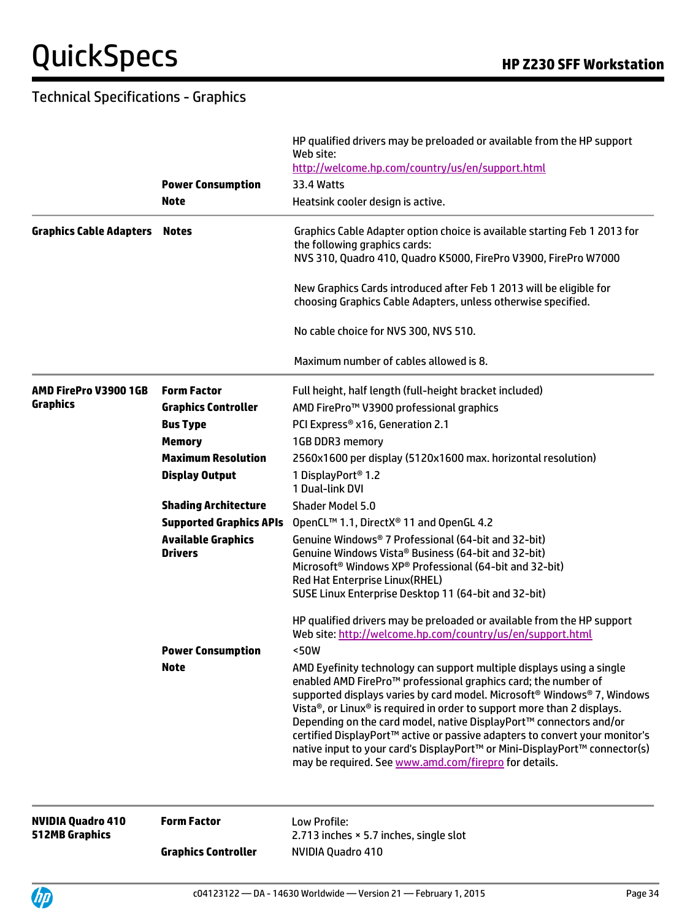|                                                   |                                             | HP qualified drivers may be preloaded or available from the HP support<br>Web site:<br>http://welcome.hp.com/country/us/en/support.html                                                                                                                                                                                                                                                                                                                                                                                                                                                                           |  |  |
|---------------------------------------------------|---------------------------------------------|-------------------------------------------------------------------------------------------------------------------------------------------------------------------------------------------------------------------------------------------------------------------------------------------------------------------------------------------------------------------------------------------------------------------------------------------------------------------------------------------------------------------------------------------------------------------------------------------------------------------|--|--|
|                                                   | <b>Power Consumption</b>                    | 33.4 Watts                                                                                                                                                                                                                                                                                                                                                                                                                                                                                                                                                                                                        |  |  |
|                                                   | <b>Note</b>                                 | Heatsink cooler design is active.                                                                                                                                                                                                                                                                                                                                                                                                                                                                                                                                                                                 |  |  |
| <b>Graphics Cable Adapters</b>                    | <b>Notes</b>                                | Graphics Cable Adapter option choice is available starting Feb 1 2013 for<br>the following graphics cards:<br>NVS 310, Quadro 410, Quadro K5000, FirePro V3900, FirePro W7000                                                                                                                                                                                                                                                                                                                                                                                                                                     |  |  |
|                                                   |                                             | New Graphics Cards introduced after Feb 1 2013 will be eligible for<br>choosing Graphics Cable Adapters, unless otherwise specified.                                                                                                                                                                                                                                                                                                                                                                                                                                                                              |  |  |
|                                                   |                                             | No cable choice for NVS 300, NVS 510.                                                                                                                                                                                                                                                                                                                                                                                                                                                                                                                                                                             |  |  |
|                                                   |                                             | Maximum number of cables allowed is 8.                                                                                                                                                                                                                                                                                                                                                                                                                                                                                                                                                                            |  |  |
| AMD FirePro V3900 1GB                             | <b>Form Factor</b>                          | Full height, half length (full-height bracket included)                                                                                                                                                                                                                                                                                                                                                                                                                                                                                                                                                           |  |  |
| <b>Graphics</b>                                   | <b>Graphics Controller</b>                  | AMD FirePro <sup>™</sup> V3900 professional graphics                                                                                                                                                                                                                                                                                                                                                                                                                                                                                                                                                              |  |  |
|                                                   | <b>Bus Type</b>                             | PCI Express <sup>®</sup> x16, Generation 2.1                                                                                                                                                                                                                                                                                                                                                                                                                                                                                                                                                                      |  |  |
|                                                   | <b>Memory</b>                               | 1GB DDR3 memory                                                                                                                                                                                                                                                                                                                                                                                                                                                                                                                                                                                                   |  |  |
|                                                   | <b>Maximum Resolution</b>                   | 2560x1600 per display (5120x1600 max. horizontal resolution)                                                                                                                                                                                                                                                                                                                                                                                                                                                                                                                                                      |  |  |
|                                                   | <b>Display Output</b>                       | 1 DisplayPort <sup>®</sup> 1.2<br>1 Dual-link DVI                                                                                                                                                                                                                                                                                                                                                                                                                                                                                                                                                                 |  |  |
|                                                   | <b>Shading Architecture</b>                 | Shader Model 5.0                                                                                                                                                                                                                                                                                                                                                                                                                                                                                                                                                                                                  |  |  |
|                                                   | <b>Supported Graphics APIs</b>              | OpenCL™ 1.1, DirectX® 11 and OpenGL 4.2                                                                                                                                                                                                                                                                                                                                                                                                                                                                                                                                                                           |  |  |
|                                                   | <b>Available Graphics</b><br><b>Drivers</b> | Genuine Windows <sup>®</sup> 7 Professional (64-bit and 32-bit)<br>Genuine Windows Vista® Business (64-bit and 32-bit)<br>Microsoft <sup>®</sup> Windows XP® Professional (64-bit and 32-bit)<br>Red Hat Enterprise Linux(RHEL)<br>SUSE Linux Enterprise Desktop 11 (64-bit and 32-bit)                                                                                                                                                                                                                                                                                                                           |  |  |
|                                                   |                                             | HP qualified drivers may be preloaded or available from the HP support<br>Web site: http://welcome.hp.com/country/us/en/support.html                                                                                                                                                                                                                                                                                                                                                                                                                                                                              |  |  |
|                                                   | <b>Power Consumption</b>                    | <50W                                                                                                                                                                                                                                                                                                                                                                                                                                                                                                                                                                                                              |  |  |
|                                                   | <b>Note</b>                                 | AMD Eyefinity technology can support multiple displays using a single<br>enabled AMD FirePro <sup>™</sup> professional graphics card; the number of<br>supported displays varies by card model. Microsoft <sup>®</sup> Windows® 7, Windows<br>Vista®, or Linux® is required in order to support more than 2 displays.<br>Depending on the card model, native DisplayPort™ connectors and/or<br>certified DisplayPort™ active or passive adapters to convert your monitor's<br>native input to your card's DisplayPort™ or Mini-DisplayPort™ connector(s)<br>may be required. See www.amd.com/firepro for details. |  |  |
| <b>NVIDIA Quadro 410</b><br><b>512MB Graphics</b> | <b>Form Factor</b>                          | Low Profile:<br>2.713 inches × 5.7 inches, single slot                                                                                                                                                                                                                                                                                                                                                                                                                                                                                                                                                            |  |  |
|                                                   | <b>Graphics Controller</b>                  | NVIDIA Quadro 410                                                                                                                                                                                                                                                                                                                                                                                                                                                                                                                                                                                                 |  |  |

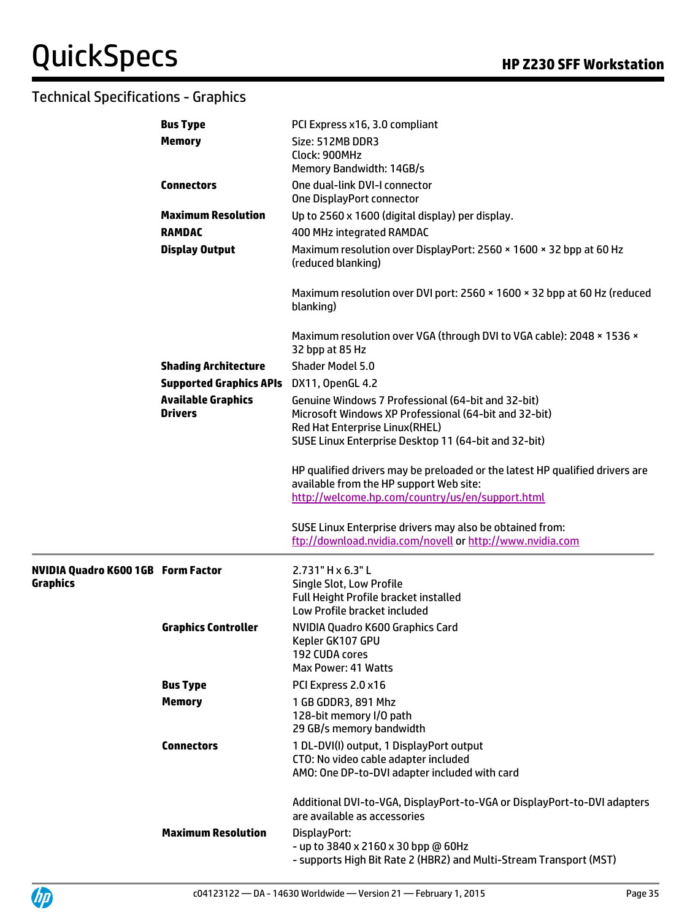|                                                              | <b>Bus Type</b>                             | PCI Express x16, 3.0 compliant                                                                                                                                                                                                          |
|--------------------------------------------------------------|---------------------------------------------|-----------------------------------------------------------------------------------------------------------------------------------------------------------------------------------------------------------------------------------------|
|                                                              | <b>Memory</b>                               | Size: 512MB DDR3<br>Clock: 900MHz<br>Memory Bandwidth: 14GB/s                                                                                                                                                                           |
|                                                              | <b>Connectors</b>                           | One dual-link DVI-I connector<br>One DisplayPort connector                                                                                                                                                                              |
|                                                              | <b>Maximum Resolution</b>                   | Up to 2560 x 1600 (digital display) per display.                                                                                                                                                                                        |
|                                                              | <b>RAMDAC</b>                               | 400 MHz integrated RAMDAC                                                                                                                                                                                                               |
|                                                              | <b>Display Output</b>                       | Maximum resolution over DisplayPort: 2560 × 1600 × 32 bpp at 60 Hz<br>(reduced blanking)                                                                                                                                                |
|                                                              |                                             | Maximum resolution over DVI port: 2560 × 1600 × 32 bpp at 60 Hz (reduced<br>blanking)                                                                                                                                                   |
|                                                              |                                             | Maximum resolution over VGA (through DVI to VGA cable): 2048 x 1536 x<br>32 bpp at 85 Hz                                                                                                                                                |
|                                                              | <b>Shading Architecture</b>                 | <b>Shader Model 5.0</b>                                                                                                                                                                                                                 |
|                                                              | <b>Supported Graphics APIs</b>              | DX11, OpenGL 4.2                                                                                                                                                                                                                        |
|                                                              | <b>Available Graphics</b><br><b>Drivers</b> | Genuine Windows 7 Professional (64-bit and 32-bit)<br>Microsoft Windows XP Professional (64-bit and 32-bit)<br>Red Hat Enterprise Linux(RHEL)<br>SUSE Linux Enterprise Desktop 11 (64-bit and 32-bit)                                   |
|                                                              |                                             | HP qualified drivers may be preloaded or the latest HP qualified drivers are<br>available from the HP support Web site:<br>http://welcome.hp.com/country/us/en/support.html<br>SUSE Linux Enterprise drivers may also be obtained from: |
|                                                              |                                             | ftp://download.nvidia.com/novell or http://www.nvidia.com                                                                                                                                                                               |
| <b>NVIDIA Quadro K600 1GB Form Factor</b><br><b>Graphics</b> |                                             | 2.731" H x 6.3" L<br>Single Slot, Low Profile<br>Full Height Profile bracket installed<br>Low Profile bracket included                                                                                                                  |
|                                                              | <b>Graphics Controller</b>                  | NVIDIA Quadro K600 Graphics Card<br>Kepler GK107 GPU<br>192 CUDA cores<br>Max Power: 41 Watts                                                                                                                                           |
|                                                              | <b>Bus Type</b>                             | PCI Express 2.0 x16                                                                                                                                                                                                                     |
|                                                              | <b>Memory</b>                               | 1 GB GDDR3, 891 Mhz<br>128-bit memory I/O path<br>29 GB/s memory bandwidth                                                                                                                                                              |
|                                                              | <b>Connectors</b>                           | 1 DL-DVI(I) output, 1 DisplayPort output<br>CTO: No video cable adapter included<br>AMO: One DP-to-DVI adapter included with card                                                                                                       |
|                                                              |                                             | Additional DVI-to-VGA, DisplayPort-to-VGA or DisplayPort-to-DVI adapters<br>are available as accessories                                                                                                                                |
|                                                              | <b>Maximum Resolution</b>                   | DisplayPort:<br>- up to 3840 x 2160 x 30 bpp @ 60Hz<br>- supports High Bit Rate 2 (HBR2) and Multi-Stream Transport (MST)                                                                                                               |

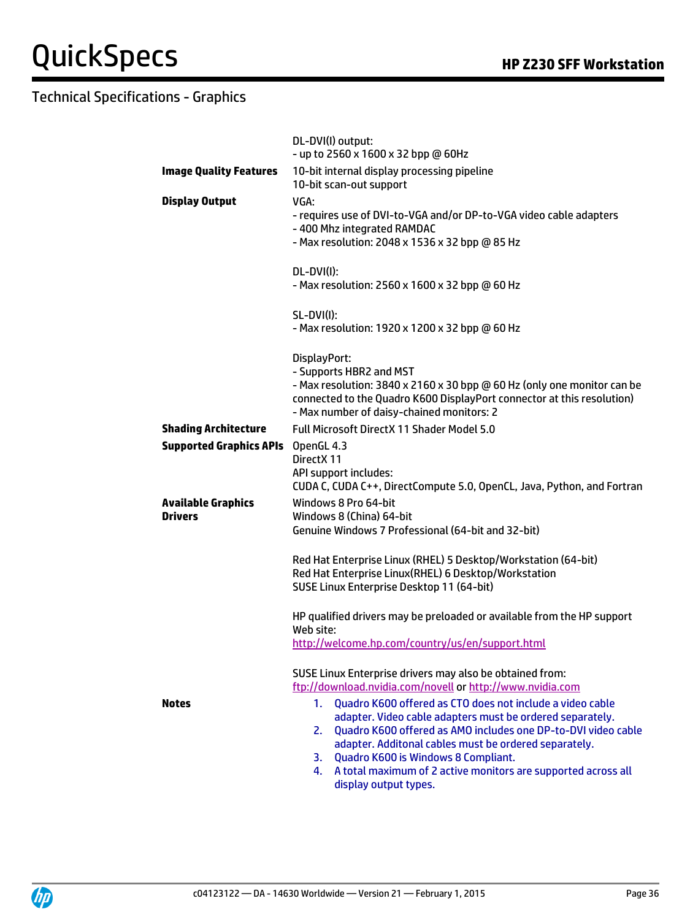### Technical Specifications - Graphics

|                                             | DL-DVI(I) output:<br>- up to 2560 x 1600 x 32 bpp @ 60Hz                                                                                                                                                                                                     |  |  |
|---------------------------------------------|--------------------------------------------------------------------------------------------------------------------------------------------------------------------------------------------------------------------------------------------------------------|--|--|
| <b>Image Quality Features</b>               | 10-bit internal display processing pipeline<br>10-bit scan-out support                                                                                                                                                                                       |  |  |
| <b>Display Output</b>                       | VGA:<br>- requires use of DVI-to-VGA and/or DP-to-VGA video cable adapters<br>-400 Mhz integrated RAMDAC<br>- Max resolution: 2048 x 1536 x 32 bpp @ 85 Hz                                                                                                   |  |  |
|                                             | DL-DVI(I):<br>- Max resolution: 2560 x 1600 x 32 bpp @ 60 Hz                                                                                                                                                                                                 |  |  |
|                                             | <b>SL-DVI(I):</b><br>- Max resolution: 1920 x 1200 x 32 bpp @ 60 Hz                                                                                                                                                                                          |  |  |
|                                             | DisplayPort:<br>- Supports HBR2 and MST<br>- Max resolution: 3840 x 2160 x 30 bpp @ 60 Hz (only one monitor can be<br>connected to the Quadro K600 DisplayPort connector at this resolution)<br>- Max number of daisy-chained monitors: 2                    |  |  |
| <b>Shading Architecture</b>                 | Full Microsoft DirectX 11 Shader Model 5.0                                                                                                                                                                                                                   |  |  |
| <b>Supported Graphics APIs</b>              | OpenGL 4.3<br>DirectX 11<br>API support includes:                                                                                                                                                                                                            |  |  |
| <b>Available Graphics</b><br><b>Drivers</b> | CUDA C, CUDA C++, DirectCompute 5.0, OpenCL, Java, Python, and Fortran<br>Windows 8 Pro 64-bit<br>Windows 8 (China) 64-bit<br>Genuine Windows 7 Professional (64-bit and 32-bit)                                                                             |  |  |
|                                             | Red Hat Enterprise Linux (RHEL) 5 Desktop/Workstation (64-bit)<br>Red Hat Enterprise Linux(RHEL) 6 Desktop/Workstation<br>SUSE Linux Enterprise Desktop 11 (64-bit)                                                                                          |  |  |
|                                             | HP qualified drivers may be preloaded or available from the HP support<br>Web site:<br>http://welcome.hp.com/country/us/en/support.html                                                                                                                      |  |  |
|                                             | SUSE Linux Enterprise drivers may also be obtained from:<br>ftp://download.nvidia.com/novell or http://www.nvidia.com                                                                                                                                        |  |  |
| <b>Notes</b>                                | Quadro K600 offered as CTO does not include a video cable<br>1.<br>adapter. Video cable adapters must be ordered separately.<br>Quadro K600 offered as AMO includes one DP-to-DVI video cable<br>2.<br>adapter. Additonal cables must be ordered separately. |  |  |
|                                             | Quadro K600 is Windows 8 Compliant.<br>3.<br>A total maximum of 2 active monitors are supported across all<br>4.<br>display output types.                                                                                                                    |  |  |

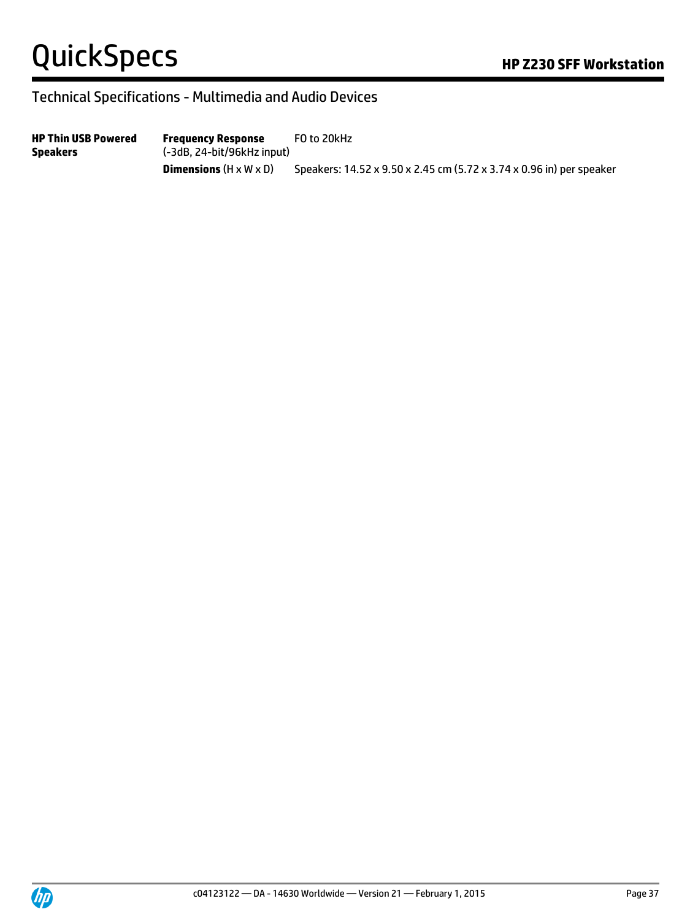### Technical Specifications - Multimedia and Audio Devices

**HP Thin USB Powered Speakers Frequency Response** (-3dB, 24-bit/96kHz input) FO to 20kHz **Dimensions** (H x W x D) Speakers: 14.52 x 9.50 x 2.45 cm (5.72 x 3.74 x 0.96 in) per speaker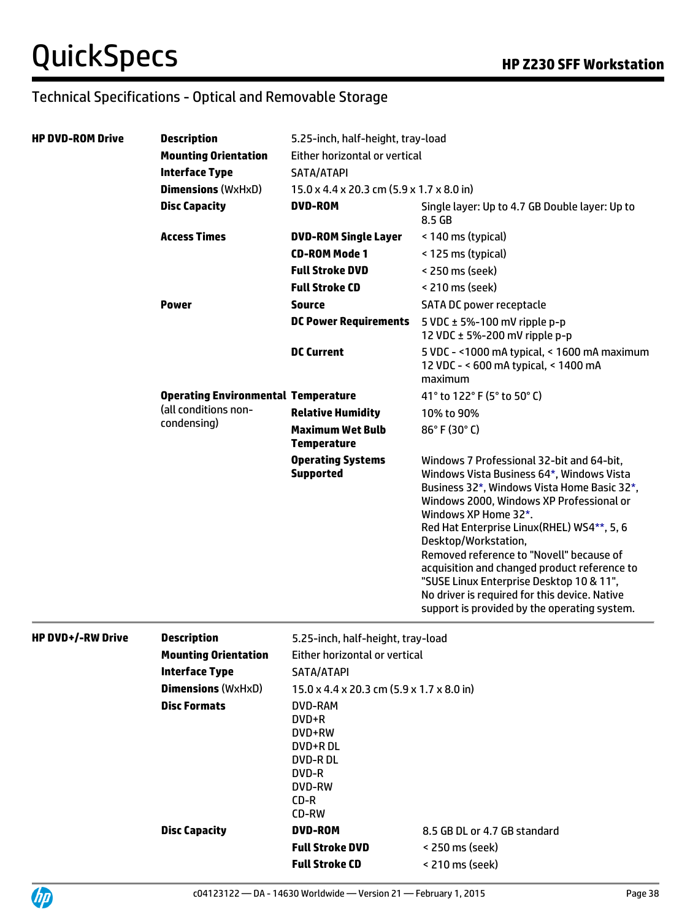| HP DVD+/-RW Drive       | <b>Description</b>                                                 | 5.25-inch, half-height, tray-load             |                                                                                                                                                                                                                                                                                                                                                                                                                                                                             |
|-------------------------|--------------------------------------------------------------------|-----------------------------------------------|-----------------------------------------------------------------------------------------------------------------------------------------------------------------------------------------------------------------------------------------------------------------------------------------------------------------------------------------------------------------------------------------------------------------------------------------------------------------------------|
|                         |                                                                    | <b>Supported</b>                              | Windows Vista Business 64*, Windows Vista<br>Business 32*, Windows Vista Home Basic 32*,<br>Windows 2000, Windows XP Professional or<br>Windows XP Home 32*.<br>Red Hat Enterprise Linux(RHEL) WS4**, 5, 6<br>Desktop/Workstation,<br>Removed reference to "Novell" because of<br>acquisition and changed product reference to<br>"SUSE Linux Enterprise Desktop 10 & 11",<br>No driver is required for this device. Native<br>support is provided by the operating system. |
|                         |                                                                    | <b>Operating Systems</b>                      | Windows 7 Professional 32-bit and 64-bit.                                                                                                                                                                                                                                                                                                                                                                                                                                   |
|                         |                                                                    | <b>Maximum Wet Bulb</b><br><b>Temperature</b> | 86°F (30°C)                                                                                                                                                                                                                                                                                                                                                                                                                                                                 |
|                         | condensing)                                                        | <b>Relative Humidity</b>                      | 10% to 90%                                                                                                                                                                                                                                                                                                                                                                                                                                                                  |
|                         | <b>Operating Environmental Temperature</b><br>(all conditions non- |                                               | 41° to 122° F (5° to 50° C)                                                                                                                                                                                                                                                                                                                                                                                                                                                 |
|                         |                                                                    | <b>DC Current</b>                             | 5 VDC - < 1000 mA typical, < 1600 mA maximum<br>12 VDC - < 600 mA typical, < 1400 mA<br>maximum                                                                                                                                                                                                                                                                                                                                                                             |
|                         |                                                                    | <b>DC Power Requirements</b>                  | 5 VDC $\pm$ 5%-100 mV ripple p-p<br>12 VDC ± 5%-200 mV ripple p-p                                                                                                                                                                                                                                                                                                                                                                                                           |
|                         | <b>Power</b>                                                       | <b>Source</b>                                 | SATA DC power receptacle                                                                                                                                                                                                                                                                                                                                                                                                                                                    |
|                         |                                                                    | <b>Full Stroke CD</b>                         | < 210 ms (seek)                                                                                                                                                                                                                                                                                                                                                                                                                                                             |
|                         |                                                                    | <b>Full Stroke DVD</b>                        | < 250 ms (seek)                                                                                                                                                                                                                                                                                                                                                                                                                                                             |
|                         |                                                                    | <b>CD-ROM Mode 1</b>                          | < 125 ms (typical)                                                                                                                                                                                                                                                                                                                                                                                                                                                          |
|                         | <b>Access Times</b>                                                | <b>DVD-ROM Single Layer</b>                   | < 140 ms (typical)                                                                                                                                                                                                                                                                                                                                                                                                                                                          |
|                         | <b>Disc Capacity</b>                                               | <b>DVD-ROM</b>                                | Single layer: Up to 4.7 GB Double layer: Up to<br>8.5 GB                                                                                                                                                                                                                                                                                                                                                                                                                    |
|                         | <b>Dimensions (WxHxD)</b>                                          | 15.0 x 4.4 x 20.3 cm (5.9 x 1.7 x 8.0 in)     |                                                                                                                                                                                                                                                                                                                                                                                                                                                                             |
|                         | <b>Interface Type</b>                                              | SATA/ATAPI                                    |                                                                                                                                                                                                                                                                                                                                                                                                                                                                             |
|                         | <b>Mounting Orientation</b>                                        | Either horizontal or vertical                 |                                                                                                                                                                                                                                                                                                                                                                                                                                                                             |
| <b>HP DVD-ROM Drive</b> | <b>Description</b>                                                 | 5.25-inch, half-height, tray-load             |                                                                                                                                                                                                                                                                                                                                                                                                                                                                             |

| אווע WV רויין דע | DESCHIPLION                 | ulcii, Hali-Helyiil, liay-load. د                                                        |                              |
|------------------|-----------------------------|------------------------------------------------------------------------------------------|------------------------------|
|                  | <b>Mounting Orientation</b> | Either horizontal or vertical                                                            |                              |
|                  | <b>Interface Type</b>       | SATA/ATAPI                                                                               |                              |
|                  | <b>Dimensions</b> (WxHxD)   | $15.0 \times 4.4 \times 20.3$ cm $(5.9 \times 1.7 \times 8.0)$ in                        |                              |
|                  | <b>Disc Formats</b>         | DVD-RAM<br>$DVD+R$<br>DVD+RW<br>DVD+R DL<br>DVD-R DL<br>DVD-R<br>DVD-RW<br>CD-R<br>CD-RW |                              |
|                  | <b>Disc Capacity</b>        | <b>DVD-ROM</b>                                                                           | 8.5 GB DL or 4.7 GB standard |
|                  |                             | <b>Full Stroke DVD</b>                                                                   | < 250 ms (seek)              |
|                  |                             | <b>Full Stroke CD</b>                                                                    | < 210 ms (seek)              |
|                  |                             |                                                                                          |                              |

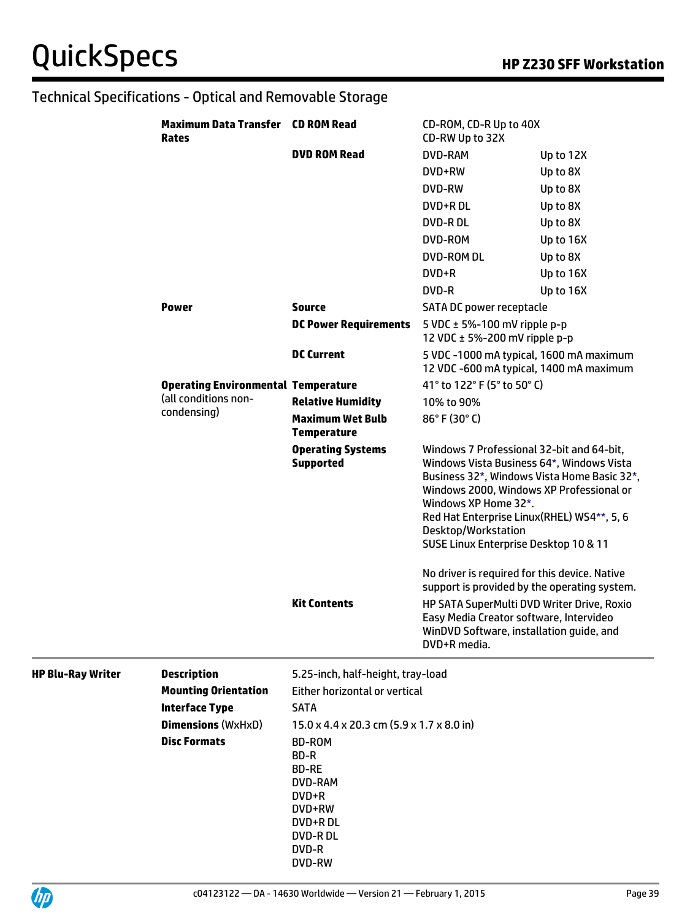|                          | <b>Maximum Data Transfer CD ROM Read</b><br>Rates | CD-ROM, CD-R Up to 40X<br>CD-RW Up to 32X                                                                                  |                                                                                                                                                                                                                                                                                                                         |           |
|--------------------------|---------------------------------------------------|----------------------------------------------------------------------------------------------------------------------------|-------------------------------------------------------------------------------------------------------------------------------------------------------------------------------------------------------------------------------------------------------------------------------------------------------------------------|-----------|
|                          |                                                   | <b>DVD ROM Read</b>                                                                                                        | DVD-RAM                                                                                                                                                                                                                                                                                                                 | Up to 12X |
|                          |                                                   |                                                                                                                            | DVD+RW                                                                                                                                                                                                                                                                                                                  | Up to 8X  |
|                          |                                                   |                                                                                                                            | DVD-RW                                                                                                                                                                                                                                                                                                                  | Up to 8X  |
|                          |                                                   |                                                                                                                            | DVD+R DL                                                                                                                                                                                                                                                                                                                | Up to 8X  |
|                          |                                                   |                                                                                                                            | <b>DVD-RDL</b>                                                                                                                                                                                                                                                                                                          | Up to 8X  |
|                          |                                                   |                                                                                                                            | DVD-ROM                                                                                                                                                                                                                                                                                                                 | Up to 16X |
|                          |                                                   |                                                                                                                            | <b>DVD-ROM DL</b>                                                                                                                                                                                                                                                                                                       | Up to 8X  |
|                          |                                                   |                                                                                                                            | DVD+R                                                                                                                                                                                                                                                                                                                   | Up to 16X |
|                          |                                                   |                                                                                                                            | DVD-R                                                                                                                                                                                                                                                                                                                   | Up to 16X |
|                          | <b>Power</b>                                      | <b>Source</b>                                                                                                              | SATA DC power receptacle                                                                                                                                                                                                                                                                                                |           |
|                          |                                                   | <b>DC Power Requirements</b>                                                                                               | 5 VDC $\pm$ 5%-100 mV ripple p-p<br>12 VDC ± 5%-200 mV ripple p-p                                                                                                                                                                                                                                                       |           |
|                          |                                                   | <b>DC Current</b>                                                                                                          | 5 VDC -1000 mA typical, 1600 mA maximum<br>12 VDC -600 mA typical, 1400 mA maximum                                                                                                                                                                                                                                      |           |
|                          | <b>Operating Environmental Temperature</b>        |                                                                                                                            | 41° to 122° F (5° to 50° C)                                                                                                                                                                                                                                                                                             |           |
|                          | (all conditions non-                              | <b>Relative Humidity</b>                                                                                                   | 10% to 90%                                                                                                                                                                                                                                                                                                              |           |
|                          | condensing)                                       | <b>Maximum Wet Bulb</b><br><b>Temperature</b>                                                                              | 86°F (30°C)                                                                                                                                                                                                                                                                                                             |           |
|                          |                                                   | <b>Operating Systems</b><br><b>Supported</b>                                                                               | Windows 7 Professional 32-bit and 64-bit,<br>Windows Vista Business 64*, Windows Vista<br>Business 32*, Windows Vista Home Basic 32*,<br>Windows 2000, Windows XP Professional or<br>Windows XP Home 32*.<br>Red Hat Enterprise Linux(RHEL) WS4**, 5, 6<br>Desktop/Workstation<br>SUSE Linux Enterprise Desktop 10 & 11 |           |
|                          |                                                   | <b>Kit Contents</b>                                                                                                        | No driver is required for this device. Native<br>support is provided by the operating system.<br>HP SATA SuperMulti DVD Writer Drive, Roxio<br>Easy Media Creator software, Intervideo<br>WinDVD Software, installation guide, and<br>DVD+R media.                                                                      |           |
| <b>HP Blu-Ray Writer</b> | <b>Description</b>                                | 5.25-inch, half-height, tray-load                                                                                          |                                                                                                                                                                                                                                                                                                                         |           |
|                          | <b>Mounting Orientation</b>                       | Either horizontal or vertical                                                                                              |                                                                                                                                                                                                                                                                                                                         |           |
|                          | <b>Interface Type</b>                             | <b>SATA</b>                                                                                                                |                                                                                                                                                                                                                                                                                                                         |           |
|                          | <b>Dimensions</b> (WxHxD)                         | 15.0 x 4.4 x 20.3 cm (5.9 x 1.7 x 8.0 in)                                                                                  |                                                                                                                                                                                                                                                                                                                         |           |
|                          | <b>Disc Formats</b>                               | <b>BD-ROM</b><br>BD-R<br><b>BD-RE</b><br><b>DVD-RAM</b><br>DVD+R<br>DVD+RW<br>DVD+RDL<br><b>DVD-RDL</b><br>DVD-R<br>DVD-RW |                                                                                                                                                                                                                                                                                                                         |           |

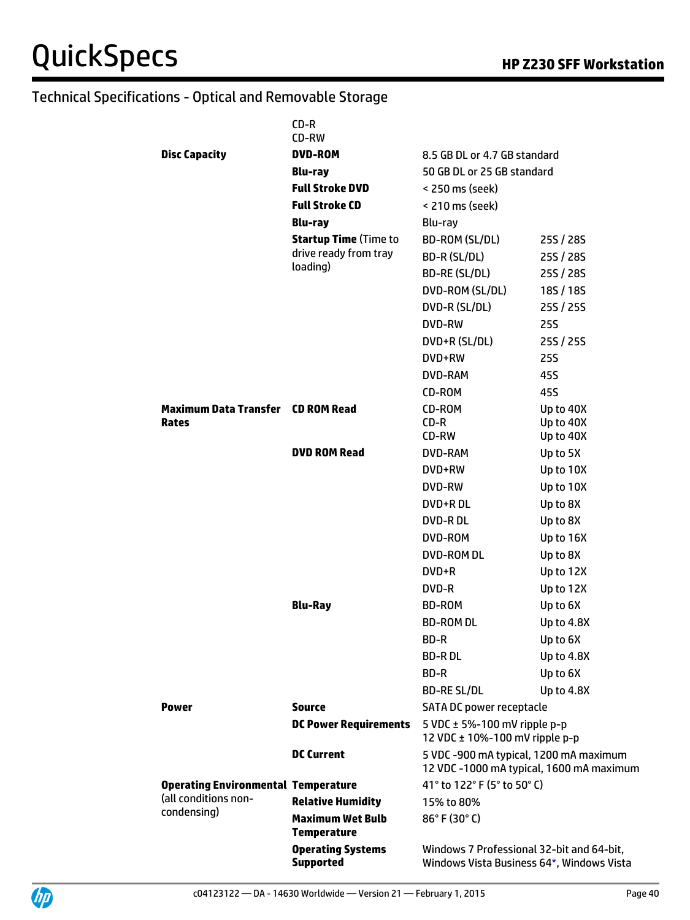|                                            | CD-R<br>CD-RW                                 |                                                                                        |            |
|--------------------------------------------|-----------------------------------------------|----------------------------------------------------------------------------------------|------------|
| <b>Disc Capacity</b>                       | DVD-ROM                                       | 8.5 GB DL or 4.7 GB standard                                                           |            |
|                                            | Blu-ray                                       | 50 GB DL or 25 GB standard                                                             |            |
|                                            | <b>Full Stroke DVD</b>                        | < 250 ms (seek)                                                                        |            |
|                                            | <b>Full Stroke CD</b>                         | < 210 ms (seek)                                                                        |            |
|                                            | <b>Blu-ray</b>                                | Blu-ray                                                                                |            |
|                                            | <b>Startup Time (Time to</b>                  | BD-ROM (SL/DL)                                                                         | 25S / 28S  |
|                                            | drive ready from tray                         | BD-R (SL/DL)                                                                           | 25S / 28S  |
|                                            | loading)                                      | BD-RE (SL/DL)                                                                          | 25S / 28S  |
|                                            |                                               | DVD-ROM (SL/DL)                                                                        | 18S/18S    |
|                                            |                                               | DVD-R (SL/DL)                                                                          | 25S/25S    |
|                                            |                                               | DVD-RW                                                                                 | <b>25S</b> |
|                                            |                                               | DVD+R (SL/DL)                                                                          | 25S / 25S  |
|                                            |                                               | DVD+RW                                                                                 | 255        |
|                                            |                                               | DVD-RAM                                                                                | 45S        |
|                                            |                                               | CD-ROM                                                                                 | 45S        |
| <b>Maximum Data Transfer</b> CD ROM Read   |                                               | CD-ROM                                                                                 | Up to 40X  |
| Rates                                      |                                               | $CD-R$                                                                                 | Up to 40X  |
|                                            |                                               | CD-RW                                                                                  | Up to 40X  |
|                                            | <b>DVD ROM Read</b>                           | DVD-RAM                                                                                | Up to 5X   |
|                                            |                                               | DVD+RW                                                                                 | Up to 10X  |
|                                            |                                               | DVD-RW                                                                                 | Up to 10X  |
|                                            |                                               | DVD+R DL                                                                               | Up to 8X   |
|                                            |                                               | <b>DVD-RDL</b>                                                                         | Up to 8X   |
|                                            |                                               | DVD-ROM                                                                                | Up to 16X  |
|                                            |                                               | <b>DVD-ROM DL</b>                                                                      | Up to 8X   |
|                                            |                                               | $DVD+R$                                                                                | Up to 12X  |
|                                            |                                               | DVD-R                                                                                  | Up to 12X  |
|                                            | <b>Blu-Ray</b>                                | <b>BD-ROM</b>                                                                          | Up to 6X   |
|                                            |                                               | <b>BD-ROM DL</b>                                                                       | Up to 4.8X |
|                                            |                                               | <b>BD-R</b>                                                                            | Up to 6X   |
|                                            |                                               | <b>BD-RDL</b>                                                                          | Up to 4.8X |
|                                            |                                               | BD-R                                                                                   | Up to 6X   |
|                                            |                                               | <b>BD-RE SL/DL</b>                                                                     | Up to 4.8X |
| <b>Power</b>                               | <b>Source</b>                                 | SATA DC power receptacle                                                               |            |
|                                            | <b>DC Power Requirements</b>                  | 5 VDC $\pm$ 5%-100 mV ripple p-p<br>12 VDC ± 10%-100 mV ripple p-p                     |            |
|                                            | <b>DC Current</b>                             | 5 VDC -900 mA typical, 1200 mA maximum<br>12 VDC -1000 mA typical, 1600 mA maximum     |            |
| <b>Operating Environmental Temperature</b> |                                               | 41° to 122° F (5° to 50° C)                                                            |            |
| (all conditions non-                       | <b>Relative Humidity</b>                      | 15% to 80%                                                                             |            |
| condensing)                                | <b>Maximum Wet Bulb</b><br><b>Temperature</b> | 86°F (30°C)                                                                            |            |
|                                            | <b>Operating Systems</b><br><b>Supported</b>  | Windows 7 Professional 32-bit and 64-bit,<br>Windows Vista Business 64*, Windows Vista |            |

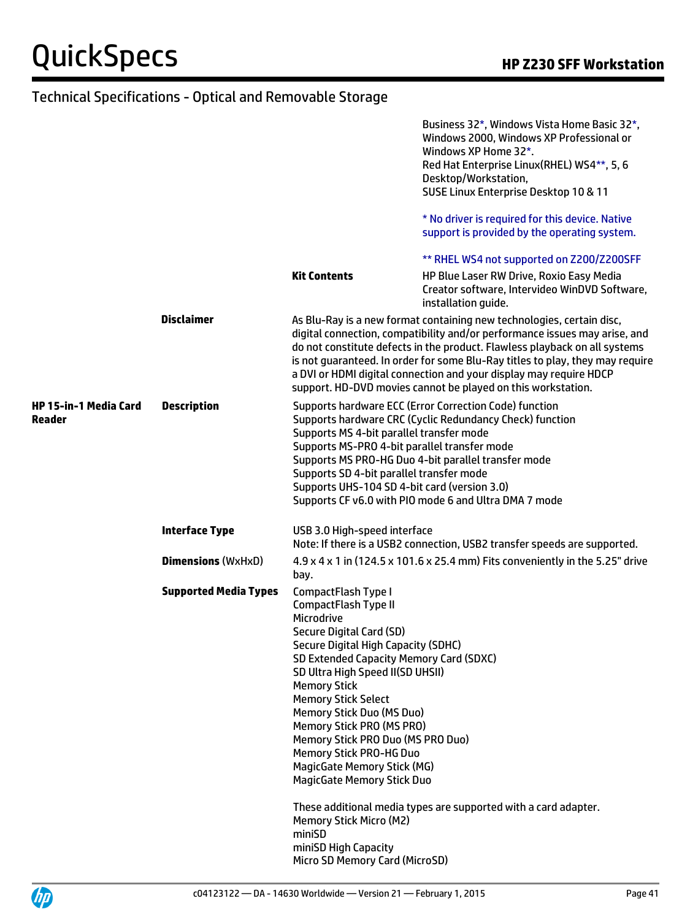|                                 |                              |                                                                                                                                                                                                                                                                                                                                                                                                                                                                                                                                                                                           | Business 32*, Windows Vista Home Basic 32*,<br>Windows 2000, Windows XP Professional or<br>Windows XP Home 32*.<br>Red Hat Enterprise Linux(RHEL) WS4**, 5, 6<br>Desktop/Workstation,<br>SUSE Linux Enterprise Desktop 10 & 11                                                                                                                                                                                                                           |
|---------------------------------|------------------------------|-------------------------------------------------------------------------------------------------------------------------------------------------------------------------------------------------------------------------------------------------------------------------------------------------------------------------------------------------------------------------------------------------------------------------------------------------------------------------------------------------------------------------------------------------------------------------------------------|----------------------------------------------------------------------------------------------------------------------------------------------------------------------------------------------------------------------------------------------------------------------------------------------------------------------------------------------------------------------------------------------------------------------------------------------------------|
|                                 |                              |                                                                                                                                                                                                                                                                                                                                                                                                                                                                                                                                                                                           | * No driver is required for this device. Native<br>support is provided by the operating system.                                                                                                                                                                                                                                                                                                                                                          |
|                                 |                              |                                                                                                                                                                                                                                                                                                                                                                                                                                                                                                                                                                                           | ** RHEL WS4 not supported on Z200/Z200SFF                                                                                                                                                                                                                                                                                                                                                                                                                |
|                                 |                              | <b>Kit Contents</b>                                                                                                                                                                                                                                                                                                                                                                                                                                                                                                                                                                       | HP Blue Laser RW Drive, Roxio Easy Media<br>Creator software, Intervideo WinDVD Software,<br>installation quide.                                                                                                                                                                                                                                                                                                                                         |
|                                 | <b>Disclaimer</b>            |                                                                                                                                                                                                                                                                                                                                                                                                                                                                                                                                                                                           | As Blu-Ray is a new format containing new technologies, certain disc,<br>digital connection, compatibility and/or performance issues may arise, and<br>do not constitute defects in the product. Flawless playback on all systems<br>is not guaranteed. In order for some Blu-Ray titles to play, they may require<br>a DVI or HDMI digital connection and your display may require HDCP<br>support. HD-DVD movies cannot be played on this workstation. |
| HP 15-in-1 Media Card<br>Reader | <b>Description</b>           | Supports hardware ECC (Error Correction Code) function<br>Supports hardware CRC (Cyclic Redundancy Check) function<br>Supports MS 4-bit parallel transfer mode<br>Supports MS-PRO 4-bit parallel transfer mode<br>Supports MS PRO-HG Duo 4-bit parallel transfer mode<br>Supports SD 4-bit parallel transfer mode<br>Supports UHS-104 SD 4-bit card (version 3.0)<br>Supports CF v6.0 with PIO mode 6 and Ultra DMA 7 mode                                                                                                                                                                |                                                                                                                                                                                                                                                                                                                                                                                                                                                          |
|                                 | <b>Interface Type</b>        | USB 3.0 High-speed interface                                                                                                                                                                                                                                                                                                                                                                                                                                                                                                                                                              | Note: If there is a USB2 connection, USB2 transfer speeds are supported.                                                                                                                                                                                                                                                                                                                                                                                 |
|                                 | <b>Dimensions (WxHxD)</b>    | bay.                                                                                                                                                                                                                                                                                                                                                                                                                                                                                                                                                                                      | 4.9 x 4 x 1 in (124.5 x 101.6 x 25.4 mm) Fits conveniently in the 5.25" drive                                                                                                                                                                                                                                                                                                                                                                            |
|                                 | <b>Supported Media Types</b> | CompactFlash Type I<br>CompactFlash Type II<br>Microdrive<br>Secure Digital Card (SD)<br><b>Secure Digital High Capacity (SDHC)</b><br>SD Extended Capacity Memory Card (SDXC)<br>SD Ultra High Speed II(SD UHSII)<br><b>Memory Stick</b><br><b>Memory Stick Select</b><br>Memory Stick Duo (MS Duo)<br>Memory Stick PRO (MS PRO)<br>Memory Stick PRO Duo (MS PRO Duo)<br><b>Memory Stick PRO-HG Duo</b><br><b>MagicGate Memory Stick (MG)</b><br><b>MagicGate Memory Stick Duo</b><br><b>Memory Stick Micro (M2)</b><br>miniSD<br>miniSD High Capacity<br>Micro SD Memory Card (MicroSD) | These additional media types are supported with a card adapter.                                                                                                                                                                                                                                                                                                                                                                                          |

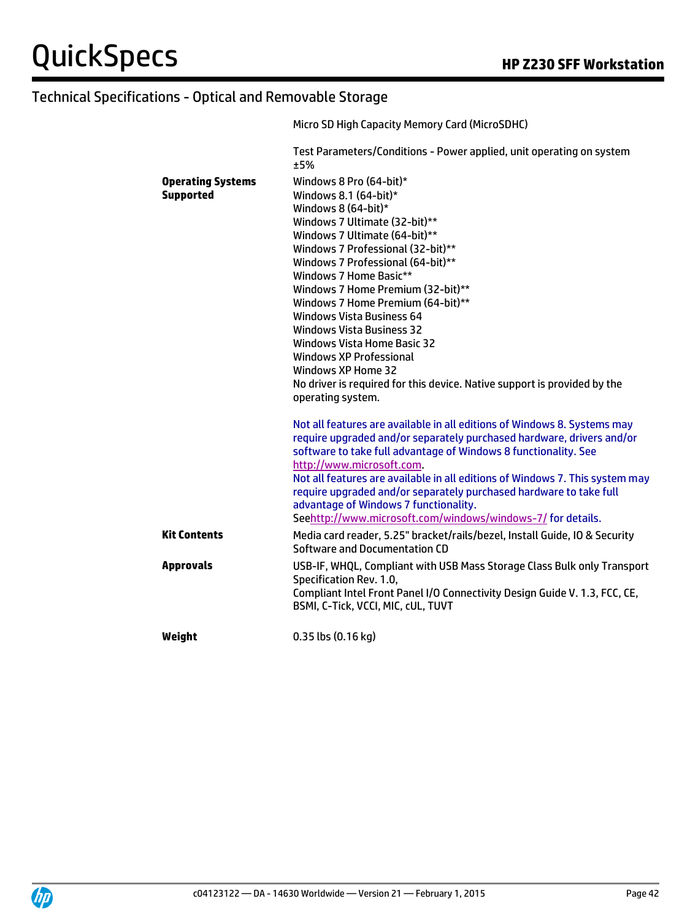|                          | Micro SD High Capacity Memory Card (MicroSDHC)                                                                                                                                                                                                             |  |  |  |
|--------------------------|------------------------------------------------------------------------------------------------------------------------------------------------------------------------------------------------------------------------------------------------------------|--|--|--|
|                          | Test Parameters/Conditions - Power applied, unit operating on system<br>±5%                                                                                                                                                                                |  |  |  |
| <b>Operating Systems</b> | Windows 8 Pro (64-bit)*                                                                                                                                                                                                                                    |  |  |  |
| <b>Supported</b>         | Windows 8.1 (64-bit)*                                                                                                                                                                                                                                      |  |  |  |
|                          | Windows 8 (64-bit)*                                                                                                                                                                                                                                        |  |  |  |
|                          | Windows 7 Ultimate (32-bit)**                                                                                                                                                                                                                              |  |  |  |
|                          | Windows 7 Ultimate (64-bit)**                                                                                                                                                                                                                              |  |  |  |
|                          | Windows 7 Professional (32-bit)**                                                                                                                                                                                                                          |  |  |  |
|                          | Windows 7 Professional (64-bit)**                                                                                                                                                                                                                          |  |  |  |
|                          | Windows 7 Home Basic**                                                                                                                                                                                                                                     |  |  |  |
|                          | Windows 7 Home Premium (32-bit)**                                                                                                                                                                                                                          |  |  |  |
|                          | Windows 7 Home Premium (64-bit)**                                                                                                                                                                                                                          |  |  |  |
|                          | <b>Windows Vista Business 64</b>                                                                                                                                                                                                                           |  |  |  |
|                          | <b>Windows Vista Business 32</b>                                                                                                                                                                                                                           |  |  |  |
|                          | <b>Windows Vista Home Basic 32</b>                                                                                                                                                                                                                         |  |  |  |
|                          | <b>Windows XP Professional</b>                                                                                                                                                                                                                             |  |  |  |
|                          | Windows XP Home 32                                                                                                                                                                                                                                         |  |  |  |
|                          | No driver is required for this device. Native support is provided by the<br>operating system.                                                                                                                                                              |  |  |  |
|                          | Not all features are available in all editions of Windows 8. Systems may<br>require upgraded and/or separately purchased hardware, drivers and/or<br>software to take full advantage of Windows 8 functionality. See<br>http://www.microsoft.com.          |  |  |  |
|                          | Not all features are available in all editions of Windows 7. This system may<br>require upgraded and/or separately purchased hardware to take full<br>advantage of Windows 7 functionality.<br>Seehttp://www.microsoft.com/windows/windows-7/ for details. |  |  |  |
| <b>Kit Contents</b>      | Media card reader, 5.25" bracket/rails/bezel, Install Guide, IO & Security<br><b>Software and Documentation CD</b>                                                                                                                                         |  |  |  |
| <b>Approvals</b>         | USB-IF, WHQL, Compliant with USB Mass Storage Class Bulk only Transport<br>Specification Rev. 1.0,                                                                                                                                                         |  |  |  |
|                          | Compliant Intel Front Panel I/O Connectivity Design Guide V. 1.3, FCC, CE,<br>BSMI, C-Tick, VCCI, MIC, cUL, TUVT                                                                                                                                           |  |  |  |
| Weight                   | $0.35$ lbs $(0.16$ kg)                                                                                                                                                                                                                                     |  |  |  |

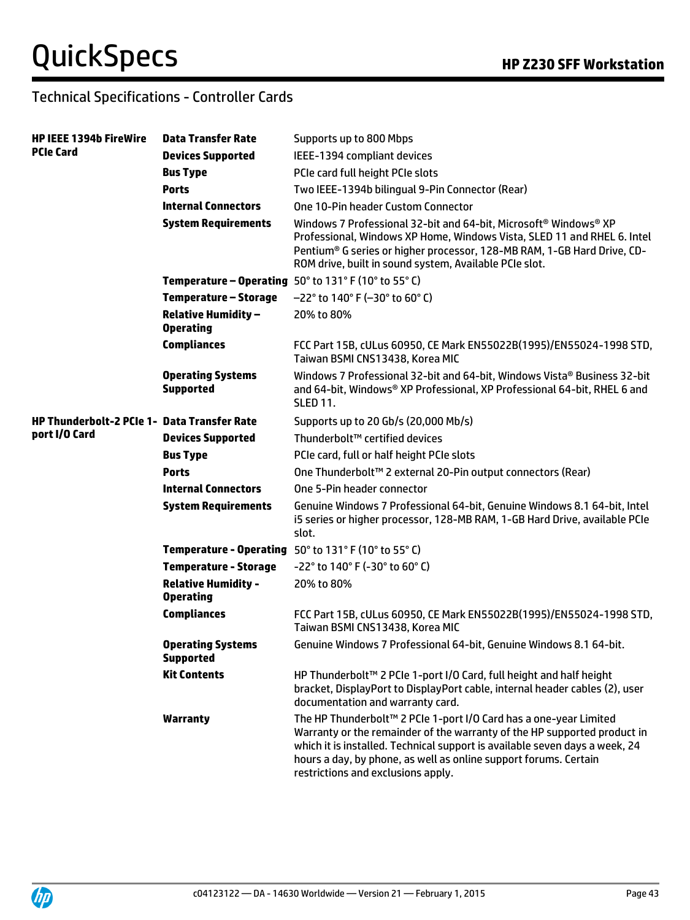### Technical Specifications - Controller Cards

| <b>HP IEEE 1394b FireWire</b>                      | <b>Data Transfer Rate</b>                      | Supports up to 800 Mbps                                                                                                                                                                                                                                                                                                                |
|----------------------------------------------------|------------------------------------------------|----------------------------------------------------------------------------------------------------------------------------------------------------------------------------------------------------------------------------------------------------------------------------------------------------------------------------------------|
| <b>PCIe Card</b>                                   | <b>Devices Supported</b>                       | IEEE-1394 compliant devices                                                                                                                                                                                                                                                                                                            |
|                                                    | <b>Bus Type</b>                                | PCIe card full height PCIe slots                                                                                                                                                                                                                                                                                                       |
|                                                    | <b>Ports</b>                                   | Two IEEE-1394b bilingual 9-Pin Connector (Rear)                                                                                                                                                                                                                                                                                        |
|                                                    | <b>Internal Connectors</b>                     | One 10-Pin header Custom Connector                                                                                                                                                                                                                                                                                                     |
|                                                    | <b>System Requirements</b>                     | Windows 7 Professional 32-bit and 64-bit, Microsoft <sup>®</sup> Windows <sup>®</sup> XP<br>Professional, Windows XP Home, Windows Vista, SLED 11 and RHEL 6. Intel<br>Pentium® G series or higher processor, 128-MB RAM, 1-GB Hard Drive, CD-<br>ROM drive, built in sound system, Available PCIe slot.                               |
|                                                    |                                                | <b>Temperature – Operating</b> $50^{\circ}$ to $131^{\circ}$ F (10 $^{\circ}$ to 55 $^{\circ}$ C)                                                                                                                                                                                                                                      |
|                                                    | Temperature – Storage                          | $-22^{\circ}$ to 140° F (-30° to 60° C)                                                                                                                                                                                                                                                                                                |
|                                                    | <b>Relative Humidity -</b><br><b>Operating</b> | 20% to 80%                                                                                                                                                                                                                                                                                                                             |
|                                                    | <b>Compliances</b>                             | FCC Part 15B, cULus 60950, CE Mark EN55022B(1995)/EN55024-1998 STD,<br>Taiwan BSMI CNS13438, Korea MIC                                                                                                                                                                                                                                 |
|                                                    | <b>Operating Systems</b><br><b>Supported</b>   | Windows 7 Professional 32-bit and 64-bit, Windows Vista® Business 32-bit<br>and 64-bit, Windows® XP Professional, XP Professional 64-bit, RHEL 6 and<br><b>SLED 11.</b>                                                                                                                                                                |
| <b>HP Thunderbolt-2 PCIe 1- Data Transfer Rate</b> |                                                | Supports up to 20 Gb/s (20,000 Mb/s)                                                                                                                                                                                                                                                                                                   |
| port I/O Card                                      | <b>Devices Supported</b>                       | Thunderbolt™ certified devices                                                                                                                                                                                                                                                                                                         |
|                                                    | <b>Bus Type</b>                                | PCIe card, full or half height PCIe slots                                                                                                                                                                                                                                                                                              |
|                                                    | Ports                                          | One Thunderbolt™ 2 external 20-Pin output connectors (Rear)                                                                                                                                                                                                                                                                            |
|                                                    | <b>Internal Connectors</b>                     | One 5-Pin header connector                                                                                                                                                                                                                                                                                                             |
|                                                    | <b>System Requirements</b>                     | Genuine Windows 7 Professional 64-bit, Genuine Windows 8.1 64-bit, Intel<br>i5 series or higher processor, 128-MB RAM, 1-GB Hard Drive, available PCIe<br>slot.                                                                                                                                                                        |
|                                                    |                                                | Temperature - Operating 50° to 131° F (10° to 55° C)                                                                                                                                                                                                                                                                                   |
|                                                    | <b>Temperature - Storage</b>                   | -22° to 140° F (-30° to 60° C)                                                                                                                                                                                                                                                                                                         |
|                                                    | <b>Relative Humidity -</b><br><b>Operating</b> | 20% to 80%                                                                                                                                                                                                                                                                                                                             |
|                                                    | <b>Compliances</b>                             | FCC Part 15B, cULus 60950, CE Mark EN55022B(1995)/EN55024-1998 STD,<br>Taiwan BSMI CNS13438, Korea MIC                                                                                                                                                                                                                                 |
|                                                    | <b>Operating Systems</b><br><b>Supported</b>   | Genuine Windows 7 Professional 64-bit, Genuine Windows 8.1 64-bit.                                                                                                                                                                                                                                                                     |
|                                                    | <b>Kit Contents</b>                            | HP Thunderbolt™ 2 PCIe 1-port I/O Card, full height and half height<br>bracket, DisplayPort to DisplayPort cable, internal header cables (2), user<br>documentation and warranty card.                                                                                                                                                 |
|                                                    | <b>Warranty</b>                                | The HP Thunderbolt™ 2 PCIe 1-port I/O Card has a one-year Limited<br>Warranty or the remainder of the warranty of the HP supported product in<br>which it is installed. Technical support is available seven days a week, 24<br>hours a day, by phone, as well as online support forums. Certain<br>restrictions and exclusions apply. |

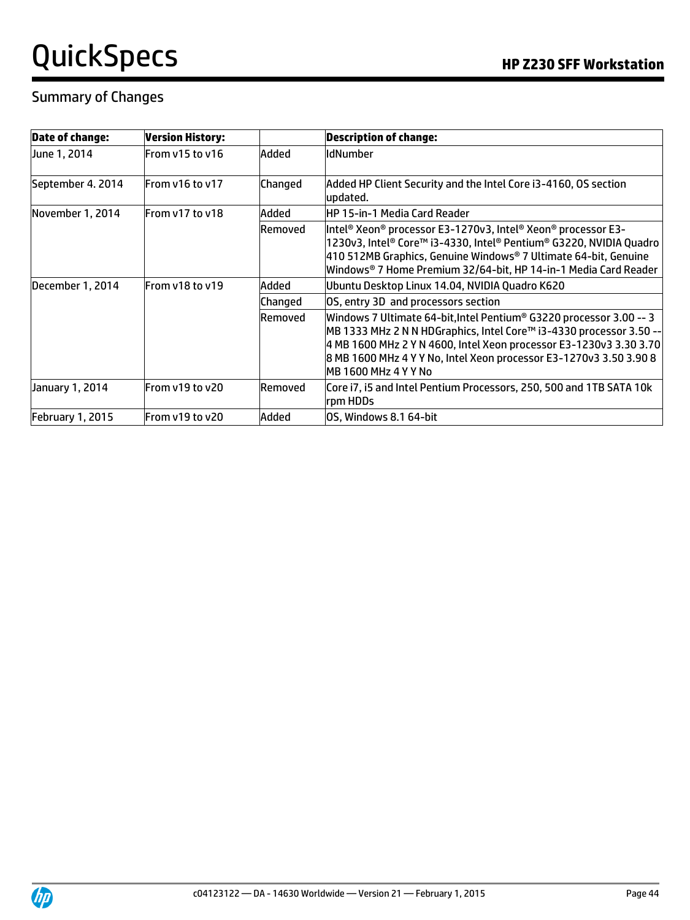### Summary of Changes

| <b>Date of change:</b> | <b>Version History:</b> |                | <b>Description of change:</b>                                                                                                                                                                                                                                                                                                     |
|------------------------|-------------------------|----------------|-----------------------------------------------------------------------------------------------------------------------------------------------------------------------------------------------------------------------------------------------------------------------------------------------------------------------------------|
| June 1, 2014           | From v15 to v16         | Added          | <b>IdNumber</b>                                                                                                                                                                                                                                                                                                                   |
| September 4. 2014      | lFrom v16 to v17        | Changed        | Added HP Client Security and the Intel Core i3-4160, OS section<br>updated.                                                                                                                                                                                                                                                       |
| November 1, 2014       | lFrom v17 to v18        | Added          | IHP 15-in-1 Media Card Reader                                                                                                                                                                                                                                                                                                     |
|                        |                         | <b>Removed</b> | Intel® Xeon® processor E3-1270v3, Intel® Xeon® processor E3-<br>1230v3, Intel® Core™ i3-4330, Intel® Pentium® G3220, NVIDIA Quadro<br>410 512MB Graphics, Genuine Windows® 7 Ultimate 64-bit, Genuine<br>Windows® 7 Home Premium 32/64-bit, HP 14-in-1 Media Card Reader                                                          |
| December 1, 2014       | lFrom v18 to v19        | Added          | Ubuntu Desktop Linux 14.04, NVIDIA Quadro K620                                                                                                                                                                                                                                                                                    |
|                        |                         | Changed        | OS, entry 3D and processors section                                                                                                                                                                                                                                                                                               |
|                        |                         | Removed        | Windows 7 Ultimate 64-bit, Intel Pentium <sup>®</sup> G3220 processor 3.00 -- 3<br>MB 1333 MHz 2 N N HDGraphics, Intel Core™ i3-4330 processor 3.50 --<br>4 MB 1600 MHz 2 Y N 4600, Intel Xeon processor E3-1230v3 3.30 3.70<br>8 MB 1600 MHz 4 Y Y No, Intel Xeon processor E3-1270v3 3.50 3.90 8<br><b>MB 1600 MHz 4 Y Y No</b> |
| January 1, 2014        | From v19 to v20         | <b>Removed</b> | Core i7, i5 and Intel Pentium Processors, 250, 500 and 1TB SATA 10k<br>rpm HDDs                                                                                                                                                                                                                                                   |
| February 1, 2015       | From v19 to v20         | Added          | OS, Windows 8.1 64-bit                                                                                                                                                                                                                                                                                                            |